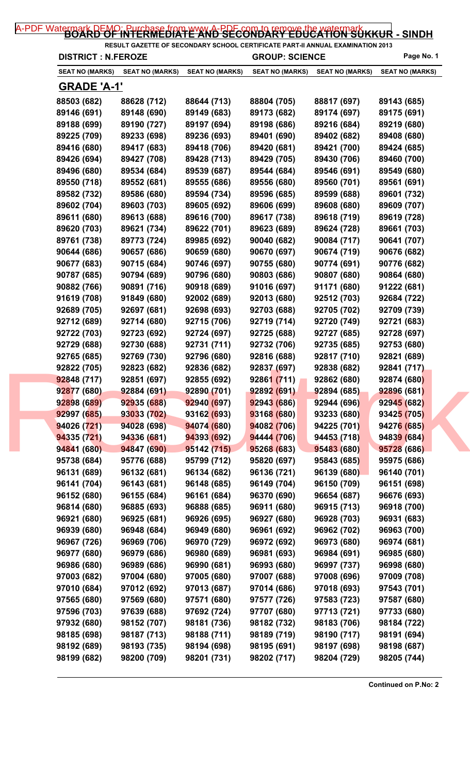| <b>DISTRICT : N.FEROZE</b> |                        |                        | <b>GROUP: SCIENCE</b>  |                        | Page No. 1             |
|----------------------------|------------------------|------------------------|------------------------|------------------------|------------------------|
| SEAT NO (MARKS)            | <b>SEAT NO (MARKS)</b> | <b>SEAT NO (MARKS)</b> | <b>SEAT NO (MARKS)</b> | <b>SEAT NO (MARKS)</b> | <b>SEAT NO (MARKS)</b> |
| <u>GRADE 'A-1'</u>         |                        |                        |                        |                        |                        |
| 88503 (682)                | 88628 (712)            | 88644 (713)            | 88804 (705)            | 88817 (697)            | 89143 (685)            |
| 89146 (691)                | 89148 (690)            | 89149 (683)            | 89173 (682)            | 89174 (697)            | 89175 (691)            |
| 89188 (699)                | 89190 (727)            | 89197 (694)            | 89198 (686)            | 89216 (684)            | 89219 (680)            |
| 89225 (709)                | 89233 (698)            | 89236 (693)            | 89401 (690)            | 89402 (682)            | 89408 (680)            |
| 89416 (680)                | 89417 (683)            | 89418 (706)            | 89420 (681)            | 89421 (700)            | 89424 (685)            |
| 89426 (694)                | 89427 (708)            | 89428 (713)            | 89429 (705)            | 89430 (706)            | 89460 (700)            |
| 89496 (680)                | 89534 (684)            | 89539 (687)            | 89544 (684)            | 89546 (691)            | 89549 (680)            |
| 89550 (718)                | 89552 (681)            | 89555 (686)            | 89556 (680)            | 89560 (701)            | 89561 (691)            |
| 89582 (732)                | 89586 (680)            | 89594 (734)            | 89596 (685)            | 89599 (688)            | 89601 (732)            |
| 89602 (704)                | 89603 (703)            | 89605 (692)            | 89606 (699)            | 89608 (680)            | 89609 (707)            |
| 89611 (680)                | 89613 (688)            | 89616 (700)            | 89617 (738)            | 89618 (719)            | 89619 (728)            |
| 89620 (703)                | 89621 (734)            | 89622 (701)            | 89623 (689)            | 89624 (728)            | 89661 (703)            |
| 89761 (738)                | 89773 (724)            | 89985 (692)            | 90040 (682)            | 90084 (717)            | 90641 (707)            |
| 90644 (686)                | 90657 (686)            | 90659 (680)            | 90670 (697)            | 90674 (719)            | 90676 (682)            |
| 90677 (683)                | 90715 (684)            | 90746 (697)            | 90755 (680)            | 90774 (691)            | 90776 (682)            |
| 90787 (685)                | 90794 (689)            | 90796 (680)            | 90803 (686)            | 90807 (680)            | 90864 (680)            |
| 90882 (766)                | 90891 (716)            | 90918 (689)            | 91016 (697)            | 91171 (680)            | 91222 (681)            |
| 91619 (708)                | 91849 (680)            | 92002 (689)            | 92013 (680)            | 92512 (703)            | 92684 (722)            |
| 92689 (705)                | 92697 (681)            | 92698 (693)            | 92703 (688)            | 92705 (702)            | 92709 (739)            |
| 92712 (689)                | 92714 (680)            | 92715 (706)            | 92719 (714)            | 92720 (749)            | 92721 (683)            |
| 92722 (703)                | 92723 (692)            | 92724 (697)            | 92725 (688)            | 92727 (685)            | 92728 (697)            |
| 92729 (688)                | 92730 (688)            | 92731 (711)            | 92732 (706)            | 92735 (685)            | 92753 (680)            |
| 92765 (685)                | 92769 (730)            | 92796 (680)            | 92816 (688)            | 92817 (710)            | 92821 (689)            |
| 92822 (705)                | 92823 (682)            | 92836 (682)            | 92837 (697)            | 92838 (682)            | 92841 (717)            |
| 92848 (717)                | 92851 (697)            | 92855 (692)            | 92861 (711)            | 92862 (680)            | 92874 (680)            |
| 92877 (680)                | 92884 (691)            | 92890 (701)            | 92892 (691)            | 92894 (685)            | 92896 (681)            |
| 92898 (689)                | 92935 (688)            | 92940 (697)            | 92943 (686)            | 92944 (696)            | 92945 (682)            |
| 92997 (685)                | 93033 (702)            | 93162 (693)            | 93168 (680)            | 93233 (680)            | 93425 (705)            |
|                            |                        |                        | 94082 (706)            |                        |                        |
| 94026 (721)                | 94028 (698)            | 94074 (680)            |                        | 94225 (701)            | 94276 (685)            |
| 94335 (721)                | 94336 (681)            | 94393 (692)            | 94444 (706)            | 94453 (718)            | 94839 (684)            |
| 94841 (680)                | 94847 (690)            | 95142 (715)            | 95268 (683)            | 95483 (680)            | 95728 (686)            |
| 95738 (684)                | 95776 (688)            | 95799 (712)            | 95820 (697)            | 95843 (685)            | 95975 (686)            |
| 96131 (689)                | 96132 (681)            | 96134 (682)            | 96136 (721)            | 96139 (680)            | 96140 (701)            |
| 96141 (704)                | 96143 (681)            | 96148 (685)            | 96149 (704)            | 96150 (709)            | 96151 (698)            |
| 96152 (680)                | 96155 (684)            | 96161 (684)            | 96370 (690)            | 96654 (687)            | 96676 (693)            |
| 96814 (680)                | 96885 (693)            | 96888 (685)            | 96911 (680)            | 96915 (713)            | 96918 (700)            |
| 96921 (680)                | 96925 (681)            | 96926 (695)            | 96927 (680)            | 96928 (703)            | 96931 (683)            |
| 96939 (680)                | 96948 (684)            | 96949 (680)            | 96961 (692)            | 96962 (702)            | 96963 (700)            |
| 96967 (726)                | 96969 (706)            | 96970 (729)            | 96972 (692)            | 96973 (680)            | 96974 (681)            |
| 96977 (680)                | 96979 (686)            | 96980 (689)            | 96981 (693)            | 96984 (691)            | 96985 (680)            |
| 96986 (680)                | 96989 (686)            | 96990 (681)            | 96993 (680)            | 96997 (737)            | 96998 (680)            |
| 97003 (682)                | 97004 (680)            | 97005 (680)            | 97007 (688)            | 97008 (696)            | 97009 (708)            |
| 97010 (684)                | 97012 (692)            | 97013 (687)            | 97014 (686)            | 97018 (693)            | 97543 (701)            |
| 97565 (680)                | 97569 (680)            | 97571 (680)            | 97577 (726)            | 97583 (723)            | 97587 (680)            |
| 97596 (703)                | 97639 (688)            | 97692 (724)            | 97707 (680)            | 97713 (721)            | 97733 (680)            |
| 97932 (680)                | 98152 (707)            | 98181 (736)            | 98182 (732)            | 98183 (706)            | 98184 (722)            |
| 98185 (698)                | 98187 (713)            | 98188 (711)            | 98189 (719)            | 98190 (717)            | 98191 (694)            |
| 98192 (689)                | 98193 (735)            | 98194 (698)            | 98195 (691)            | 98197 (698)            | 98198 (687)            |
|                            |                        |                        |                        |                        |                        |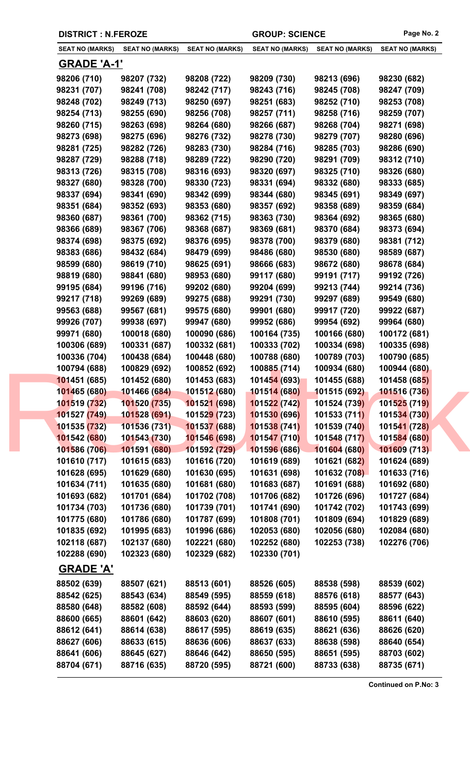| <b>DISTRICT : N.FEROZE</b> |                        |                             | <b>GROUP: SCIENCE</b>  |                        | Page No. 2                 |
|----------------------------|------------------------|-----------------------------|------------------------|------------------------|----------------------------|
| <b>SEAT NO (MARKS)</b>     | <b>SEAT NO (MARKS)</b> | <b>SEAT NO (MARKS)</b>      | <b>SEAT NO (MARKS)</b> | <b>SEAT NO (MARKS)</b> | <b>SEAT NO (MARKS)</b>     |
| <u>GRADE 'A-1'</u>         |                        |                             |                        |                        |                            |
| 98206 (710)                | 98207 (732)            | 98208 (722)                 | 98209 (730)            | 98213 (696)            | 98230 (682)                |
| 98231 (707)                | 98241 (708)            | 98242 (717)                 | 98243 (716)            | 98245 (708)            | 98247 (709)                |
| 98248 (702)                | 98249 (713)            | 98250 (697)                 | 98251 (683)            | 98252 (710)            | 98253 (708)                |
| 98254 (713)                | 98255 (690)            | 98256 (708)                 | 98257 (711)            | 98258 (716)            | 98259 (707)                |
| 98260 (715)                | 98263 (698)            | 98264 (680)                 | 98266 (687)            | 98268 (704)            | 98271 (698)                |
| 98273 (698)                | 98275 (696)            | 98276 (732)                 | 98278 (730)            | 98279 (707)            | 98280 (696)                |
| 98281 (725)                | 98282 (726)            | 98283 (730)                 | 98284 (716)            | 98285 (703)            | 98286 (690)                |
| 98287 (729)                | 98288 (718)            | 98289 (722)                 | 98290 (720)            | 98291 (709)            | 98312 (710)                |
| 98313 (726)                | 98315 (708)            | 98316 (693)                 | 98320 (697)            | 98325 (710)            | 98326 (680)                |
| 98327 (680)                | 98328 (700)            | 98330 (723)                 | 98331 (694)            | 98332 (680)            | 98333 (685)                |
| 98337 (694)                | 98341 (690)            | 98342 (699)                 | 98344 (680)            | 98345 (691)            | 98349 (697)                |
| 98351 (684)                | 98352 (693)            | 98353 (680)                 | 98357 (692)            | 98358 (689)            | 98359 (684)                |
| 98360 (687)                | 98361 (700)            | 98362 (715)                 | 98363 (730)            | 98364 (692)            | 98365 (680)                |
| 98366 (689)                | 98367 (706)            | 98368 (687)                 | 98369 (681)            | 98370 (684)            | 98373 (694)                |
| 98374 (698)                | 98375 (692)            | 98376 (695)                 | 98378 (700)            | 98379 (680)            | 98381 (712)                |
| 98383 (686)                | 98432 (684)            | 98479 (699)                 | 98486 (680)            | 98530 (680)            | 98589 (687)                |
| 98599 (680)                | 98619 (710)            | 98625 (691)                 | 98666 (683)            | 98672 (680)            | 98678 (684)                |
| 98819 (680)                | 98841 (680)            | 98953 (680)                 | 99117 (680)            | 99191 (717)            | 99192 (726)                |
| 99195 (684)                | 99196 (716)            | 99202 (680)                 | 99204 (699)            | 99213 (744)            | 99214 (736)                |
| 99217 (718)                | 99269 (689)            | 99275 (688)                 | 99291 (730)            | 99297 (689)            | 99549 (680)                |
| 99563 (688)                | 99567 (681)            | 99575 (680)                 | 99901 (680)            | 99917 (720)            | 99922 (687)                |
| 99926 (707)                | 99938 (697)            | 99947 (680)                 | 99952 (686)            | 99954 (692)            | 99964 (680)                |
| 99971 (680)                | 100018 (680)           | 100090 (686)                | 100164 (735)           | 100166 (680)           | 100172 (681)               |
| 100306 (689)               | 100331 (687)           | 100332 (681)                | 100333 (702)           | 100334 (698)           | 100335 (698)               |
| 100336 (704)               | 100438 (684)           | 100448 (680)                | 100788 (680)           | 100789 (703)           | 100790 (685)               |
| 100794 (688)               | 100829 (692)           | 100852 (692)                | 100885 (714)           | 100934 (680)           | 100944 (680)               |
| 101451 (685)               | 101452 (680)           | 101453 (683)                | 101454 (693)           | 101455 (688)           | 101458 (68 <mark>5)</mark> |
| 101465 (680)               | 101466 (684)           | 101512 (680)                | 101514 (680)           | 101515 (692)           | 101516 (736)               |
| 101519 (732)               | 101520 (735)           | 101521 (698)                | 101522 (742)           | 101524 (739)           | 101525 (719)               |
| 101527 (749)               | 101528 (691)           | 10152 <mark>9 (</mark> 723) | 101530 (696)           | 101533(711)            | 101534 (730)               |
| 101535 (732)               | 101536 (731)           | 101537 (688)                | 101538 (741)           | 101539 (740)           | 101541 (728)               |
| 101542 (680)               | 101543 (730)           | 101546 (698)                | 101547 (710)           | 101548 (717)           | 101584 (680)               |
| 101586 (706)               | 101591 (680)           | 101592 (729)                | 101596 (686)           | 101604 (680)           | 101609 (713)               |
| 101610 (717)               | 101615 (683)           | 101616 (720)                | 101619 (689)           | 101621 (682)           | 101624 (689)               |
| 101628 (695)               | 101629 (680)           | 101630 (695)                | 101631 (698)           | 101632 (708)           | 101633 (716)               |
| 101634 (711)               | 101635 (680)           | 101681 (680)                | 101683 (687)           | 101691 (688)           | 101692 (680)               |
| 101693 (682)               | 101701 (684)           | 101702 (708)                | 101706 (682)           | 101726 (696)           | 101727 (684)               |
| 101734 (703)               | 101736 (680)           | 101739 (701)                | 101741 (690)           | 101742 (702)           | 101743 (699)               |
| 101775 (680)               | 101786 (680)           | 101787 (699)                | 101808 (701)           | 101809 (694)           | 101829 (689)               |
| 101835 (692)               | 101995 (683)           | 101996 (686)                | 102053 (680)           | 102056 (680)           | 102084 (680)               |
| 102118 (687)               | 102137 (680)           | 102221 (680)                | 102252 (680)           | 102253 (738)           | 102276 (706)               |
| 102288 (690)               | 102323 (680)           | 102329 (682)                | 102330 (701)           |                        |                            |
| <b>GRADE 'A'</b>           |                        |                             |                        |                        |                            |
| 88502 (639)                | 88507 (621)            | 88513 (601)                 | 88526 (605)            | 88538 (598)            | 88539 (602)                |
| 88542 (625)                | 88543 (634)            | 88549 (595)                 | 88559 (618)            | 88576 (618)            | 88577 (643)                |
| 88580 (648)                | 88582 (608)            | 88592 (644)                 | 88593 (599)            | 88595 (604)            | 88596 (622)                |
| 88600 (665)                | 88601 (642)            | 88603 (620)                 | 88607 (601)            | 88610 (595)            | 88611 (640)                |
| 88612 (641)                | 88614 (638)            | 88617 (595)                 | 88619 (635)            | 88621 (636)            | 88626 (620)                |
| 88627 (606)                | 88633 (615)            | 88636 (606)                 | 88637 (633)            | 88638 (598)            | 88640 (654)                |
| 88641 (606)                | 88645 (627)            | 88646 (642)                 | 88650 (595)            | 88651 (595)            | 88703 (602)                |
| 88704 (671)                | 88716 (635)            | 88720 (595)                 | 88721 (600)            | 88733 (638)            | 88735 (671)                |
|                            |                        |                             |                        |                        |                            |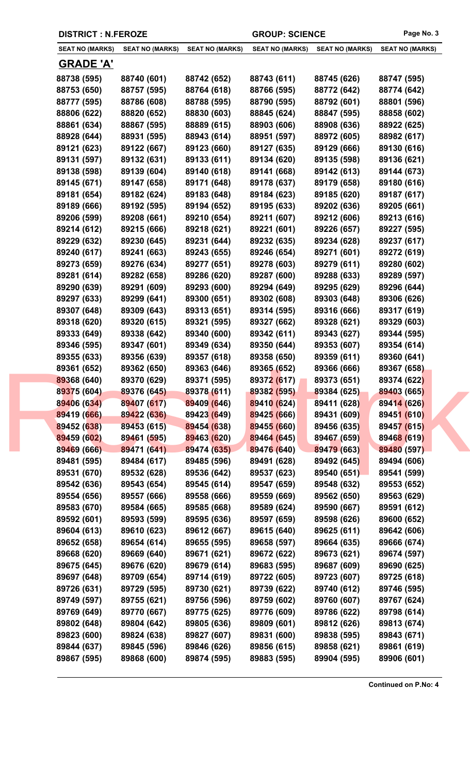| <b>SEAT NO (MARKS)</b> | <b>SEAT NO (MARKS)</b> | <b>SEAT NO (MARKS)</b> | <b>SEAT NO (MARKS)</b> | <b>SEAT NO (MARKS)</b> | <b>SEAT NO (MARKS)</b> |
|------------------------|------------------------|------------------------|------------------------|------------------------|------------------------|
| <b>GRADE 'A'</b>       |                        |                        |                        |                        |                        |
| 88738 (595)            | 88740 (601)            | 88742 (652)            | 88743 (611)            | 88745 (626)            | 88747 (595)            |
| 88753 (650)            | 88757 (595)            | 88764 (618)            | 88766 (595)            | 88772 (642)            | 88774 (642)            |
| 88777 (595)            | 88786 (608)            | 88788 (595)            | 88790 (595)            | 88792 (601)            | 88801 (596)            |
| 88806 (622)            | 88820 (652)            | 88830 (603)            | 88845 (624)            | 88847 (595)            | 88858 (602)            |
| 88861 (634)            | 88867 (595)            | 88889 (615)            | 88903 (606)            | 88908 (636)            | 88922 (625)            |
| 88928 (644)            | 88931 (595)            | 88943 (614)            | 88951 (597)            | 88972 (605)            | 88982 (617)            |
| 89121 (623)            | 89122 (667)            | 89123 (660)            | 89127 (635)            | 89129 (666)            | 89130 (616)            |
| 89131 (597)            | 89132 (631)            | 89133 (611)            | 89134 (620)            | 89135 (598)            | 89136 (621)            |
| 89138 (598)            | 89139 (604)            | 89140 (618)            | 89141 (668)            | 89142 (613)            | 89144 (673)            |
| 89145 (671)            | 89147 (658)            | 89171 (648)            | 89178 (637)            | 89179 (658)            | 89180 (616)            |
|                        |                        |                        |                        |                        |                        |
| 89181 (654)            | 89182 (624)            | 89183 (648)            | 89184 (623)            | 89185 (620)            | 89187 (617)            |
| 89189 (666)            | 89192 (595)            | 89194 (652)            | 89195 (633)            | 89202 (636)            | 89205 (661)            |
| 89206 (599)            | 89208 (661)            | 89210 (654)            | 89211 (607)            | 89212 (606)            | 89213 (616)            |
| 89214 (612)            | 89215 (666)            | 89218 (621)            | 89221 (601)            | 89226 (657)            | 89227 (595)            |
| 89229 (632)            | 89230 (645)            | 89231 (644)            | 89232 (635)            | 89234 (628)            | 89237 (617)            |
| 89240 (617)            | 89241 (663)            | 89243 (655)            | 89246 (654)            | 89271 (601)            | 89272 (619)            |
| 89273 (659)            | 89276 (634)            | 89277 (651)            | 89278 (603)            | 89279 (611)            | 89280 (602)            |
| 89281 (614)            | 89282 (658)            | 89286 (620)            | 89287 (600)            | 89288 (633)            | 89289 (597)            |
| 89290 (639)            | 89291 (609)            | 89293 (600)            | 89294 (649)            | 89295 (629)            | 89296 (644)            |
| 89297 (633)            | 89299 (641)            | 89300 (651)            | 89302 (608)            | 89303 (648)            | 89306 (626)            |
| 89307 (648)            | 89309 (643)            | 89313 (651)            | 89314 (595)            | 89316 (666)            | 89317 (619)            |
| 89318 (620)            | 89320 (615)            | 89321 (595)            | 89327 (662)            | 89328 (621)            | 89329 (603)            |
| 89333 (649)            | 89338 (642)            | 89340 (600)            | 89342 (611)            | 89343 (627)            | 89344 (595)            |
| 89346 (595)            | 89347 (601)            | 89349 (634)            | 89350 (644)            | 89353 (607)            | 89354 (614)            |
| 89355 (633)            | 89356 (639)            | 89357 (618)            | 89358 (650)            | 89359 (611)            | 89360 (641)            |
| 89361 (652)            | 89362 (650)            | 89363 (646)            | 89365 (652)            | 89366 (666)            | 89367 (658)            |
| 89368 (640)            | 89370 (629)            | 89371 (595)            | 89372 (617)            | 89373 (651)            | 89374 (622)            |
| 89375 (604)            | 89376 (645)            | 89378 (611)            | 89382 (595)            | 89384 (625)            | 89403 (665)            |
| 89406 (634)            | 89407 (617)            | 89409 (646)            | 89410 (624)            | 89411 (628)            | 89414 (626)            |
| 89419 (666)            | 89422 (636)            | 89423 (649)            | 89425 (666)            | 89431 (609)            | 89451 (610)            |
| 89452 (638)            | 89453 (615)            | 89454 (638)            | 89455 (660)            | 89456 (635)            | 89457 (615)            |
| 89459 (602)            | 89461 (595)            | 89463 (620)            | 89464 (645)            | 89467 (659)            | 89468 (619)            |
| 89469 (666)            | 89471 (641)            | 89474 (635)            | 89476 (640)            | 89479 (663)            | 89480 (597)            |
| 89481 (595)            | 89484 (617)            | 89485 (596)            | 89491 (628)            | 89492 (645)            | 89494 (606)            |
| 89531 (670)            | 89532 (628)            | 89536 (642)            | 89537 (623)            | 89540 (651)            | 89541 (599)            |
| 89542 (636)            | 89543 (654)            | 89545 (614)            | 89547 (659)            | 89548 (632)            | 89553 (652)            |
| 89554 (656)            | 89557 (666)            | 89558 (666)            | 89559 (669)            | 89562 (650)            | 89563 (629)            |
| 89583 (670)            | 89584 (665)            | 89585 (668)            | 89589 (624)            | 89590 (667)            | 89591 (612)            |
| 89592 (601)            | 89593 (599)            | 89595 (636)            | 89597 (659)            | 89598 (626)            | 89600 (652)            |
| 89604 (613)            | 89610 (623)            | 89612 (667)            | 89615 (640)            | 89625 (611)            | 89642 (606)            |
| 89652 (658)            | 89654 (614)            | 89655 (595)            | 89658 (597)            | 89664 (635)            | 89666 (674)            |
| 89668 (620)            | 89669 (640)            | 89671 (621)            | 89672 (622)            | 89673 (621)            | 89674 (597)            |
| 89675 (645)            | 89676 (620)            | 89679 (614)            | 89683 (595)            | 89687 (609)            | 89690 (625)            |
| 89697 (648)            | 89709 (654)            | 89714 (619)            | 89722 (605)            | 89723 (607)            | 89725 (618)            |
|                        |                        |                        |                        |                        |                        |
| 89726 (631)            | 89729 (595)            | 89730 (621)            | 89739 (622)            | 89740 (612)            | 89746 (595)            |
| 89749 (597)            | 89755 (621)            | 89756 (596)            | 89759 (602)            | 89760 (607)            | 89767 (624)            |
| 89769 (649)            | 89770 (667)            | 89775 (625)            | 89776 (609)            | 89786 (622)            | 89798 (614)            |
| 89802 (648)            | 89804 (642)            | 89805 (636)            | 89809 (601)            | 89812 (626)            | 89813 (674)            |
| 89823 (600)            | 89824 (638)            | 89827 (607)            | 89831 (600)            | 89838 (595)            | 89843 (671)            |
| 89844 (637)            | 89845 (596)            | 89846 (626)            | 89856 (615)            | 89858 (621)            | 89861 (619)            |
| 89867 (595)            | 89868 (600)            | 89874 (595)            | 89883 (595)            | 89904 (595)            | 89906 (601)            |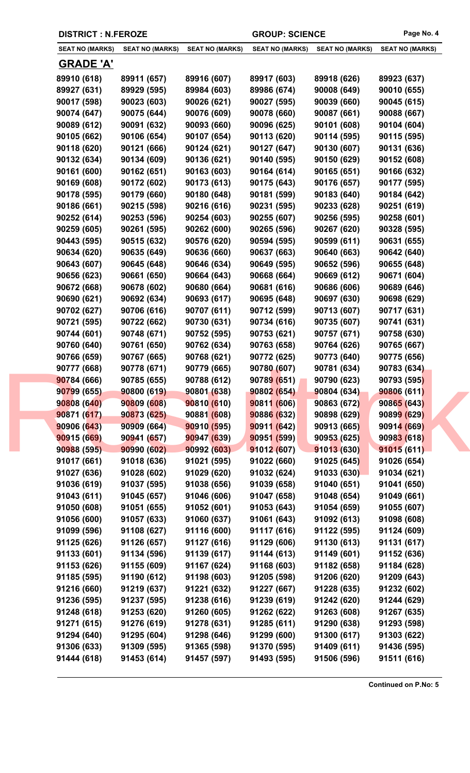| <b>SEAT NO (MARKS)</b> | <b>SEAT NO (MARKS)</b> | <b>SEAT NO (MARKS)</b> | <b>SEAT NO (MARKS)</b> | <b>SEAT NO (MARKS)</b> | <b>SEAT NO (MARKS)</b> |
|------------------------|------------------------|------------------------|------------------------|------------------------|------------------------|
| <b>GRADE 'A'</b>       |                        |                        |                        |                        |                        |
| 89910 (618)            | 89911 (657)            | 89916 (607)            | 89917 (603)            | 89918 (626)            | 89923 (637)            |
| 89927 (631)            | 89929 (595)            | 89984 (603)            | 89986 (674)            | 90008 (649)            | 90010 (655)            |
| 90017 (598)            | 90023 (603)            | 90026 (621)            | 90027 (595)            | 90039 (660)            | 90045 (615)            |
| 90074 (647)            | 90075 (644)            | 90076 (609)            | 90078 (660)            | 90087 (661)            | 90088 (667)            |
| 90089 (612)            | 90091 (632)            | 90093 (660)            | 90096 (625)            | 90101 (608)            | 90104 (604)            |
| 90105 (662)            | 90106 (654)            | 90107 (654)            | 90113 (620)            | 90114 (595)            | 90115 (595)            |
| 90118 (620)            | 90121 (666)            | 90124 (621)            | 90127 (647)            | 90130 (607)            | 90131 (636)            |
| 90132 (634)            | 90134 (609)            | 90136 (621)            | 90140 (595)            | 90150 (629)            | 90152 (608)            |
| 90161 (600)            | 90162 (651)            | 90163 (603)            | 90164 (614)            | 90165 (651)            | 90166 (632)            |
| 90169 (608)            | 90172 (602)            | 90173 (613)            | 90175 (643)            | 90176 (657)            | 90177 (595)            |
| 90178 (595)            | 90179 (660)            | 90180 (648)            | 90181 (599)            | 90183 (640)            | 90184 (642)            |
| 90186 (661)            | 90215 (598)            | 90216 (616)            | 90231 (595)            | 90233 (628)            | 90251 (619)            |
| 90252 (614)            | 90253 (596)            | 90254 (603)            | 90255 (607)            | 90256 (595)            | 90258 (601)            |
| 90259 (605)            | 90261 (595)            | 90262 (600)            | 90265 (596)            | 90267 (620)            | 90328 (595)            |
| 90443 (595)            | 90515 (632)            | 90576 (620)            | 90594 (595)            | 90599 (611)            | 90631 (655)            |
| 90634 (620)            | 90635 (649)            | 90636 (660)            | 90637 (663)            | 90640 (663)            | 90642 (640)            |
| 90643 (607)            | 90645 (648)            | 90646 (634)            | 90649 (595)            | 90652 (596)            | 90655 (648)            |
| 90656 (623)            | 90661 (650)            | 90664 (643)            | 90668 (664)            | 90669 (612)            | 90671 (604)            |
| 90672 (668)            | 90678 (602)            | 90680 (664)            | 90681 (616)            | 90686 (606)            | 90689 (646)            |
| 90690 (621)            | 90692 (634)            | 90693 (617)            | 90695 (648)            | 90697 (630)            | 90698 (629)            |
| 90702 (627)            | 90706 (616)            | 90707 (611)            | 90712 (599)            | 90713 (607)            | 90717 (631)            |
| 90721 (595)            | 90722 (662)            | 90730 (631)            | 90734 (616)            | 90735 (607)            | 90741 (631)            |
| 90744 (601)            | 90748 (671)            | 90752 (595)            | 90753 (621)            | 90757 (671)            | 90758 (630)            |
| 90760 (640)            | 90761 (650)            | 90762 (634)            | 90763 (658)            | 90764 (626)            | 90765 (667)            |
| 90766 (659)            | 90767 (665)            | 90768 (621)            | 90772 (625)            | 90773 (640)            | 90775 (656)            |
| 90777 (668)            | 90778 (671)            | 90779 (665)            | 90780 (607)            | 90781 (634)            | 90783 (634)            |
| 90784 (666)            | 90785 (655)            | 90788 (612)            | 90789 (651)            | 90790 (623)            | 90793 (595)            |
| 90799 (655)            | 90800(619)             | 90801 (638)            | 90802 (654)            | 90804 (634)            | 90806 (611)            |
| 90808 (640)            | 90809 (608)            | 90810(610)             | 90811 (606)            | 90863 (672)            | 90865 (643)            |
| 90871 (617)            | 90873 (625)            | 90881 (608)            | 90886 (632)            | 90898 (629)            | 90899 (629)            |
| 90906 (643)            | 90909 (664)            | 90910(595)             | 90911(642)             | 90913 (665)            | 90914 (669)            |
| 90915 (669)            | 90941 (657)            | 90947 (639)            | 90951 (599)            | 90953 (625)            | 90983 (618)            |
| 90988 (595)            | 90990 (602)            | 90992 (603)            | 91012 (607)            | 91013 (630)            | 91015 (611)            |
| 91017 (661)            | 91018 (636)            | 91021 (595)            | 91022 (660)            | 91025(645)             | 91026 (654)            |
| 91027 (636)            | 91028 (602)            | 91029 (620)            | 91032 (624)            | 91033(630)             | 91034 (621)            |
| 91036 (619)            | 91037 (595)            | 91038 (656)            | 91039 (658)            | 91040 (651)            | 91041 (650)            |
| 91043 (611)            | 91045 (657)            | 91046 (606)            | 91047 (658)            | 91048 (654)            | 91049 (661)            |
| 91050 (608)            | 91051 (655)            | 91052 (601)            | 91053 (643)            | 91054 (659)            | 91055 (607)            |
| 91056 (600)            | 91057 (633)            | 91060 (637)            | 91061 (643)            | 91092 (613)            | 91098 (608)            |
| 91099 (596)            | 91108 (627)            | 91116 (600)            | 91117 (616)            | 91122 (595)            | 91124 (609)            |
| 91125 (626)            | 91126 (657)            | 91127 (616)            | 91129 (606)            | 91130 (613)            | 91131 (617)            |
| 91133 (601)            | 91134 (596)            | 91139 (617)            | 91144 (613)            | 91149 (601)            | 91152 (636)            |
| 91153 (626)            | 91155 (609)            | 91167 (624)            | 91168 (603)            | 91182 (658)            | 91184 (628)            |
| 91185 (595)            | 91190 (612)            | 91198 (603)            | 91205 (598)            | 91206 (620)            | 91209 (643)            |
| 91216 (660)            | 91219 (637)            | 91221 (632)            | 91227 (667)            | 91228 (635)            | 91232 (602)            |
| 91236 (595)            | 91237 (595)            | 91238 (616)            | 91239 (619)            | 91242 (620)            | 91244 (629)            |
| 91248 (618)            | 91253 (620)            | 91260 (605)            | 91262 (622)            | 91263 (608)            | 91267 (635)            |
| 91271 (615)            | 91276 (619)            | 91278 (631)            | 91285 (611)            | 91290 (638)            | 91293 (598)            |
| 91294 (640)            | 91295 (604)            | 91298 (646)            | 91299 (600)            | 91300 (617)            | 91303 (622)            |
| 91306 (633)            | 91309 (595)            | 91365 (598)            | 91370 (595)            | 91409 (611)            | 91436 (595)            |
| 91444 (618)            | 91453 (614)            | 91457 (597)            | 91493 (595)            | 91506 (596)            | 91511 (616)            |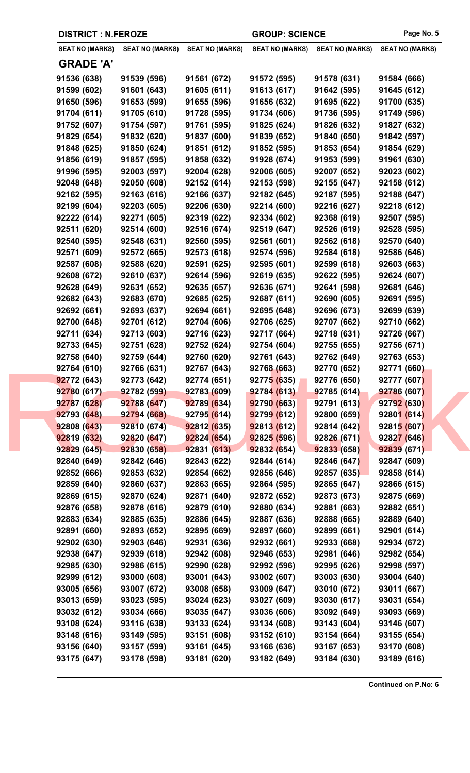| <b>SEAT NO (MARKS)</b> | <b>SEAT NO (MARKS)</b> | <b>SEAT NO (MARKS)</b> | <b>SEAT NO (MARKS)</b> | <b>SEAT NO (MARKS)</b> | <b>SEAT NO (MARKS)</b> |
|------------------------|------------------------|------------------------|------------------------|------------------------|------------------------|
| <u>GRADE 'A'</u>       |                        |                        |                        |                        |                        |
| 91536 (638)            | 91539 (596)            | 91561 (672)            | 91572 (595)            | 91578 (631)            | 91584 (666)            |
| 91599 (602)            | 91601 (643)            | 91605 (611)            | 91613 (617)            | 91642 (595)            | 91645 (612)            |
| 91650 (596)            | 91653 (599)            | 91655 (596)            | 91656 (632)            | 91695 (622)            | 91700 (635)            |
| 91704 (611)            | 91705 (610)            | 91728 (595)            | 91734 (606)            | 91736 (595)            | 91749 (596)            |
| 91752 (607)            | 91754 (597)            | 91761 (595)            | 91825 (624)            | 91826 (632)            | 91827 (632)            |
| 91829 (654)            | 91832 (620)            | 91837 (600)            | 91839 (652)            | 91840 (650)            | 91842 (597)            |
| 91848 (625)            | 91850 (624)            | 91851 (612)            | 91852 (595)            | 91853 (654)            | 91854 (629)            |
| 91856 (619)            | 91857 (595)            | 91858 (632)            | 91928 (674)            | 91953 (599)            | 91961 (630)            |
| 91996 (595)            | 92003 (597)            | 92004 (628)            | 92006 (605)            | 92007 (652)            | 92023 (602)            |
| 92048 (648)            | 92050 (608)            | 92152 (614)            | 92153 (598)            | 92155 (647)            | 92158 (612)            |
| 92162 (595)            | 92163 (616)            | 92166 (637)            | 92182 (645)            | 92187 (595)            | 92188 (647)            |
| 92199 (604)            | 92203 (605)            | 92206 (630)            | 92214 (600)            | 92216 (627)            | 92218 (612)            |
| 92222 (614)            | 92271 (605)            | 92319 (622)            | 92334 (602)            | 92368 (619)            | 92507 (595)            |
| 92511 (620)            | 92514 (600)            | 92516 (674)            | 92519 (647)            | 92526 (619)            | 92528 (595)            |
| 92540 (595)            | 92548 (631)            | 92560 (595)            | 92561 (601)            | 92562 (618)            | 92570 (640)            |
| 92571 (609)            | 92572 (665)            | 92573 (618)            | 92574 (596)            | 92584 (618)            | 92586 (646)            |
| 92587 (608)            | 92588 (620)            | 92591 (625)            | 92595 (601)            | 92599 (618)            | 92603 (663)            |
| 92608 (672)            | 92610 (637)            | 92614 (596)            | 92619 (635)            | 92622 (595)            | 92624 (607)            |
| 92628 (649)            | 92631 (652)            | 92635 (657)            | 92636 (671)            | 92641 (598)            | 92681 (646)            |
| 92682 (643)            | 92683 (670)            | 92685 (625)            | 92687 (611)            | 92690 (605)            | 92691 (595)            |
| 92692 (661)            | 92693 (637)            | 92694 (661)            | 92695 (648)            | 92696 (673)            | 92699 (639)            |
| 92700 (648)            | 92701 (612)            | 92704 (606)            | 92706 (625)            | 92707 (662)            | 92710 (662)            |
| 92711 (634)            | 92713 (603)            | 92716 (623)            | 92717 (664)            | 92718 (631)            | 92726 (667)            |
| 92733 (645)            | 92751 (628)            | 92752 (624)            | 92754 (604)            | 92755 (655)            | 92756 (671)            |
| 92758 (640)            | 92759 (644)            | 92760 (620)            | 92761 (643)            | 92762 (649)            | 92763 (653)            |
| 92764 (610)            | 92766 (631)            | 92767 (643)            | 92768 (663)            | 92770 (652)            | 92771 (660)            |
| 92772 (643)            | 92773 (642)            | 92774 (651)            | 92775 (635)            | 92776 (650)            | 92777 (607)            |
| 92780 (617)            | 92782 (599)            | 92783 (609)            | 92784 (613)            | 92785 (614)            | 92786 (607)            |
| 92787 (628)            | 92788 (647)            | 92789 (634)            | 92790 (663)            | 92791 (613)            | 92792 (630)            |
| 92793 (648)            | 92794 (668)            | 92795 (614)            | 92799 (612)            | 92800(659)             | 92801(614)             |
| 92808 (643)            | 92810 (674)            | 92812(635)             | 92813 (612)            | 92814 (642)            | 92815 (607)            |
| 92819 (632)            | 92820 (647)            | 92824 (654)            | 92825 (596)            | 92826 (671)            | 92827 (646)            |
| 92829 (645)            | 92830 (658)            | 92831(613)             | 92832 (654)            | 92833 (658)            | 92839 (671)            |
| 92840 (649)            | 92842 (646)            | 92843 (622)            | 92844 (614)            | 92846 (647)            | 92847 (609)            |
| 92852 (666)            | 92853 (632)            | 92854 (662)            | 92856 (646)            | 92857(635)             | 92858 (614)            |
| 92859 (640)            | 92860 (637)            | 92863 (665)            | 92864 (595)            | 92865 (647)            | 92866 (615)            |
| 92869 (615)            | 92870 (624)            | 92871 (640)            | 92872 (652)            | 92873 (673)            | 92875 (669)            |
| 92876 (658)            | 92878 (616)            | 92879 (610)            | 92880 (634)            | 92881 (663)            | 92882 (651)            |
| 92883 (634)            | 92885 (635)            | 92886 (645)            | 92887 (636)            | 92888 (665)            | 92889 (640)            |
| 92891 (660)            | 92893 (652)            | 92895 (669)            | 92897 (660)            | 92899 (661)            | 92901 (614)            |
| 92902 (630)            | 92903 (646)            | 92931 (636)            | 92932 (661)            | 92933 (668)            | 92934 (672)            |
| 92938 (647)            | 92939 (618)            | 92942 (608)            | 92946 (653)            | 92981 (646)            | 92982 (654)            |
| 92985 (630)            | 92986 (615)            | 92990 (628)            | 92992 (596)            | 92995 (626)            | 92998 (597)            |
| 92999 (612)            | 93000 (608)            | 93001 (643)            | 93002 (607)            | 93003 (630)            | 93004 (640)            |
| 93005 (656)            | 93007 (672)            | 93008 (658)            | 93009 (647)            | 93010 (672)            | 93011 (667)            |
| 93013 (659)            | 93023 (595)            | 93024 (623)            | 93027 (609)            | 93030 (617)            | 93031 (654)            |
| 93032 (612)            | 93034 (666)            | 93035 (647)            | 93036 (606)            | 93092 (649)            | 93093 (669)            |
| 93108 (624)            | 93116 (638)            | 93133 (624)            | 93134 (608)            | 93143 (604)            | 93146 (607)            |
| 93148 (616)            | 93149 (595)            | 93151 (608)            | 93152 (610)            | 93154 (664)            | 93155 (654)            |
| 93156 (640)            | 93157 (599)            | 93161 (645)            | 93166 (636)            | 93167 (653)            | 93170 (608)            |
| 93175 (647)            | 93178 (598)            | 93181 (620)            | 93182 (649)            | 93184 (630)            | 93189 (616)            |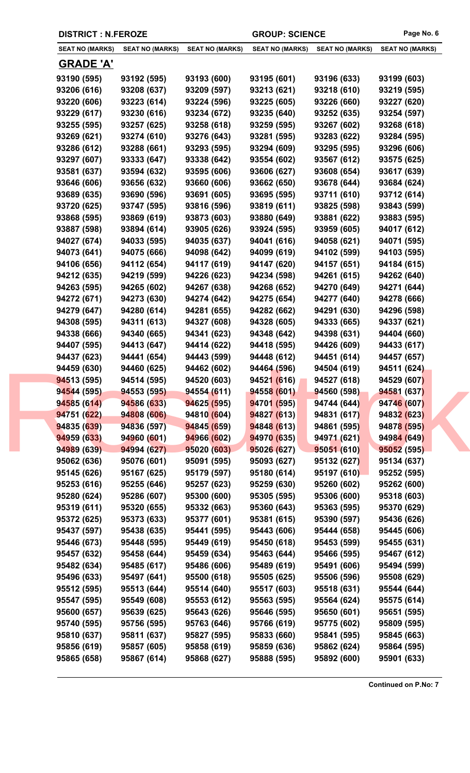| <b>SEAT NO (MARKS)</b> | <b>SEAT NO (MARKS)</b> | <b>SEAT NO (MARKS)</b>     | <b>SEAT NO (MARKS)</b>     | <b>SEAT NO (MARKS)</b>     | <b>SEAT NO (MARKS)</b>     |
|------------------------|------------------------|----------------------------|----------------------------|----------------------------|----------------------------|
| <b>GRADE 'A'</b>       |                        |                            |                            |                            |                            |
| 93190 (595)            | 93192 (595)            | 93193 (600)                | 93195 (601)                | 93196 (633)                | 93199 (603)                |
| 93206 (616)            | 93208 (637)            | 93209 (597)                | 93213 (621)                | 93218 (610)                | 93219 (595)                |
| 93220 (606)            | 93223 (614)            | 93224 (596)                | 93225 (605)                | 93226 (660)                | 93227 (620)                |
| 93229 (617)            | 93230 (616)            | 93234 (672)                | 93235 (640)                | 93252 (635)                | 93254 (597)                |
| 93255 (595)            | 93257 (625)            | 93258 (618)                | 93259 (595)                | 93267 (602)                | 93268 (618)                |
| 93269 (621)            | 93274 (610)            | 93276 (643)                | 93281 (595)                | 93283 (622)                | 93284 (595)                |
| 93286 (612)            | 93288 (661)            | 93293 (595)                | 93294 (609)                | 93295 (595)                | 93296 (606)                |
| 93297 (607)            | 93333 (647)            | 93338 (642)                | 93554 (602)                | 93567 (612)                | 93575 (625)                |
| 93581 (637)            | 93594 (632)            | 93595 (606)                | 93606 (627)                | 93608 (654)                | 93617 (639)                |
| 93646 (606)            | 93656 (632)            | 93660 (606)                | 93662 (650)                | 93678 (644)                | 93684 (624)                |
| 93689 (635)            | 93690 (596)            | 93691 (605)                | 93695 (595)                | 93711 (610)                | 93712 (614)                |
| 93720 (625)            | 93747 (595)            | 93816 (596)                | 93819 (611)                | 93825 (598)                | 93843 (599)                |
| 93868 (595)            | 93869 (619)            | 93873 (603)                | 93880 (649)                | 93881 (622)                | 93883 (595)                |
| 93887 (598)            | 93894 (614)            | 93905 (626)                | 93924 (595)                | 93959 (605)                | 94017 (612)                |
| 94027 (674)            | 94033 (595)            | 94035 (637)                | 94041 (616)                | 94058 (621)                | 94071 (595)                |
| 94073 (641)            | 94075 (666)            | 94098 (642)                | 94099 (619)                | 94102 (599)                | 94103 (595)                |
| 94106 (656)            | 94112 (654)            | 94117 (619)                | 94147 (620)                | 94157 (651)                | 94184 (615)                |
| 94212 (635)            | 94219 (599)            | 94226 (623)                | 94234 (598)                | 94261 (615)                | 94262 (640)                |
| 94263 (595)            | 94265 (602)            | 94267 (638)                | 94268 (652)                | 94270 (649)                | 94271 (644)                |
| 94272 (671)            | 94273 (630)            | 94274 (642)                | 94275 (654)                | 94277 (640)                | 94278 (666)                |
| 94279 (647)            | 94280 (614)            | 94281 (655)                | 94282 (662)                | 94291 (630)                | 94296 (598)                |
| 94308 (595)            | 94311 (613)            | 94327 (608)                | 94328 (605)                | 94333 (665)                | 94337 (621)                |
| 94338 (666)            | 94340 (665)            | 94341 (623)                | 94348 (642)                | 94398 (631)                | 94404 (660)                |
| 94407 (595)            | 94413 (647)            | 94414 (622)                | 94418 (595)                | 94426 (609)                | 94433 (617)                |
| 94437 (623)            | 94441 (654)            | 94443 (599)                | 94448 (612)                | 94451 (614)                |                            |
| 94459 (630)            | 94460 (625)            | 94462 (602)                | 94464 (596)                | 94504 (619)                | 94457 (657)                |
| 94513 (595)            | 94514 (595)            |                            |                            |                            | 94511 (624)                |
| 94544 (595)            | 94553 (595)            | 94520 (603)<br>94554 (611) | 94521 (616)<br>94558 (601) | 94527 (618)<br>94560 (598) | 94529 (607)<br>94581 (637) |
| 94585 (614)            | 94586 (633)            | 94625 (595)                | 94701 (595)                | 94744 (644)                | 94746 (607)                |
| 94751 (622)            | 94808 (606)            | 94810 (604)                | 94827 (613)                | 94831 (617)                | 94832 (623)                |
| 94835 (639)            | 94836 (597)            | 94845 (659)                | 94848(613)                 | 94861 (595)                | 94878 (595)                |
| 94959 (633)            | 94960 (601)            | 94966 (602)                | 94970 (635)                | 94971 (621)                | 94984 (649)                |
| 94989 (639)            | 94994 (627)            |                            | 95026 (627)                | 95051 (610)                |                            |
| 95062 (636)            | 95076 (601)            | 95020 (603)<br>95091 (595) | 95093 (627)                | 95132 (627)                | 95052 (595)<br>95134 (637) |
| 95145 (626)            | 95167 (625)            | 95179 (597)                | 95180 (614)                | 95197(610)                 | 95252 (595)                |
| 95253 (616)            | 95255 (646)            | 95257 (623)                | 95259 (630)                | 95260 (602)                | 95262 (600)                |
| 95280 (624)            | 95286 (607)            | 95300 (600)                | 95305 (595)                | 95306 (600)                | 95318 (603)                |
| 95319 (611)            | 95320 (655)            | 95332 (663)                | 95360 (643)                | 95363 (595)                | 95370 (629)                |
| 95372 (625)            | 95373 (633)            | 95377 (601)                | 95381 (615)                | 95390 (597)                | 95436 (626)                |
| 95437 (597)            | 95438 (635)            | 95441 (595)                | 95443 (606)                | 95444 (658)                | 95445 (606)                |
| 95446 (673)            | 95448 (595)            | 95449 (619)                | 95450 (618)                | 95453 (599)                | 95455 (631)                |
| 95457 (632)            | 95458 (644)            | 95459 (634)                | 95463 (644)                | 95466 (595)                | 95467 (612)                |
| 95482 (634)            | 95485 (617)            | 95486 (606)                | 95489 (619)                | 95491 (606)                | 95494 (599)                |
| 95496 (633)            | 95497 (641)            | 95500 (618)                | 95505 (625)                | 95506 (596)                | 95508 (629)                |
|                        |                        |                            |                            |                            |                            |
| 95512 (595)            | 95513 (644)            | 95514 (640)                | 95517 (603)                | 95518 (631)                | 95544 (644)                |
| 95547 (595)            | 95549 (608)            | 95553 (612)                | 95563 (595)                | 95564 (624)                | 95575 (614)                |
| 95600 (657)            | 95639 (625)            | 95643 (626)                | 95646 (595)                | 95650 (601)                | 95651 (595)                |
| 95740 (595)            | 95756 (595)            | 95763 (646)                | 95766 (619)                | 95775 (602)<br>95841 (595) | 95809 (595)                |
| 95810 (637)            | 95811 (637)            | 95827 (595)<br>95858 (619) | 95833 (660)<br>95859 (636) |                            | 95845 (663)                |
| 95856 (619)            | 95857 (605)            |                            |                            | 95862 (624)                | 95864 (595)                |
| 95865 (658)            | 95867 (614)            | 95868 (627)                | 95888 (595)                | 95892 (600)                | 95901 (633)                |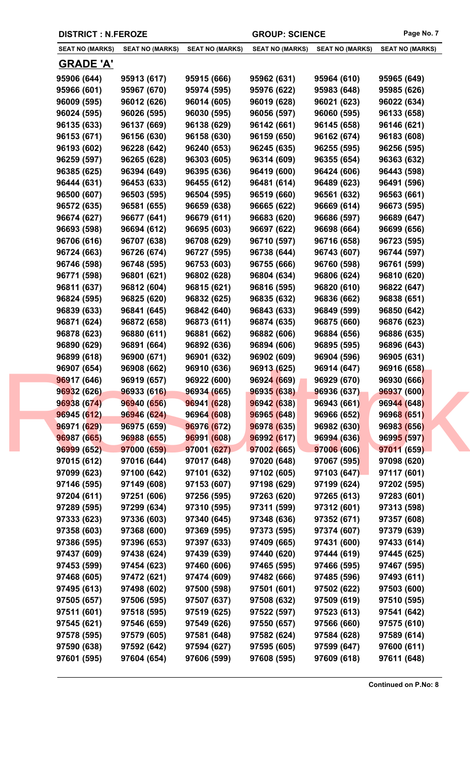|             | <b>DISTRICT : N.FEROZE</b>                       |                        |                        | <b>GROUP: SCIENCE</b>  |                        |  |
|-------------|--------------------------------------------------|------------------------|------------------------|------------------------|------------------------|--|
|             | <b>SEAT NO (MARKS)</b><br><b>SEAT NO (MARKS)</b> | <b>SEAT NO (MARKS)</b> | <b>SEAT NO (MARKS)</b> | <b>SEAT NO (MARKS)</b> | <b>SEAT NO (MARKS)</b> |  |
|             | <u>GRADE 'A'</u>                                 |                        |                        |                        |                        |  |
| 95906 (644) | 95913 (617)                                      | 95915 (666)            | 95962 (631)            | 95964 (610)            | 95965 (649)            |  |
| 95966 (601) | 95967 (670)                                      | 95974 (595)            | 95976 (622)            | 95983 (648)            | 95985 (626)            |  |
| 96009 (595) | 96012 (626)                                      | 96014 (605)            | 96019 (628)            | 96021 (623)            | 96022 (634)            |  |
| 96024 (595) | 96026 (595)                                      | 96030 (595)            | 96056 (597)            | 96060 (595)            | 96133 (658)            |  |
| 96135 (633) | 96137 (669)                                      | 96138 (629)            | 96142 (661)            | 96145 (658)            | 96146 (621)            |  |
| 96153 (671) | 96156 (630)                                      | 96158 (630)            | 96159 (650)            | 96162 (674)            | 96183 (608)            |  |
| 96193 (602) | 96228 (642)                                      | 96240 (653)            | 96245 (635)            | 96255 (595)            | 96256 (595)            |  |
| 96259 (597) | 96265 (628)                                      | 96303 (605)            | 96314 (609)            | 96355 (654)            | 96363 (632)            |  |
| 96385 (625) | 96394 (649)                                      | 96395 (636)            | 96419 (600)            | 96424 (606)            | 96443 (598)            |  |
| 96444 (631) | 96453 (633)                                      | 96455 (612)            | 96481 (614)            | 96489 (623)            | 96491 (596)            |  |
| 96500 (607) | 96503 (595)                                      | 96504 (595)            | 96519 (660)            | 96561 (632)            | 96563 (661)            |  |
| 96572 (635) | 96581 (655)                                      | 96659 (638)            | 96665 (622)            | 96669 (614)            | 96673 (595)            |  |
| 96674 (627) | 96677 (641)                                      | 96679 (611)            | 96683 (620)            | 96686 (597)            | 96689 (647)            |  |
| 96693 (598) | 96694 (612)                                      | 96695 (603)            | 96697 (622)            | 96698 (664)            | 96699 (656)            |  |
| 96706 (616) | 96707 (638)                                      | 96708 (629)            | 96710 (597)            | 96716 (658)            | 96723 (595)            |  |
| 96724 (663) | 96726 (674)                                      | 96727 (595)            | 96738 (644)            | 96743 (607)            | 96744 (597)            |  |
| 96746 (598) | 96748 (595)                                      | 96753 (603)            | 96755 (666)            | 96760 (598)            | 96761 (599)            |  |
| 96771 (598) | 96801 (621)                                      | 96802 (628)            | 96804 (634)            | 96806 (624)            | 96810 (620)            |  |
| 96811 (637) | 96812 (604)                                      | 96815 (621)            | 96816 (595)            | 96820 (610)            | 96822 (647)            |  |
| 96824 (595) | 96825 (620)                                      | 96832 (625)            | 96835 (632)            | 96836 (662)            | 96838 (651)            |  |
| 96839 (633) | 96841 (645)                                      | 96842 (640)            | 96843 (633)            | 96849 (599)            | 96850 (642)            |  |
| 96871 (624) | 96872 (658)                                      | 96873 (611)            | 96874 (635)            | 96875 (660)            | 96876 (623)            |  |
| 96878 (623) | 96880 (611)                                      | 96881 (662)            | 96882 (606)            | 96884 (656)            | 96886 (635)            |  |
| 96890 (629) | 96891 (664)                                      | 96892 (636)            | 96894 (606)            | 96895 (595)            | 96896 (643)            |  |
| 96899 (618) | 96900 (671)                                      | 96901 (632)            | 96902 (609)            | 96904 (596)            | 96905 (631)            |  |
| 96907 (654) | 96908 (662)                                      | 96910 (636)            | 96913 (625)            | 96914 (647)            | 96916 (658)            |  |
| 96917 (646) | 96919 (657)                                      | 96922 (600)            | 96924 (669)            | 96929 (670)            | 96930 (666)            |  |
| 96932 (626) | 96933 (616)                                      | 96934 (665)            | 96935 (638)            | 96936 (637)            | 96937 (600)            |  |
| 96938 (674) | 96940 (656)                                      | 96941 (628)            | 96942 (638)            | 96943 (661)            | 96944 (648)            |  |
| 96945 (612) | 96946 (624)                                      | 96964 (608)            | 96965 (648)            | 96966 (652)            | 96968 (651)            |  |
| 96971 (629) | 96975 (659)                                      | 96976 (672)            | 96978 (635)            | 96982 (630)            | 96983 (656)            |  |
| 96987 (665) | 96988 (655)                                      | 96991 (608)            | 96992 (617)            | 96994 (636)            | 96995 (597)            |  |
| 96999 (652) | 97000 (659)                                      | 97001 (627)            | 97002 (665)            | 97006 (606)            | 97011 (659)            |  |
| 97015 (612) | 97016 (644)                                      | 97017 (648)            | 97020 (648)            | 97067 (595)            | 97098 (620)            |  |
| 97099 (623) | 97100 (642)                                      | 97101 (632)            | 97102 (605)            | 97103 (647)            | 97117 (601)            |  |
| 97146 (595) | 97149 (608)                                      | 97153 (607)            | 97198 (629)            | 97199 (624)            | 97202 (595)            |  |
| 97204 (611) | 97251 (606)                                      | 97256 (595)            | 97263 (620)            | 97265 (613)            | 97283 (601)            |  |
| 97289 (595) | 97299 (634)                                      | 97310 (595)            | 97311 (599)            | 97312 (601)            | 97313 (598)            |  |
| 97333 (623) | 97336 (603)                                      | 97340 (645)            | 97348 (636)            | 97352 (671)            | 97357 (608)            |  |
| 97358 (603) | 97368 (600)                                      | 97369 (595)            | 97373 (595)            | 97374 (607)            | 97379 (639)            |  |
| 97386 (595) | 97396 (653)                                      | 97397 (633)            | 97409 (665)            | 97431 (600)            | 97433 (614)            |  |
| 97437 (609) | 97438 (624)                                      | 97439 (639)            | 97440 (620)            | 97444 (619)            | 97445 (625)            |  |
| 97453 (599) | 97454 (623)                                      | 97460 (606)            | 97465 (595)            | 97466 (595)            | 97467 (595)            |  |
| 97468 (605) | 97472 (621)                                      | 97474 (609)            | 97482 (666)            | 97485 (596)            | 97493 (611)            |  |
| 97495 (613) | 97498 (602)                                      | 97500 (598)            | 97501 (601)            | 97502 (622)            | 97503 (600)            |  |
| 97505 (657) | 97506 (595)                                      | 97507 (637)            | 97508 (632)            | 97509 (619)            | 97510 (595)            |  |
| 97511 (601) | 97518 (595)                                      | 97519 (625)            | 97522 (597)            | 97523 (613)            | 97541 (642)            |  |
| 97545 (621) | 97546 (659)                                      | 97549 (626)            | 97550 (657)            | 97566 (660)            | 97575 (610)            |  |
| 97578 (595) | 97579 (605)                                      | 97581 (648)            | 97582 (624)            | 97584 (628)            | 97589 (614)            |  |
| 97590 (638) | 97592 (642)                                      | 97594 (627)            | 97595 (605)            | 97599 (647)            | 97600 (611)            |  |
| 97601 (595) | 97604 (654)                                      | 97606 (599)            | 97608 (595)            | 97609 (618)            | 97611 (648)            |  |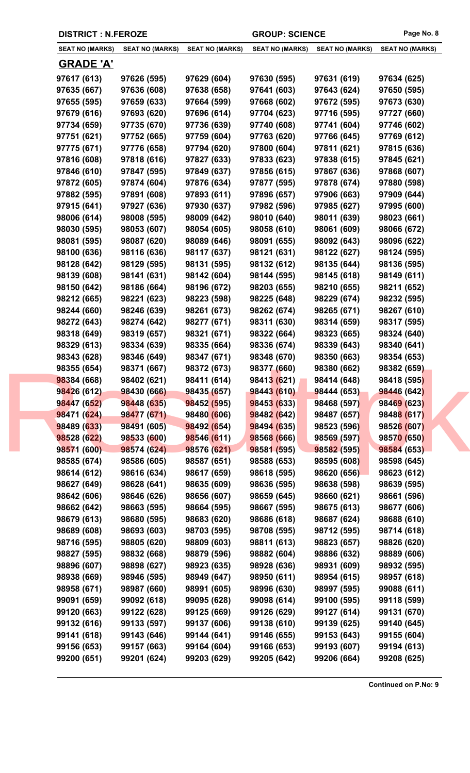|                        | <b>DISTRICT : N.FEROZE</b> |                        | <b>GROUP: SCIENCE</b>  | Page No. 8             |                        |
|------------------------|----------------------------|------------------------|------------------------|------------------------|------------------------|
| <b>SEAT NO (MARKS)</b> | <b>SEAT NO (MARKS)</b>     | <b>SEAT NO (MARKS)</b> | <b>SEAT NO (MARKS)</b> | <b>SEAT NO (MARKS)</b> | <b>SEAT NO (MARKS)</b> |
| <b>GRADE 'A'</b>       |                            |                        |                        |                        |                        |
| 97617 (613)            | 97626 (595)                | 97629 (604)            | 97630 (595)            | 97631 (619)            | 97634 (625)            |
| 97635 (667)            | 97636 (608)                | 97638 (658)            | 97641 (603)            | 97643 (624)            | 97650 (595)            |
| 97655 (595)            | 97659 (633)                | 97664 (599)            | 97668 (602)            | 97672 (595)            | 97673 (630)            |
| 97679 (616)            | 97693 (620)                | 97696 (614)            | 97704 (623)            | 97716 (595)            | 97727 (660)            |
| 97734 (659)            | 97735 (670)                | 97736 (639)            | 97740 (608)            | 97741 (604)            | 97746 (602)            |
| 97751 (621)            | 97752 (665)                | 97759 (604)            | 97763 (620)            | 97766 (645)            | 97769 (612)            |
| 97775 (671)            | 97776 (658)                | 97794 (620)            | 97800 (604)            | 97811 (621)            | 97815 (636)            |
| 97816 (608)            | 97818 (616)                | 97827 (633)            | 97833 (623)            | 97838 (615)            | 97845 (621)            |
| 97846 (610)            | 97847 (595)                | 97849 (637)            | 97856 (615)            | 97867 (636)            | 97868 (607)            |
| 97872 (605)            | 97874 (604)                | 97876 (634)            | 97877 (595)            | 97878 (674)            | 97880 (598)            |
| 97882 (595)            | 97891 (608)                | 97893 (611)            | 97896 (657)            | 97906 (663)            | 97909 (644)            |
| 97915 (641)            | 97927 (636)                | 97930 (637)            | 97982 (596)            | 97985 (627)            | 97995 (600)            |
| 98006 (614)            | 98008 (595)                | 98009 (642)            | 98010 (640)            | 98011 (639)            | 98023 (661)            |
| 98030 (595)            | 98053 (607)                | 98054 (605)            | 98058 (610)            | 98061 (609)            | 98066 (672)            |
| 98081 (595)            | 98087 (620)                | 98089 (646)            | 98091 (655)            | 98092 (643)            | 98096 (622)            |
| 98100 (636)            | 98116 (636)                | 98117 (637)            | 98121 (631)            | 98122 (627)            | 98124 (595)            |
| 98128 (642)            | 98129 (595)                | 98131 (595)            | 98132 (612)            | 98135 (644)            | 98136 (595)            |
| 98139 (608)            | 98141 (631)                | 98142 (604)            | 98144 (595)            | 98145 (618)            | 98149 (611)            |
| 98150 (642)            | 98186 (664)                | 98196 (672)            | 98203 (655)            | 98210 (655)            | 98211 (652)            |
| 98212 (665)            | 98221 (623)                | 98223 (598)            | 98225 (648)            | 98229 (674)            | 98232 (595)            |
| 98244 (660)            | 98246 (639)                | 98261 (673)            | 98262 (674)            | 98265 (671)            | 98267 (610)            |
| 98272 (643)            | 98274 (642)                | 98277 (671)            | 98311 (630)            | 98314 (659)            | 98317 (595)            |
| 98318 (649)            | 98319 (657)                | 98321 (671)            | 98322 (664)            | 98323 (665)            | 98324 (640)            |
| 98329 (613)            | 98334 (639)                | 98335 (664)            | 98336 (674)            | 98339 (643)            | 98340 (641)            |
| 98343 (628)            | 98346 (649)                | 98347 (671)            | 98348 (670)            | 98350 (663)            | 98354 (653)            |
| 98355 (654)            | 98371 (667)                | 98372 (673)            | 98377 (660)            | 98380 (662)            | 98382 (659)            |
| 98384 (668)            | 98402 (621)                | 98411 (614)            | 98413 (621)            | 98414 (648)            | 98418 (595)            |
| 98426 (612)            | 98430 (666)                | 98435 (657)            | 98443 (610)            | 98444 (653)            | 98446 (642)            |
| 98447 (652)            | 98448 (635)                | 98452 (595)            | 98453 (633)            | 98468 (597)            | 98469 (623)            |
| 98471 (624)            | 98477 (671)                | 98480 (606)            | 98482 (642)            | 98487 (657)            | 98488 (617)            |
| 98489 (633)            | 98491 (605)                | 98492 (654)            | 98494 (635)            | 98523 (596)            | 98526 (607)            |
| 98528 (622)            | 98533 (600)                | 98546 (611)            | 98568 (666)            | 98569 (597)            | 98570 (650)            |
| 98571 (600)            | 98574 (624)                | 98576 (621)            | 98581 (595)            | 98582 (595)            | 98584 (653)            |
| 98585 (674)            | 98586 (605)                | 98587 (651)            | 98588 (653)            | 98595 (608)            | 98598 (645)            |
| 98614 (612)            | 98616 (634)                | 98617 (659)            | 98618 (595)            | 98620 (656)            | 98623 (612)            |
| 98627 (649)            | 98628 (641)                | 98635 (609)            | 98636 (595)            | 98638 (598)            | 98639 (595)            |
| 98642 (606)            | 98646 (626)                | 98656 (607)            | 98659 (645)            | 98660 (621)            | 98661 (596)            |
| 98662 (642)            | 98663 (595)                | 98664 (595)            | 98667 (595)            | 98675 (613)            | 98677 (606)            |
| 98679 (613)            | 98680 (595)                | 98683 (620)            | 98686 (618)            | 98687 (624)            | 98688 (610)            |
| 98689 (608)            | 98693 (603)                | 98703 (595)            | 98708 (595)            | 98712 (595)            | 98714 (618)            |
| 98716 (595)            | 98805 (620)                | 98809 (603)            | 98811 (613)            | 98823 (657)            | 98826 (620)            |
| 98827 (595)            | 98832 (668)                | 98879 (596)            | 98882 (604)            | 98886 (632)            | 98889 (606)            |
| 98896 (607)            | 98898 (627)                | 98923 (635)            | 98928 (636)            | 98931 (609)            | 98932 (595)            |
| 98938 (669)            | 98946 (595)                | 98949 (647)            | 98950 (611)            | 98954 (615)            | 98957 (618)            |
| 98958 (671)            | 98987 (660)                | 98991 (605)            | 98996 (630)            | 98997 (595)            | 99088 (611)            |
| 99091 (659)            | 99092 (618)                | 99095 (628)            | 99098 (614)            | 99100 (595)            | 99118 (599)            |
| 99120 (663)            | 99122 (628)                | 99125 (669)            | 99126 (629)            | 99127 (614)            | 99131 (670)            |
| 99132 (616)            | 99133 (597)                | 99137 (606)            | 99138 (610)            | 99139 (625)            | 99140 (645)            |
| 99141 (618)            | 99143 (646)                | 99144 (641)            | 99146 (655)            | 99153 (643)            | 99155 (604)            |
| 99156 (653)            | 99157 (663)                | 99164 (604)            | 99166 (653)            | 99193 (607)            | 99194 (613)            |
| 99200 (651)            | 99201 (624)                | 99203 (629)            | 99205 (642)            | 99206 (664)            | 99208 (625)            |
|                        |                            |                        |                        |                        |                        |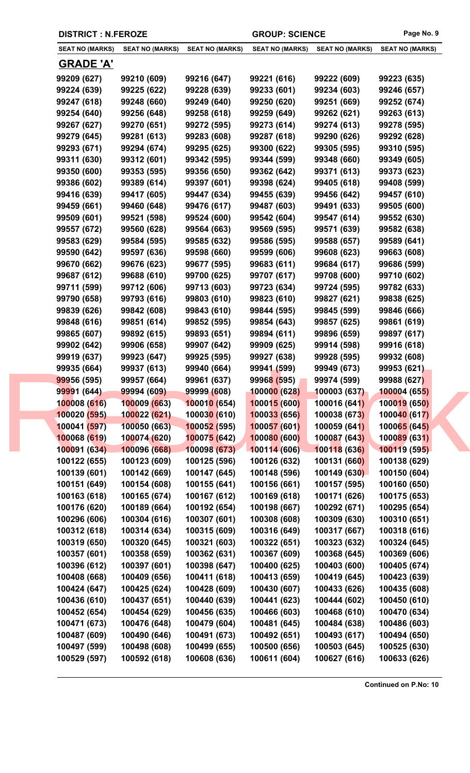| <b>SEAT NO (MARKS)</b> | <b>SEAT NO (MARKS)</b> | <b>SEAT NO (MARKS)</b>      | <b>SEAT NO (MARKS)</b> | <b>SEAT NO (MARKS)</b> | <b>SEAT NO (MARKS)</b> |
|------------------------|------------------------|-----------------------------|------------------------|------------------------|------------------------|
|                        |                        |                             |                        |                        |                        |
| <u>GRADE 'A'</u>       |                        |                             |                        |                        |                        |
| 99209 (627)            | 99210 (609)            | 99216 (647)                 | 99221 (616)            | 99222 (609)            | 99223 (635)            |
| 99224 (639)            | 99225 (622)            | 99228 (639)                 | 99233 (601)            | 99234 (603)            | 99246 (657)            |
| 99247 (618)            | 99248 (660)            | 99249 (640)                 | 99250 (620)            | 99251 (669)            | 99252 (674)            |
| 99254 (640)            | 99256 (648)            | 99258 (618)                 | 99259 (649)            | 99262 (621)            | 99263 (613)            |
| 99267 (627)            | 99270 (651)            | 99272 (595)                 | 99273 (614)            | 99274 (613)            | 99278 (595)            |
| 99279 (645)            | 99281 (613)            | 99283 (608)                 | 99287 (618)            | 99290 (626)            | 99292 (628)            |
| 99293 (671)            | 99294 (674)            | 99295 (625)                 | 99300 (622)            | 99305 (595)            | 99310 (595)            |
| 99311 (630)            | 99312 (601)            | 99342 (595)                 | 99344 (599)            | 99348 (660)            | 99349 (605)            |
| 99350 (600)            | 99353 (595)            | 99356 (650)                 | 99362 (642)            | 99371 (613)            | 99373 (623)            |
| 99386 (602)            | 99389 (614)            | 99397 (601)                 | 99398 (624)            | 99405 (618)            | 99408 (599)            |
| 99416 (639)            | 99417 (605)            | 99447 (634)                 | 99455 (639)            | 99456 (642)            | 99457 (610)            |
| 99459 (661)            | 99460 (648)            | 99476 (617)                 | 99487 (603)            | 99491 (633)            | 99505 (600)            |
| 99509 (601)            | 99521 (598)            | 99524 (600)                 | 99542 (604)            | 99547 (614)            | 99552 (630)            |
| 99557 (672)            | 99560 (628)            | 99564 (663)                 | 99569 (595)            | 99571 (639)            | 99582 (638)            |
| 99583 (629)            | 99584 (595)            | 99585 (632)                 | 99586 (595)            | 99588 (657)            | 99589 (641)            |
| 99590 (642)            | 99597 (636)            | 99598 (660)                 | 99599 (606)            | 99608 (623)            | 99663 (608)            |
| 99670 (662)            | 99676 (623)            | 99677 (595)                 | 99683 (611)            | 99684 (617)            | 99686 (599)            |
| 99687 (612)            | 99688 (610)            | 99700 (625)                 | 99707 (617)            | 99708 (600)            | 99710 (602)            |
| 99711 (599)            | 99712 (606)            | 99713 (603)                 | 99723 (634)            | 99724 (595)            | 99782 (633)            |
| 99790 (658)            | 99793 (616)            | 99803 (610)                 | 99823 (610)            | 99827 (621)            | 99838 (625)            |
| 99839 (626)            | 99842 (608)            | 99843 (610)                 | 99844 (595)            | 99845 (599)            | 99846 (666)            |
| 99848 (616)            | 99851 (614)            | 99852 (595)                 | 99854 (643)            | 99857 (625)            | 99861 (619)            |
| 99865 (607)            | 99892 (615)            | 99893 (651)                 | 99894 (611)            | 99896 (659)            | 99897 (617)            |
| 99902 (642)            | 99906 (658)            | 99907 (642)                 | 99909 (625)            | 99914 (598)            | 99916 (618)            |
| 99919 (637)            | 99923 (647)            | 99925 (595)                 | 99927 (638)            | 99928 (595)            | 99932 (608)            |
| 99935 (664)            | 99937 (613)            | 99940 (664)                 | 99941 (599)            | 99949 (673)            | 99953 (621)            |
| 99956 (595)            | 99957 (664)            | 99961 (637)                 | 99968 (595)            | 99974 (599)            | 99988 (627)            |
| 99991 (644)            | 99994 (609)            | 99999 (608)                 | 100000 (628)           | 100003 (637)           | 100004 (655)           |
| 100008 (616)           | 100009 (663)           | 100010(654)                 | 100015 (600)           | 100016 (641)           | 100019 (650)           |
| 100020 (595)           | 100022 (621)           | 10003 <mark>0 (</mark> 610) | 100033 (656)           | 100038 (673)           | 100040 (617)           |
| 100041 (597)           | 100050 (663)           | 100052 (595)                | 100057(601)            | 100059 (641)           | 100065 (645)           |
| 100068 (619)           | 100074 (620)           | 100075 (642)                | 100080 (600)           | 100087 (643)           | 100089 (631)           |
| 100091 (634)           | 100096 (668)           | 100098 (673)                | 100114 (606)           | 100118 (636)           | 100119 (595)           |
| 100122 (655)           | 100123 (609)           | 100125 (596)                | 100126 (632)           | 100131 (660)           | 100138 (629)           |
| 100139 (601)           | 100142 (669)           | 100147 (645)                | 100148 (596)           | 100149 (630)           | 100150 (604)           |
| 100151 (649)           | 100154 (608)           | 100155 (641)                | 100156 (661)           | 100157 (595)           | 100160 (650)           |
| 100163 (618)           | 100165 (674)           | 100167 (612)                | 100169 (618)           | 100171 (626)           | 100175 (653)           |
| 100176 (620)           | 100189 (664)           | 100192 (654)                | 100198 (667)           | 100292 (671)           | 100295 (654)           |
| 100296 (606)           | 100304 (616)           | 100307 (601)                | 100308 (608)           | 100309 (630)           | 100310 (651)           |
| 100312 (618)           | 100314 (634)           | 100315 (609)                | 100316 (649)           | 100317 (667)           | 100318 (616)           |
| 100319 (650)           | 100320 (645)           | 100321 (603)                | 100322 (651)           | 100323 (632)           | 100324 (645)           |
| 100357 (601)           | 100358 (659)           | 100362 (631)                | 100367 (609)           | 100368 (645)           | 100369 (606)           |
| 100396 (612)           | 100397 (601)           | 100398 (647)                | 100400 (625)           | 100403 (600)           | 100405 (674)           |
| 100408 (668)           | 100409 (656)           | 100411 (618)                | 100413 (659)           | 100419 (645)           | 100423 (639)           |
| 100424 (647)           | 100425 (624)           | 100428 (609)                | 100430 (607)           | 100433 (626)           | 100435 (608)           |
| 100436 (610)           | 100437 (651)           | 100440 (639)                | 100441 (623)           | 100444 (602)           | 100450 (610)           |
| 100452 (654)           | 100454 (629)           | 100456 (635)                | 100466 (603)           | 100468 (610)           | 100470 (634)           |
| 100471 (673)           | 100476 (648)           | 100479 (604)                | 100481 (645)           | 100484 (638)           | 100486 (603)           |
| 100487 (609)           | 100490 (646)           | 100491 (673)                | 100492 (651)           | 100493 (617)           | 100494 (650)           |
| 100497 (599)           | 100498 (608)           | 100499 (655)                | 100500 (656)           | 100503 (645)           | 100525 (630)           |
| 100529 (597)           | 100592 (618)           | 100608 (636)                | 100611 (604)           | 100627 (616)           | 100633 (626)           |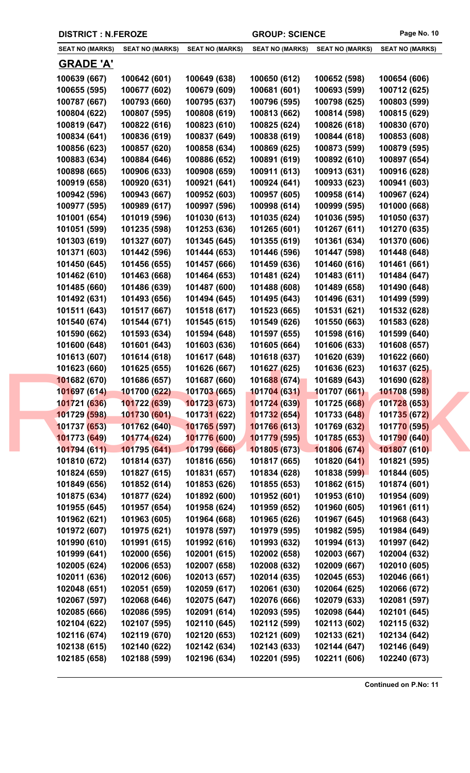| <b>DISTRICT : N.FEROZE</b> |                        |                             | <b>GROUP: SCIENCE</b>  |                        | Page No. 10            |
|----------------------------|------------------------|-----------------------------|------------------------|------------------------|------------------------|
| <b>SEAT NO (MARKS)</b>     | <b>SEAT NO (MARKS)</b> | <b>SEAT NO (MARKS)</b>      | <b>SEAT NO (MARKS)</b> | <b>SEAT NO (MARKS)</b> | <b>SEAT NO (MARKS)</b> |
| <b>GRADE 'A'</b>           |                        |                             |                        |                        |                        |
| 100639 (667)               | 100642 (601)           | 100649 (638)                | 100650 (612)           | 100652 (598)           | 100654 (606)           |
| 100655 (595)               | 100677 (602)           | 100679 (609)                | 100681 (601)           | 100693 (599)           | 100712 (625)           |
| 100787 (667)               | 100793 (660)           | 100795 (637)                | 100796 (595)           | 100798 (625)           | 100803 (599)           |
| 100804 (622)               | 100807 (595)           | 100808 (619)                | 100813 (662)           | 100814 (598)           | 100815 (629)           |
| 100819 (647)               | 100822 (616)           | 100823 (610)                | 100825 (624)           | 100826 (618)           | 100830 (670)           |
| 100834 (641)               | 100836 (619)           | 100837 (649)                | 100838 (619)           | 100844 (618)           | 100853 (608)           |
| 100856 (623)               | 100857 (620)           | 100858 (634)                | 100869 (625)           | 100873 (599)           | 100879 (595)           |
| 100883 (634)               | 100884 (646)           | 100886 (652)                | 100891 (619)           | 100892 (610)           | 100897 (654)           |
| 100898 (665)               | 100906 (633)           | 100908 (659)                | 100911 (613)           | 100913 (631)           | 100916 (628)           |
| 100919 (658)               | 100920 (631)           | 100921 (641)                | 100924 (641)           | 100933 (623)           | 100941 (603)           |
| 100942 (596)               | 100943 (667)           | 100952 (603)                | 100957 (605)           | 100958 (614)           | 100967 (624)           |
| 100977 (595)               | 100989 (617)           | 100997 (596)                | 100998 (614)           | 100999 (595)           | 101000 (668)           |
| 101001 (654)               | 101019 (596)           | 101030 (613)                | 101035 (624)           | 101036 (595)           | 101050 (637)           |
| 101051 (599)               | 101235 (598)           | 101253 (636)                | 101265 (601)           | 101267 (611)           | 101270 (635)           |
| 101303 (619)               | 101327 (607)           | 101345 (645)                | 101355 (619)           | 101361 (634)           | 101370 (606)           |
| 101371 (603)               | 101442 (596)           | 101444 (653)                | 101446 (596)           | 101447 (598)           | 101448 (648)           |
| 101450 (645)               | 101456 (655)           | 101457 (666)                | 101459 (636)           | 101460 (616)           | 101461 (661)           |
| 101462 (610)               | 101463 (668)           | 101464 (653)                | 101481 (624)           | 101483 (611)           | 101484 (647)           |
| 101485 (660)               | 101486 (639)           | 101487 (600)                | 101488 (608)           | 101489 (658)           | 101490 (648)           |
| 101492 (631)               | 101493 (656)           | 101494 (645)                | 101495 (643)           | 101496 (631)           | 101499 (599)           |
| 101511 (643)               | 101517 (667)           | 101518 (617)                | 101523 (665)           | 101531 (621)           | 101532 (628)           |
| 101540 (674)               | 101544 (671)           | 101545 (615)                | 101549 (626)           | 101550 (663)           | 101583 (628)           |
| 101590 (662)               | 101593 (634)           | 101594 (648)                | 101597 (655)           | 101598 (616)           | 101599 (640)           |
| 101600 (648)               | 101601 (643)           | 101603 (636)                | 101605 (664)           | 101606 (633)           | 101608 (657)           |
| 101613 (607)               | 101614 (618)           | 101617 (648)                | 101618 (637)           | 101620 (639)           | 101622 (660)           |
| 101623 (660)               | 101625 (655)           | 101626 (667)                | 101627 (625)           | 101636 (623)           | 101637 (625)           |
| 101682 (670)               | 101686 (657)           | 101687 (660)                | 101688 (674)           | 101689 (643)           | 101690 (628)           |
| 101697 (614)               | 101700 (622)           | 101703 (665)                | 101704 (631)           | 101707 (661)           | 101708 (598)           |
| 101721 (636)               | 101722 (639)           | 101723 (673)                | 101724 (639)           | 101725 (668)           | 101728 (653)           |
| 101729 (598)               | 101730 (601)           | 10173 <mark>1 (</mark> 622) | 101732 (654)           | 101733 (648)           | 101735 (672)           |
| 101737 (653)               | 101762 (640)           | 101765 (597)                | 101766 (613)           | 101769 (632)           | 101770 (595)           |
| 101773 (649)               | 101774 (624)           | 101776 (600)                | 101779 (595)           | 101785 (653)           | 101790 (640)           |
| 101794 (611)               | 101795 (641)           | 101799 (666)                | 101805(673)            | 101806 (674)           | 101807 (610)           |
| 101810 (672)               | 101814 (637)           | 101816 (656)                | 101817 (665)           | 101820 (641)           | 101821 (595)           |
| 101824 (659)               | 101827 (615)           | 101831 (657)                | 101834 (628)           | 101838 (599)           | 101844 (605)           |
| 101849 (656)               | 101852 (614)           | 101853 (626)                | 101855 (653)           | 101862 (615)           | 101874 (601)           |
| 101875 (634)               | 101877 (624)           | 101892 (600)                | 101952 (601)           | 101953 (610)           | 101954 (609)           |
| 101955 (645)               | 101957 (654)           | 101958 (624)                | 101959 (652)           | 101960 (605)           | 101961 (611)           |
| 101962 (621)               | 101963 (605)           | 101964 (668)                | 101965 (626)           | 101967 (645)           | 101968 (643)           |
| 101972 (607)               | 101975 (621)           | 101978 (597)                | 101979 (595)           | 101982 (595)           | 101984 (649)           |
| 101990 (610)               | 101991 (615)           | 101992 (616)                | 101993 (632)           | 101994 (613)           | 101997 (642)           |
| 101999 (641)               | 102000 (656)           | 102001 (615)                | 102002 (658)           | 102003 (667)           | 102004 (632)           |
| 102005 (624)               | 102006 (653)           | 102007 (658)                | 102008 (632)           | 102009 (667)           | 102010 (605)           |
| 102011 (636)               | 102012 (606)           | 102013 (657)                | 102014 (635)           | 102045 (653)           | 102046 (661)           |
| 102048 (651)               | 102051 (659)           | 102059 (617)                | 102061 (630)           | 102064 (625)           | 102066 (672)           |
| 102067 (597)               | 102068 (646)           | 102075 (647)                | 102076 (666)           | 102079 (633)           | 102081 (597)           |
| 102085 (666)               | 102086 (595)           | 102091 (614)                | 102093 (595)           | 102098 (644)           | 102101 (645)           |
| 102104 (622)               | 102107 (595)           | 102110 (645)                | 102112 (599)           | 102113 (602)           | 102115 (632)           |
| 102116 (674)               | 102119 (670)           | 102120 (653)                | 102121 (609)           | 102133 (621)           | 102134 (642)           |
| 102138 (615)               | 102140 (622)           | 102142 (634)                | 102143 (633)           | 102144 (647)           | 102146 (649)           |
| 102185 (658)               | 102188 (599)           | 102196 (634)                | 102201 (595)           | 102211 (606)           | 102240 (673)           |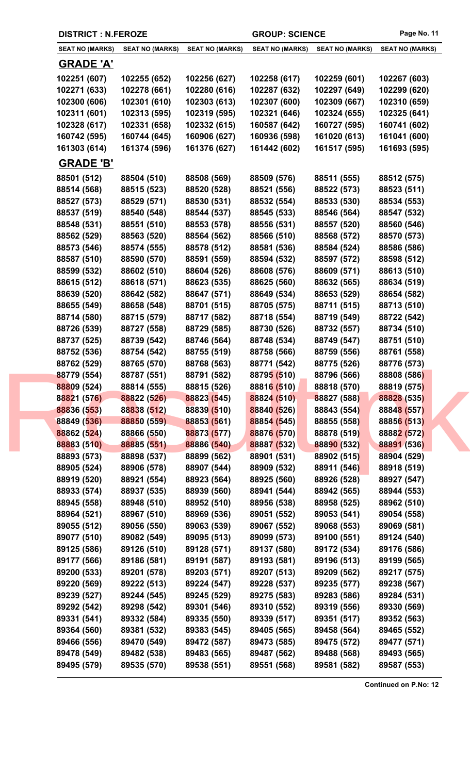|  | <b>DISTRICT : N.FEROZE</b> |                            |                            | <b>GROUP: SCIENCE</b>      |                            | Page No. 11                |
|--|----------------------------|----------------------------|----------------------------|----------------------------|----------------------------|----------------------------|
|  | <b>SEAT NO (MARKS)</b>     | <b>SEAT NO (MARKS)</b>     | <b>SEAT NO (MARKS)</b>     | <b>SEAT NO (MARKS)</b>     | <b>SEAT NO (MARKS)</b>     | <b>SEAT NO (MARKS)</b>     |
|  | <b>GRADE 'A'</b>           |                            |                            |                            |                            |                            |
|  | 102251 (607)               | 102255 (652)               | 102256 (627)               | 102258 (617)               | 102259 (601)               | 102267 (603)               |
|  | 102271 (633)               | 102278 (661)               | 102280 (616)               | 102287 (632)               | 102297 (649)               | 102299 (620)               |
|  | 102300 (606)               | 102301 (610)               | 102303 (613)               | 102307 (600)               | 102309 (667)               | 102310 (659)               |
|  | 102311 (601)               | 102313 (595)               | 102319 (595)               | 102321 (646)               | 102324 (655)               | 102325 (641)               |
|  | 102328 (617)               | 102331 (658)               | 102332 (615)               | 160587 (642)               | 160727 (595)               | 160741 (602)               |
|  | 160742 (595)               | 160744 (645)               | 160906 (627)               | 160936 (598)               | 161020 (613)               | 161041 (600)               |
|  | 161303 (614)               | 161374 (596)               | 161376 (627)               | 161442 (602)               | 161517 (595)               | 161693 (595)               |
|  | <b>GRADE 'B'</b>           |                            |                            |                            |                            |                            |
|  | 88501 (512)                | 88504 (510)                | 88508 (569)                | 88509 (576)                | 88511 (555)                | 88512 (575)                |
|  | 88514 (568)                | 88515 (523)                | 88520 (528)                | 88521 (556)                | 88522 (573)                | 88523 (511)                |
|  | 88527 (573)                | 88529 (571)                | 88530 (531)                | 88532 (554)                | 88533 (530)                | 88534 (553)                |
|  | 88537 (519)                | 88540 (548)                | 88544 (537)                | 88545 (533)                | 88546 (564)                | 88547 (532)                |
|  | 88548 (531)                | 88551 (510)                | 88553 (578)                | 88556 (531)                | 88557 (520)                | 88560 (546)                |
|  | 88562 (529)                | 88563 (520)                | 88564 (562)                | 88566 (510)                | 88568 (572)                | 88570 (573)                |
|  | 88573 (546)                | 88574 (555)                | 88578 (512)                | 88581 (536)                | 88584 (524)                | 88586 (586)                |
|  | 88587 (510)                | 88590 (570)                | 88591 (559)                | 88594 (532)                | 88597 (572)                | 88598 (512)                |
|  | 88599 (532)                | 88602 (510)                | 88604 (526)                | 88608 (576)                | 88609 (571)                | 88613 (510)                |
|  | 88615 (512)                | 88618 (571)                | 88623 (535)                | 88625 (560)                | 88632 (565)                | 88634 (519)                |
|  | 88639 (520)                | 88642 (582)                | 88647 (571)                | 88649 (534)                | 88653 (529)                | 88654 (582)                |
|  | 88655 (549)                | 88658 (548)                | 88701 (515)                | 88705 (575)                | 88711 (515)                | 88713 (510)                |
|  | 88714 (580)                | 88715 (579)                | 88717 (582)                | 88718 (554)                | 88719 (549)                | 88722 (542)                |
|  | 88726 (539)                | 88727 (558)                | 88729 (585)                | 88730 (526)                | 88732 (557)                | 88734 (510)                |
|  | 88737 (525)<br>88752 (536) | 88739 (542)                | 88746 (564)                | 88748 (534)                | 88749 (547)                | 88751 (510)                |
|  | 88762 (529)                | 88754 (542)<br>88765 (570) | 88755 (519)<br>88768 (563) | 88758 (566)<br>88771 (542) | 88759 (556)<br>88775 (526) | 88761 (558)<br>88776 (573) |
|  | 88779 (554)                | 88787 (551)                | 88791 (582)                | 88795 (510)                | 88796 (566)                | 88808 (586)                |
|  | 88809 (524)                | 88814 (555)                | 88815 (526)                | 88816 (510)                | 88818 (570)                | 88819 (575)                |
|  | 88821 (576)                | 88822 (526)                | 88823 (545)                | 88824 (510)                | 88827 (588)                | 88828 (535)                |
|  | 88836 (553)                | 88838 (512)                | 88839 (510)                | 88840 (526)                | 88843 (554)                | 88848 (557)                |
|  | 88849 (536)                | 88850 (559)                | 88853 (561)                | 88854 (545)                | 88855 (558)                | 88856 (513)                |
|  | 88862 (524)                | 88866 (550)                | 88873 (577)                | 88876 (570)                | 88878 (519)                | 88882 (572)                |
|  | 88883 (510)                | 88885 (551)                | 88886 (540)                | 88887 (532)                | 88890 (532)                | 88891 (536)                |
|  | 88893 (573)                | 88898 (537)                | 88899 (562)                | 88901 (531)                | 88902 (515)                | 88904 (529)                |
|  | 88905 (524)                | 88906 (578)                | 88907 (544)                | 88909 (532)                | 88911 (546)                | 88918 (519)                |
|  | 88919 (520)                | 88921 (554)                | 88923 (564)                | 88925 (560)                | 88926 (528)                | 88927 (547)                |
|  | 88933 (574)                | 88937 (535)                | 88939 (560)                | 88941 (544)                | 88942 (565)                | 88944 (553)                |
|  | 88945 (558)                | 88948 (510)                | 88952 (510)                | 88956 (538)                | 88958 (525)                | 88962 (510)                |
|  | 88964 (521)                | 88967 (510)                | 88969 (536)                | 89051 (552)                | 89053 (541)                | 89054 (558)                |
|  | 89055 (512)                | 89056 (550)                | 89063 (539)                | 89067 (552)                | 89068 (553)                | 89069 (581)                |
|  | 89077 (510)                | 89082 (549)                | 89095 (513)                | 89099 (573)                | 89100 (551)                | 89124 (540)                |
|  | 89125 (586)                | 89126 (510)                | 89128 (571)                | 89137 (580)                | 89172 (534)                | 89176 (586)                |
|  | 89177 (566)                | 89186 (581)                | 89191 (587)                | 89193 (581)                | 89196 (513)                | 89199 (565)                |
|  | 89200 (533)                | 89201 (578)                | 89203 (571)                | 89207 (513)                | 89209 (562)                | 89217 (575)                |
|  | 89220 (569)                | 89222 (513)                | 89224 (547)                | 89228 (537)                | 89235 (577)                | 89238 (567)                |
|  | 89239 (527)                | 89244 (545)                | 89245 (529)                | 89275 (583)                | 89283 (586)                | 89284 (531)                |
|  | 89292 (542)                | 89298 (542)                | 89301 (546)                | 89310 (552)                | 89319 (556)                | 89330 (569)                |
|  | 89331 (541)<br>89364 (560) | 89332 (584)<br>89381 (532) | 89335 (550)<br>89383 (545) | 89339 (517)<br>89405 (565) | 89351 (517)<br>89458 (564) | 89352 (563)<br>89465 (552) |
|  | 89466 (556)                | 89470 (549)                | 89472 (587)                | 89473 (585)                | 89475 (572)                | 89477 (571)                |
|  | 89478 (549)                | 89482 (538)                | 89483 (565)                | 89487 (562)                | 89488 (568)                | 89493 (565)                |
|  | 89495 (579)                | 89535 (570)                | 89538 (551)                | 89551 (568)                | 89581 (582)                | 89587 (553)                |
|  |                            |                            |                            |                            |                            |                            |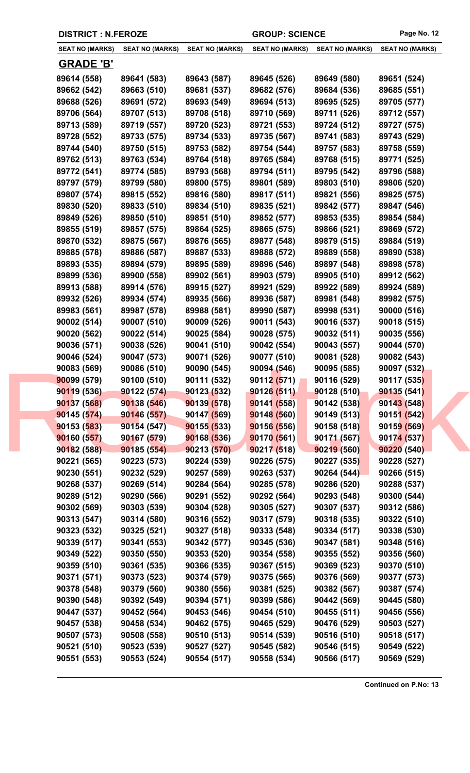| <b>DISTRICT : N.FEROZE</b> |                        | <b>GROUP: SCIENCE</b>  |                        | Page No. 12                |                        |
|----------------------------|------------------------|------------------------|------------------------|----------------------------|------------------------|
| <b>SEAT NO (MARKS)</b>     | <b>SEAT NO (MARKS)</b> | <b>SEAT NO (MARKS)</b> | <b>SEAT NO (MARKS)</b> | <b>SEAT NO (MARKS)</b>     | <b>SEAT NO (MARKS)</b> |
| <b>GRADE 'B'</b>           |                        |                        |                        |                            |                        |
| 89614 (558)                | 89641 (583)            | 89643 (587)            | 89645 (526)            | 89649 (580)                | 89651 (524)            |
| 89662 (542)                | 89663 (510)            | 89681 (537)            | 89682 (576)            | 89684 (536)                | 89685 (551)            |
| 89688 (526)                | 89691 (572)            | 89693 (549)            | 89694 (513)            | 89695 (525)                | 89705 (577)            |
| 89706 (564)                | 89707 (513)            | 89708 (518)            | 89710 (569)            | 89711 (526)                | 89712 (557)            |
| 89713 (589)                | 89719 (557)            | 89720 (523)            | 89721 (553)            | 89724 (512)                | 89727 (575)            |
| 89728 (552)                | 89733 (575)            | 89734 (533)            | 89735 (567)            | 89741 (583)                | 89743 (529)            |
| 89744 (540)                | 89750 (515)            | 89753 (582)            | 89754 (544)            | 89757 (583)                | 89758 (559)            |
| 89762 (513)                | 89763 (534)            | 89764 (518)            | 89765 (584)            | 89768 (515)                | 89771 (525)            |
| 89772 (541)                | 89774 (585)            | 89793 (568)            | 89794 (511)            | 89795 (542)                | 89796 (588)            |
| 89797 (579)                | 89799 (580)            | 89800 (575)            | 89801 (589)            | 89803 (510)                | 89806 (520)            |
| 89807 (574)                | 89815 (552)            | 89816 (580)            | 89817 (511)            | 89821 (556)                | 89825 (575)            |
| 89830 (520)                | 89833 (510)            | 89834 (510)            | 89835 (521)            | 89842 (577)                | 89847 (546)            |
| 89849 (526)                | 89850 (510)            | 89851 (510)            | 89852 (577)            | 89853 (535)                | 89854 (584)            |
| 89855 (519)                | 89857 (575)            | 89864 (525)            | 89865 (575)            | 89866 (521)                | 89869 (572)            |
| 89870 (532)                | 89875 (567)            | 89876 (565)            | 89877 (548)            | 89879 (515)                | 89884 (519)            |
| 89885 (578)                | 89886 (587)            | 89887 (533)            | 89888 (572)            | 89889 (558)                | 89890 (538)            |
| 89893 (535)                | 89894 (579)            | 89895 (589)            | 89896 (546)            | 89897 (548)                | 89898 (578)            |
| 89899 (536)                | 89900 (558)            | 89902 (561)            | 89903 (579)            | 89905 (510)                | 89912 (562)            |
| 89913 (588)                | 89914 (576)            | 89915 (527)            | 89921 (529)            | 89922 (589)                | 89924 (589)            |
| 89932 (526)                | 89934 (574)            | 89935 (566)            | 89936 (587)            | 89981 (548)                | 89982 (575)            |
| 89983 (561)                | 89987 (578)            | 89988 (581)            | 89990 (587)            | 89998 (531)                | 90000 (516)            |
| 90002 (514)                | 90007 (510)            | 90009 (526)            | 90011 (543)            | 90016 (537)                | 90018 (515)            |
| 90020 (562)                | 90022 (514)            | 90025 (584)            | 90028 (575)            | 90032(511)                 | 90035 (556)            |
| 90036 (571)                | 90038 (526)            | 90041 (510)            | 90042 (554)            | 90043 (557)                | 90044 (570)            |
| 90046 (524)                | 90047 (573)            | 90071 (526)            | 90077 (510)            | 90081 (528)                | 90082 (543)            |
| 90083 (569)                | 90086 (510)            | 90090 (545)            | 90094 (546)            | 90095 (585)                | 90097 (532)            |
| 90099 (579)                | 90100 (510)            | 90111 (532)            | 90112 (571)            | 90116 (529)                | 90117 (535)            |
| 90119 (536)                | 90122 (574)            | 90123 (532)            | 90126 (511)            | 90128 (510)                | 90135(541)             |
| 90137 (568)                | 90138 (546)            | 90139(578)             | 90141 (558)            | 90142 (538)                | 90143 (548)            |
| 90145 (574)                | 90146 (557)            | 90147 (569)            | 90148 (560)            | 90149 (513)                | 90151 (542)            |
| 90153 (583)                | 90154(547)             | 90155(533)             | 90156 (556)            | 90158 (518)                | 90159 (569)            |
| 90160 (557)                | 90167 (579)            | 90168 (536)            | 90170(561)             | 90171 (567)                | 90174 (537)            |
| 90182 (588)                | 90185(554)             | 90213 (570)            | 90217(518)             | 90219 (560)                | 90220(540)             |
| 90221 (565)                | 90223 (573)            | 90224 (539)            | 90226 (575)            | 90227(535)                 | 90228 (527)            |
| 90230 (551)                | 90232 (529)            | 90257 (589)            | 90263 (537)            | 90264 (544)                | 90266 (515)            |
| 90268 (537)                | 90269 (514)            | 90284 (564)            | 90285 (578)            | 90286 (520)                | 90288 (537)            |
| 90289 (512)                | 90290 (566)            | 90291 (552)            | 90292 (564)            | 90293 (548)                | 90300 (544)            |
| 90302 (569)                | 90303 (539)            | 90304 (528)            | 90305 (527)            | 90307 (537)                | 90312 (586)            |
| 90313 (547)                | 90314 (580)            | 90316 (552)            | 90317 (579)            | 90318 (535)                | 90322 (510)            |
| 90323 (532)                | 90325 (521)            | 90327 (518)            | 90333 (548)            | 90334 (517)                | 90338 (530)            |
| 90339 (517)                | 90341 (553)            | 90342 (577)            | 90345 (536)            | 90347 (581)                | 90348 (516)            |
| 90349 (522)                | 90350 (550)            | 90353 (520)            | 90354 (558)            | 90355 (552)                | 90356 (560)            |
| 90359 (510)                | 90361 (535)            | 90366 (535)            | 90367 (515)            | 90369 (523)                | 90370 (510)            |
| 90371 (571)                | 90373 (523)            | 90374 (579)            | 90375 (565)            | 90376 (569)                | 90377 (573)            |
| 90378 (548)                | 90379 (560)            | 90380 (556)            | 90381 (525)            | 90382 (567)                | 90387 (574)            |
| 90390 (548)                | 90392 (549)            | 90394 (571)            | 90399 (586)            | 90442 (569)                | 90445 (580)            |
| 90447 (537)                | 90452 (564)            | 90453 (546)            | 90454 (510)            | 90455 (511)                | 90456 (556)            |
| 90457 (538)                | 90458 (534)            | 90462 (575)            | 90465 (529)            | 90476 (529)<br>90516 (510) | 90503 (527)            |
| 90507 (573)                | 90508 (558)            | 90510 (513)            | 90514 (539)            |                            | 90518 (517)            |
| 90521 (510)                | 90523 (539)            | 90527 (527)            | 90545 (582)            | 90546 (515)                | 90549 (522)            |
| 90551 (553)                | 90553 (524)            | 90554 (517)            | 90558 (534)            | 90566 (517)                | 90569 (529)            |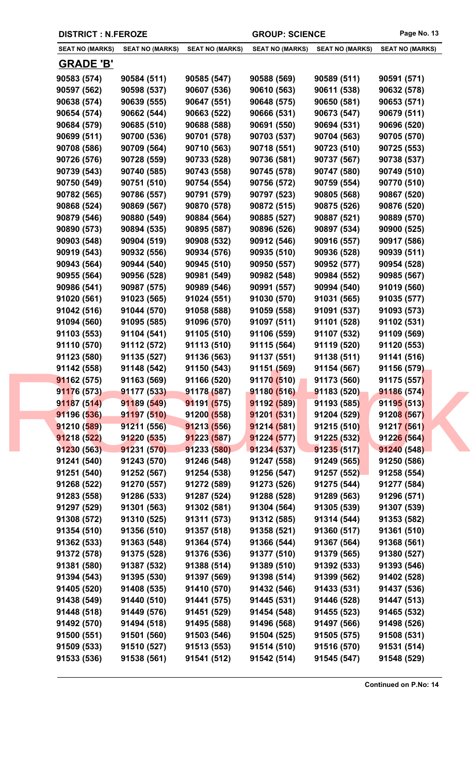|                        | <b>DISTRICT : N.FEROZE</b> |                        | <b>GROUP: SCIENCE</b>  |                        | Page No. 13            |
|------------------------|----------------------------|------------------------|------------------------|------------------------|------------------------|
| <b>SEAT NO (MARKS)</b> | <b>SEAT NO (MARKS)</b>     | <b>SEAT NO (MARKS)</b> | <b>SEAT NO (MARKS)</b> | <b>SEAT NO (MARKS)</b> | <b>SEAT NO (MARKS)</b> |
| <b>GRADE 'B'</b>       |                            |                        |                        |                        |                        |
| 90583 (574)            | 90584 (511)                | 90585 (547)            | 90588 (569)            | 90589 (511)            | 90591 (571)            |
| 90597 (562)            | 90598 (537)                | 90607 (536)            | 90610 (563)            | 90611 (538)            | 90632 (578)            |
| 90638 (574)            | 90639 (555)                | 90647 (551)            | 90648 (575)            | 90650 (581)            | 90653 (571)            |
| 90654 (574)            | 90662 (544)                | 90663 (522)            | 90666 (531)            | 90673 (547)            | 90679 (511)            |
| 90684 (579)            | 90685 (510)                | 90688 (588)            | 90691 (550)            | 90694 (531)            | 90696 (520)            |
| 90699 (511)            | 90700 (536)                | 90701 (578)            | 90703 (537)            | 90704 (563)            | 90705 (570)            |
| 90708 (586)            | 90709 (564)                | 90710 (563)            | 90718 (551)            | 90723 (510)            | 90725 (553)            |
| 90726 (576)            | 90728 (559)                | 90733 (528)            | 90736 (581)            | 90737 (567)            | 90738 (537)            |
| 90739 (543)            | 90740 (585)                | 90743 (558)            | 90745 (578)            | 90747 (580)            | 90749 (510)            |
| 90750 (549)            | 90751 (510)                | 90754 (554)            | 90756 (572)            | 90759 (554)            | 90770 (510)            |
| 90782 (565)            | 90786 (557)                | 90791 (579)            | 90797 (523)            | 90805 (568)            | 90867 (520)            |
| 90868 (524)            | 90869 (567)                | 90870 (578)            | 90872 (515)            | 90875 (526)            | 90876 (520)            |
| 90879 (546)            | 90880 (549)                | 90884 (564)            | 90885 (527)            | 90887 (521)            | 90889 (570)            |
| 90890 (573)            | 90894 (535)                | 90895 (587)            | 90896 (526)            | 90897 (534)            | 90900 (525)            |
| 90903 (548)            | 90904 (519)                | 90908 (532)            | 90912 (546)            | 90916 (557)            | 90917 (586)            |
| 90919 (543)            | 90932 (556)                | 90934 (576)            | 90935 (510)            | 90936 (528)            | 90939 (511)            |
| 90943 (564)            | 90944 (540)                | 90945 (510)            | 90950 (557)            | 90952 (577)            | 90954 (528)            |
| 90955 (564)            | 90956 (528)                | 90981 (549)            | 90982 (548)            | 90984 (552)            | 90985 (567)            |
| 90986 (541)            | 90987 (575)                | 90989 (546)            | 90991 (557)            | 90994 (540)            | 91019 (560)            |
| 91020 (561)            | 91023 (565)                | 91024 (551)            | 91030 (570)            | 91031 (565)            | 91035 (577)            |
| 91042 (516)            | 91044 (570)                | 91058 (588)            | 91059 (558)            | 91091 (537)            | 91093 (573)            |
| 91094 (560)            | 91095 (585)                | 91096 (570)            | 91097 (511)            | 91101 (528)            | 91102 (531)            |
| 91103 (553)            | 91104 (541)                | 91105 (510)            | 91106 (559)            | 91107 (532)            | 91109 (569)            |
| 91110 (570)            | 91112 (572)                | 91113 (510)            | 91115 (564)            | 91119 (520)            | 91120 (553)            |
| 91123 (580)            | 91135 (527)                | 91136 (563)            | 91137 (551)            | 91138 (511)            | 91141 (516)            |
| 91142 (558)            | 91148 (542)                | 91150 (543)            | 91151 (569)            | 91154 (567)            | 91156 (579)            |
| 91162 (575)            | 91163 (569)                | 91166 (520)            | 91170 (510)            | 91173 (560)            | 91175 (557)            |
| 91176 (573)            | 91177 (533)                | 91178 (587)            | 91180 (516)            | 91183 (520)            | 91186 (574)            |
| 91187(514)             | 91189 (549)                | 91191(575)             | 91192 (589)            | 91193 (585)            | 91195 (513)            |
| 91196 (536)            | 91197(510)                 | 91200(558)             | 91201(531)             | 91204 (529)            | 91208 (567)            |
| 91210 (589)            | 91211 (556)                | 91213 (556)            | 91214(581)             | 91215(510)             | 91217 (561)            |
| 91218 (522)            | 91220 (535)                | 91223 (587)            | 91224 (577)            | 91225 (532)            | 91226 (564)            |
| 91230 (563)            | 91231 (570)                | 91233 (580)            | 91234(537)             | 91235(517)             | 91240 (548)            |
| 91241 (540)            | 91243 (570)                | 91246 (548)            | 91247 (558)            | 91249 (565)            | 91250 (586)            |
| 91251 (540)            | 91252 (567)                | 91254 (538)            | 91256 (547)            | 91257 (552)            | 91258 (554)            |
| 91268 (522)            | 91270 (557)                | 91272 (589)            | 91273 (526)            | 91275 (544)            | 91277 (584)            |
| 91283 (558)            | 91286 (533)                | 91287 (524)            | 91288 (528)            | 91289 (563)            | 91296 (571)            |
| 91297 (529)            | 91301 (563)                | 91302 (581)            | 91304 (564)            | 91305 (539)            | 91307 (539)            |
| 91308 (572)            | 91310 (525)                | 91311 (573)            | 91312 (585)            | 91314 (544)            | 91353 (582)            |
| 91354 (510)            | 91356 (510)                | 91357 (518)            | 91358 (521)            | 91360 (517)            | 91361 (510)            |
| 91362 (533)            | 91363 (548)                | 91364 (574)            | 91366 (544)            | 91367 (564)            | 91368 (561)            |
| 91372 (578)            | 91375 (528)                | 91376 (536)            | 91377 (510)            | 91379 (565)            | 91380 (527)            |
| 91381 (580)            | 91387 (532)                | 91388 (514)            | 91389 (510)            | 91392 (533)            | 91393 (546)            |
| 91394 (543)            | 91395 (530)                | 91397 (569)            | 91398 (514)            | 91399 (562)            | 91402 (528)            |
| 91405 (520)            | 91408 (535)                | 91410 (570)            | 91432 (546)            | 91433 (531)            | 91437 (536)            |
| 91438 (549)            | 91440 (510)                | 91441 (575)            | 91445 (531)            | 91446 (528)            | 91447 (513)            |
| 91448 (518)            | 91449 (576)                | 91451 (529)            | 91454 (548)            | 91455 (523)            | 91465 (532)            |
| 91492 (570)            | 91494 (518)                | 91495 (588)            | 91496 (568)            | 91497 (566)            | 91498 (526)            |
| 91500 (551)            | 91501 (560)                | 91503 (546)            | 91504 (525)            | 91505 (575)            | 91508 (531)            |
| 91509 (533)            | 91510 (527)                | 91513 (553)            | 91514 (510)            | 91516 (570)            | 91531 (514)            |
| 91533 (536)            | 91538 (561)                | 91541 (512)            | 91542 (514)            | 91545 (547)            | 91548 (529)            |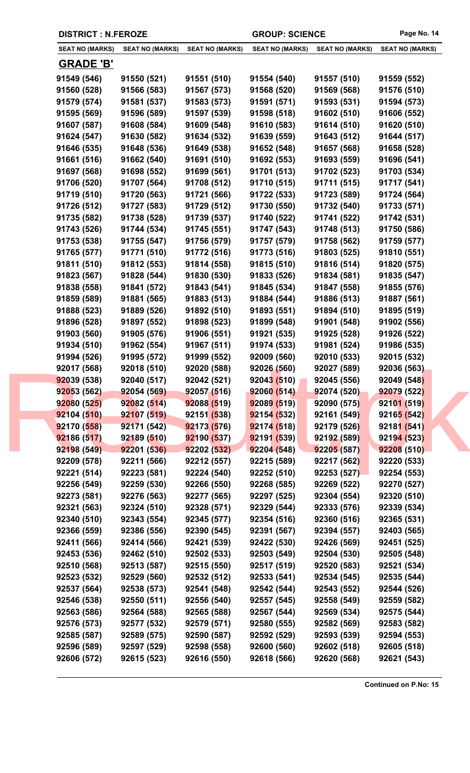|                        | <b>DISTRICT : N.FEROZE</b> |                        | <b>GROUP: SCIENCE</b>  |                        | Page No. 14            |
|------------------------|----------------------------|------------------------|------------------------|------------------------|------------------------|
| <b>SEAT NO (MARKS)</b> | <b>SEAT NO (MARKS)</b>     | <b>SEAT NO (MARKS)</b> | <b>SEAT NO (MARKS)</b> | <b>SEAT NO (MARKS)</b> | <b>SEAT NO (MARKS)</b> |
| <b>GRADE 'B'</b>       |                            |                        |                        |                        |                        |
| 91549 (546)            | 91550 (521)                | 91551 (510)            | 91554 (540)            | 91557 (510)            | 91559 (552)            |
| 91560 (528)            | 91566 (583)                | 91567 (573)            | 91568 (520)            | 91569 (568)            | 91576 (510)            |
| 91579 (574)            | 91581 (537)                | 91583 (573)            | 91591 (571)            | 91593 (531)            | 91594 (573)            |
| 91595 (569)            | 91596 (589)                | 91597 (539)            | 91598 (518)            | 91602 (510)            | 91606 (552)            |
| 91607 (587)            | 91608 (584)                | 91609 (548)            | 91610 (583)            | 91614 (510)            | 91620 (510)            |
| 91624 (547)            | 91630 (582)                | 91634 (532)            | 91639 (559)            | 91643 (512)            | 91644 (517)            |
| 91646 (535)            | 91648 (536)                | 91649 (538)            | 91652 (548)            | 91657 (568)            | 91658 (528)            |
| 91661 (516)            | 91662 (540)                | 91691 (510)            | 91692 (553)            | 91693 (559)            | 91696 (541)            |
| 91697 (568)            | 91698 (552)                | 91699 (561)            | 91701 (513)            | 91702 (523)            | 91703 (534)            |
| 91706 (520)            | 91707 (564)                | 91708 (512)            | 91710 (515)            | 91711 (515)            | 91717 (541)            |
| 91719 (510)            | 91720 (563)                | 91721 (566)            | 91722 (533)            | 91723 (589)            | 91724 (564)            |
| 91726 (512)            | 91727 (583)                | 91729 (512)            | 91730 (550)            | 91732 (540)            | 91733 (571)            |
| 91735 (582)            | 91738 (528)                | 91739 (537)            | 91740 (522)            | 91741 (522)            | 91742 (531)            |
| 91743 (526)            | 91744 (534)                | 91745 (551)            | 91747 (543)            | 91748 (513)            | 91750 (586)            |
| 91753 (538)            | 91755 (547)                | 91756 (579)            | 91757 (579)            | 91758 (562)            | 91759 (577)            |
| 91765 (577)            | 91771 (510)                | 91772 (516)            | 91773 (516)            | 91803 (525)            | 91810 (551)            |
| 91811 (510)            | 91812 (553)                | 91814 (558)            | 91815 (510)            | 91816 (514)            | 91820 (575)            |
| 91823 (567)            | 91828 (544)                | 91830 (530)            | 91833 (526)            | 91834 (581)            | 91835 (547)            |
| 91838 (558)            | 91841 (572)                | 91843 (541)            | 91845 (534)            | 91847 (558)            | 91855 (576)            |
| 91859 (589)            | 91881 (565)                | 91883 (513)            | 91884 (544)            | 91886 (513)            | 91887 (561)            |
| 91888 (523)            | 91889 (526)                | 91892 (510)            | 91893 (551)            | 91894 (510)            | 91895 (519)            |
| 91896 (528)            | 91897 (552)                | 91898 (523)            | 91899 (548)            | 91901 (548)            | 91902 (556)            |
| 91903 (560)            | 91905 (576)                | 91906 (551)            | 91921 (535)            | 91925 (528)            | 91926 (522)            |
| 91934 (510)            | 91962 (554)                | 91967 (511)            | 91974 (533)            | 91981 (524)            | 91986 (535)            |
| 91994 (526)            | 91995 (572)                | 91999 (552)            | 92009 (560)            | 92010 (533)            | 92015 (532)            |
| 92017 (568)            | 92018 (510)                | 92020 (588)            | 92026 (560)            | 92027 (589)            | 92036 (563)            |
| 92039 (538)            | 92040 (517)                | 92042 (521)            | 92043 (510)            | 92045 (556)            | 92049 (548)            |
| 92053 (562)            | 92054 (569)                | 92057 (516)            | 92060 (514)            | 92074 (520)            | 92079 (522)            |
| 92080(525)             | 92082 (514)                | 92088(519)             | 92089 (519)            | 92090 (575)            | 92101 (519)            |
| 92104 (510)            | 92107(519)                 | 92151 (538)            | 92154(532)             | 92161 (549)            | 92165 (542)            |
| 92170 (558)            | 92171 (542)                | 92173 (576)            | 92174(518)             | 92179 (526)            | 92181 (541)            |
| 92186 (517)            | 92189 (510)                | 92190 (537)            | 92191 (539)            | 92192 (589)            | 92194 (523)            |
| 92198 (549)            | 92201 (536)                | 92202(532)             | 92204(548)             | 92205(587)             | 92208(510)             |
| 92209 (578)            | 92211 (566)                | 92212 (557)            | 92215 (589)            | 92217 (562)            | 92220 (533)            |
| 92221 (514)            | 92223 (581)                | 92224 (540)            | 92252 (510)            | 92253(527)             | 92254 (553)            |
| 92256 (549)            | 92259 (530)                | 92266 (550)            | 92268 (585)            | 92269 (522)            | 92270 (527)            |
| 92273 (581)            | 92276 (563)                | 92277 (565)            | 92297 (525)            | 92304 (554)            | 92320 (510)            |
| 92321 (563)            | 92324 (510)                | 92328 (571)            | 92329 (544)            | 92333 (576)            | 92339 (534)            |
| 92340 (510)            | 92343 (554)                | 92345 (577)            | 92354 (516)            | 92360 (516)            | 92365 (531)            |
| 92366 (559)            | 92386 (556)                | 92390 (545)            | 92391 (567)            | 92394 (557)            | 92403 (565)            |
| 92411 (566)            | 92414 (566)                | 92421 (539)            | 92422 (530)            | 92426 (569)            | 92451 (525)            |
| 92453 (536)            | 92462 (510)                | 92502 (533)            | 92503 (549)            | 92504 (530)            | 92505 (548)            |
| 92510 (568)            | 92513 (587)                | 92515 (550)            | 92517 (519)            | 92520 (583)            | 92521 (534)            |
| 92523 (532)            | 92529 (560)                | 92532 (512)            | 92533 (541)            | 92534 (545)            | 92535 (544)            |
| 92537 (564)            | 92538 (573)                | 92541 (548)            | 92542 (544)            | 92543 (552)            | 92544 (526)            |
| 92546 (538)            | 92550 (511)                | 92556 (540)            | 92557 (545)            | 92558 (549)            | 92559 (582)            |
| 92563 (586)            | 92564 (588)                | 92565 (588)            | 92567 (544)            | 92569 (534)            | 92575 (544)            |
| 92576 (573)            | 92577 (532)                | 92579 (571)            | 92580 (555)            | 92582 (569)            | 92583 (582)            |
| 92585 (587)            | 92589 (575)                | 92590 (587)            | 92592 (529)            | 92593 (539)            | 92594 (553)            |
| 92596 (589)            | 92597 (529)                | 92598 (558)            | 92600 (560)            | 92602 (518)            | 92605 (518)            |
| 92606 (572)            | 92615 (523)                | 92616 (550)            | 92618 (566)            | 92620 (568)            | 92621 (543)            |
|                        |                            |                        |                        |                        |                        |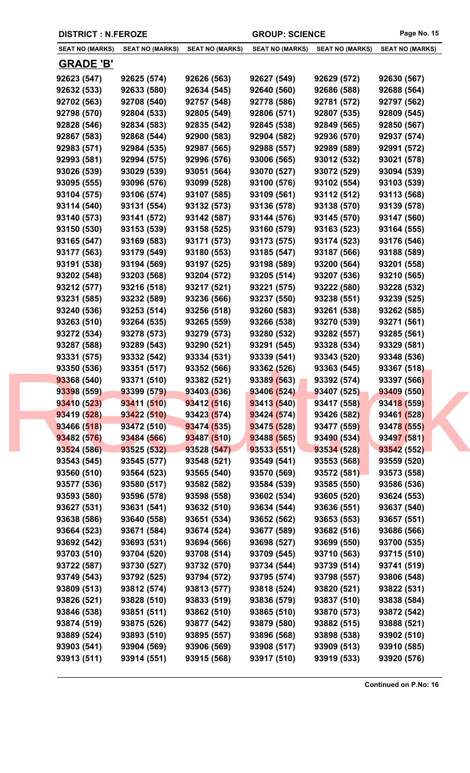|                        | <b>DISTRICT : N.FEROZE</b> |                        | <b>GROUP: SCIENCE</b>  |                        | Page No. 15            |
|------------------------|----------------------------|------------------------|------------------------|------------------------|------------------------|
| <b>SEAT NO (MARKS)</b> | <b>SEAT NO (MARKS)</b>     | <b>SEAT NO (MARKS)</b> | <b>SEAT NO (MARKS)</b> | <b>SEAT NO (MARKS)</b> | <b>SEAT NO (MARKS)</b> |
| <b>GRADE 'B'</b>       |                            |                        |                        |                        |                        |
| 92623 (547)            | 92625 (574)                | 92626 (563)            | 92627 (549)            | 92629 (572)            | 92630 (567)            |
| 92632 (533)            | 92633 (580)                | 92634 (545)            | 92640 (560)            | 92686 (588)            | 92688 (564)            |
| 92702 (563)            | 92708 (540)                | 92757 (548)            | 92778 (586)            | 92781 (572)            | 92797 (562)            |
| 92798 (570)            | 92804 (533)                | 92805 (549)            | 92806 (571)            | 92807 (535)            | 92809 (545)            |
| 92828 (546)            | 92834 (583)                | 92835 (542)            | 92845 (538)            | 92849 (565)            | 92850 (567)            |
| 92867 (583)            | 92868 (544)                | 92900 (583)            | 92904 (582)            | 92936 (570)            | 92937 (574)            |
| 92983 (571)            | 92984 (535)                | 92987 (565)            | 92988 (557)            | 92989 (589)            | 92991 (572)            |
| 92993 (581)            | 92994 (575)                | 92996 (576)            | 93006 (565)            | 93012 (532)            | 93021 (578)            |
| 93026 (539)            | 93029 (539)                | 93051 (564)            | 93070 (527)            | 93072 (529)            | 93094 (539)            |
| 93095 (555)            | 93096 (576)                | 93099 (528)            | 93100 (576)            | 93102 (554)            | 93103 (539)            |
| 93104 (575)            | 93106 (574)                | 93107 (585)            | 93109 (561)            | 93112 (512)            | 93113 (568)            |
| 93114 (540)            | 93131 (554)                | 93132 (573)            | 93136 (578)            | 93138 (570)            | 93139 (578)            |
| 93140 (573)            | 93141 (572)                | 93142 (587)            | 93144 (576)            | 93145 (570)            | 93147 (560)            |
| 93150 (530)            | 93153 (539)                | 93158 (525)            | 93160 (579)            | 93163 (523)            | 93164 (555)            |
| 93165 (547)            | 93169 (583)                | 93171 (573)            | 93173 (575)            | 93174 (523)            | 93176 (546)            |
| 93177 (563)            | 93179 (549)                | 93180 (553)            | 93185 (547)            | 93187 (566)            | 93188 (589)            |
| 93191 (538)            | 93194 (569)                | 93197 (525)            | 93198 (589)            | 93200 (564)            | 93201 (558)            |
| 93202 (548)            | 93203 (568)                | 93204 (572)            | 93205 (514)            | 93207 (536)            | 93210 (565)            |
| 93212 (577)            | 93216 (518)                | 93217 (521)            | 93221 (575)            | 93222 (580)            | 93228 (532)            |
| 93231 (585)            | 93232 (589)                | 93236 (566)            | 93237 (550)            | 93238 (551)            | 93239 (525)            |
| 93240 (536)            | 93253 (514)                | 93256 (518)            | 93260 (583)            | 93261 (538)            | 93262 (585)            |
| 93263 (510)            | 93264 (535)                | 93265 (559)            | 93266 (538)            | 93270 (539)            | 93271 (561)            |
| 93272 (534)            | 93278 (573)                | 93279 (573)            | 93280 (532)            | 93282 (557)            | 93285 (561)            |
| 93287 (588)            | 93289 (543)                | 93290 (521)            | 93291 (545)            | 93328 (534)            | 93329 (581)            |
| 93331 (575)            | 93332 (542)                | 93334 (531)            | 93339 (541)            | 93343 (520)            | 93348 (536)            |
| 93350 (536)            | 93351 (517)                | 93352 (566)            | 93362 (526)            | 93363 (545)            | 93367 (518)            |
| 93368 (540)            | 93371 (510)                | 93382 (521)            | 93389 (563)            | 93392 (574)            | 93397 (566)            |
| 93398 (559)            | 93399 (579)                | 93403 (536)            | 93406 (524)            | 93407 (525)            | 93409 (550)            |
| 93410 (523)            | 93411 (510)                | 93412(516)             | 93413 (540)            | 93417 (558)            | 93418 (559)            |
| 93419 (528)            | 93422 (510)                | 93423 (574)            | 93424(574)             | 93426 (582)            | 93461 (528)            |
| 93466 (518)            | 93472 (510)                | 93474 (535)            | 93475 (528)            | 93477 (559)            | 93478 (555)            |
| 93482 (576)            | 93484 (566)                | 93487 (510)            | 93488 (565)            | 93490 (534)            | 93497 (581)            |
| 93524 (586)            | 93525 (532)                | 93528 (547)            | 93533 (551)            | 93534 (528)            | 93542 (552)            |
| 93543 (545)            | 93545 (577)                | 93548 (521)            | 93549 (541)            | 93553 (568)            | 93559 (520)            |
| 93560 (510)            | 93564 (523)                | 93565 (540)            | 93570 (569)            | 93572(581)             | 93573 (558)            |
| 93577 (536)            | 93580 (517)                | 93582 (582)            | 93584 (539)            | 93585 (550)            | 93586 (536)            |
| 93593 (580)            | 93596 (578)                | 93598 (558)            | 93602 (534)            | 93605 (520)            | 93624 (553)            |
| 93627 (531)            | 93631 (541)                | 93632 (510)            | 93634 (544)            | 93636 (551)            | 93637 (540)            |
| 93638 (586)            | 93640 (558)                | 93651 (534)            | 93652 (562)            | 93653 (553)            | 93657 (551)            |
| 93664 (523)            | 93671 (584)                | 93674 (524)            | 93677 (589)            | 93682 (516)            | 93686 (566)            |
| 93692 (542)            | 93693 (531)                | 93694 (566)            | 93698 (527)            | 93699 (550)            | 93700 (535)            |
| 93703 (510)            | 93704 (520)                | 93708 (514)            | 93709 (545)            | 93710 (563)            | 93715 (510)            |
| 93722 (587)            | 93730 (527)                | 93732 (570)            | 93734 (544)            | 93739 (514)            | 93741 (519)            |
| 93749 (543)            | 93792 (525)                | 93794 (572)            | 93795 (574)            | 93798 (557)            | 93806 (548)            |
| 93809 (513)            | 93812 (574)                | 93813 (577)            | 93818 (524)            | 93820 (521)            | 93822 (531)            |
| 93826 (521)            | 93828 (510)                | 93833 (519)            | 93836 (579)            | 93837 (510)            | 93838 (584)            |
| 93846 (538)            | 93851 (511)                | 93862 (510)            | 93865 (510)            | 93870 (573)            | 93872 (542)            |
| 93874 (519)            | 93875 (526)                | 93877 (542)            | 93879 (580)            | 93882 (515)            | 93888 (521)            |
| 93889 (524)            | 93893 (510)                | 93895 (557)            | 93896 (568)            | 93898 (538)            | 93902 (510)            |
| 93903 (541)            | 93904 (569)                | 93906 (569)            | 93908 (517)            | 93909 (513)            | 93910 (585)            |
| 93913 (511)            | 93914 (551)                | 93915 (568)            | 93917 (510)            | 93919 (533)            | 93920 (576)            |
|                        |                            |                        |                        |                        |                        |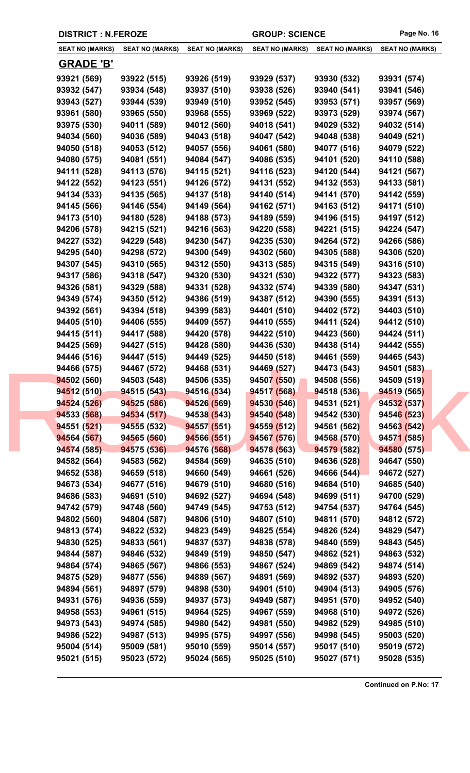|                        | <b>DISTRICT : N.FEROZE</b> |                        | <b>GROUP: SCIENCE</b>  |                        | Page No. 16            |
|------------------------|----------------------------|------------------------|------------------------|------------------------|------------------------|
| <b>SEAT NO (MARKS)</b> | <b>SEAT NO (MARKS)</b>     | <b>SEAT NO (MARKS)</b> | <b>SEAT NO (MARKS)</b> | <b>SEAT NO (MARKS)</b> | <b>SEAT NO (MARKS)</b> |
| <b>GRADE 'B'</b>       |                            |                        |                        |                        |                        |
| 93921 (569)            | 93922 (515)                | 93926 (519)            | 93929 (537)            | 93930 (532)            | 93931 (574)            |
| 93932 (547)            | 93934 (548)                | 93937 (510)            | 93938 (526)            | 93940 (541)            | 93941 (546)            |
| 93943 (527)            | 93944 (539)                | 93949 (510)            | 93952 (545)            | 93953 (571)            | 93957 (569)            |
| 93961 (580)            | 93965 (550)                | 93968 (555)            | 93969 (522)            | 93973 (529)            | 93974 (567)            |
| 93975 (530)            | 94011 (589)                | 94012 (560)            | 94018 (541)            | 94029 (532)            | 94032 (514)            |
| 94034 (560)            | 94036 (589)                | 94043 (518)            | 94047 (542)            | 94048 (538)            | 94049 (521)            |
| 94050 (518)            | 94053 (512)                | 94057 (556)            | 94061 (580)            | 94077 (516)            | 94079 (522)            |
| 94080 (575)            | 94081 (551)                | 94084 (547)            | 94086 (535)            | 94101 (520)            | 94110 (588)            |
| 94111 (528)            | 94113 (576)                | 94115 (521)            | 94116 (523)            | 94120 (544)            | 94121 (567)            |
| 94122 (552)            | 94123 (551)                | 94126 (572)            | 94131 (552)            | 94132 (553)            | 94133 (581)            |
| 94134 (533)            | 94135 (565)                | 94137 (518)            | 94140 (514)            | 94141 (570)            | 94142 (559)            |
| 94145 (566)            | 94146 (554)                | 94149 (564)            | 94162 (571)            | 94163 (512)            | 94171 (510)            |
| 94173 (510)            | 94180 (528)                | 94188 (573)            | 94189 (559)            | 94196 (515)            | 94197 (512)            |
| 94206 (578)            | 94215 (521)                | 94216 (563)            | 94220 (558)            | 94221 (515)            | 94224 (547)            |
| 94227 (532)            | 94229 (548)                | 94230 (547)            | 94235 (530)            | 94264 (572)            | 94266 (586)            |
| 94295 (540)            | 94298 (572)                | 94300 (549)            | 94302 (560)            | 94305 (588)            | 94306 (520)            |
| 94307 (545)            | 94310 (565)                | 94312 (550)            | 94313 (585)            | 94315 (549)            | 94316 (510)            |
| 94317 (586)            | 94318 (547)                | 94320 (530)            | 94321 (530)            | 94322 (577)            | 94323 (583)            |
| 94326 (581)            | 94329 (588)                | 94331 (528)            | 94332 (574)            | 94339 (580)            | 94347 (531)            |
| 94349 (574)            | 94350 (512)                | 94386 (519)            | 94387 (512)            | 94390 (555)            | 94391 (513)            |
| 94392 (561)            | 94394 (518)                | 94399 (583)            | 94401 (510)            | 94402 (572)            | 94403 (510)            |
| 94405 (510)            | 94406 (555)                | 94409 (557)            | 94410 (555)            | 94411 (524)            | 94412 (510)            |
| 94415 (511)            | 94417 (588)                | 94420 (578)            | 94422 (510)            | 94423 (560)            | 94424 (511)            |
| 94425 (569)            | 94427 (515)                | 94428 (580)            | 94436 (530)            | 94438 (514)            | 94442 (555)            |
| 94446 (516)            | 94447 (515)                | 94449 (525)            | 94450 (518)            | 94461 (559)            | 94465 (543)            |
| 94466 (575)            | 94467 (572)                | 94468 (531)            | 94469 (527)            | 94473 (543)            | 94501 (583)            |
| 94502 (560)            | 94503 (548)                | 94506 (535)            | 94507 (550)            | 94508 (556)            | 94509 (519)            |
| 94512 (510)            | 94515 (543)                | 94516 (534)            | 94517 (568)            | 94518 (536)            | 94519 (565)            |
| 94524 (526)            | 94525 (586)                | 94526 (569)            | 94530 (546)            | 94531 (521)            | 94532 (537)            |
| 94533 (568)            | 94534 (517)                | 94538 (543)            | 94540(548)             | 94542 (530)            | 94546 (523)            |
| 94551(521)             | 94555 (532)                | 94557 (551)            | 94559(512)             | 94561 (562)            | 94563 (542)            |
| 94564 (567)            | 94565 (560)                | 94566 (551)            | 94567 (576)            | 94568 (570)            | 94571 (585)            |
| 94574 (585)            | 94575 (536)                | 94576 (568)            | 94578 (563)            | 94579 (582)            | 94580 (575)            |
| 94582 (564)            | 94583 (562)                | 94584 (569)            | 94635 (510)            | 94636 (528)            | 94647 (550)            |
| 94652 (538)            | 94659 (518)                | 94660 (549)            | 94661 (526)            | 94666 (544)            | 94672 (527)            |
| 94673 (534)            | 94677 (516)                | 94679 (510)            | 94680 (516)            | 94684 (510)            | 94685 (540)            |
| 94686 (583)            | 94691 (510)                | 94692 (527)            | 94694 (548)            | 94699 (511)            | 94700 (529)            |
| 94742 (579)            | 94748 (560)                | 94749 (545)            | 94753 (512)            | 94754 (537)            | 94764 (545)            |
| 94802 (560)            | 94804 (587)                | 94806 (510)            | 94807 (510)            | 94811 (570)            | 94812 (572)            |
| 94813 (574)            | 94822 (532)                | 94823 (549)            | 94825 (554)            | 94826 (524)            | 94829 (547)            |
| 94830 (525)            | 94833 (561)                | 94837 (537)            | 94838 (578)            | 94840 (559)            | 94843 (545)            |
| 94844 (587)            | 94846 (532)                | 94849 (519)            | 94850 (547)            | 94862 (521)            | 94863 (532)            |
| 94864 (574)            | 94865 (567)                | 94866 (553)            | 94867 (524)            | 94869 (542)            | 94874 (514)            |
| 94875 (529)            | 94877 (556)                | 94889 (567)            | 94891 (569)            | 94892 (537)            | 94893 (520)            |
| 94894 (561)            | 94897 (579)                | 94898 (530)            | 94901 (510)            | 94904 (513)            | 94905 (576)            |
| 94931 (576)            | 94936 (559)                | 94937 (573)            | 94949 (587)            | 94951 (570)            | 94952 (540)            |
| 94958 (553)            | 94961 (515)                | 94964 (525)            | 94967 (559)            | 94968 (510)            | 94972 (526)            |
| 94973 (543)            | 94974 (585)                | 94980 (542)            | 94981 (550)            | 94982 (529)            | 94985 (510)            |
| 94986 (522)            | 94987 (513)                | 94995 (575)            | 94997 (556)            | 94998 (545)            | 95003 (520)            |
| 95004 (514)            | 95009 (581)                | 95010 (559)            | 95014 (557)            | 95017 (510)            | 95019 (572)            |
| 95021 (515)            | 95023 (572)                | 95024 (565)            | 95025 (510)            | 95027 (571)            | 95028 (535)            |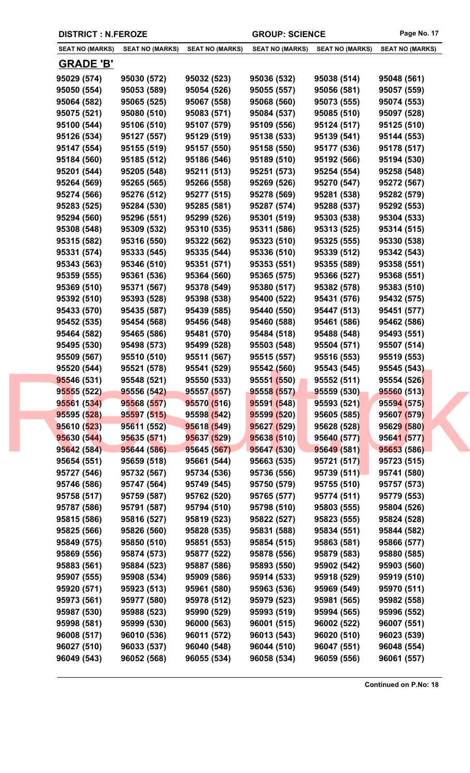|                        | <b>DISTRICT : N.FEROZE</b> |                        | <b>GROUP: SCIENCE</b>  |                        | Page No. 17            |
|------------------------|----------------------------|------------------------|------------------------|------------------------|------------------------|
| <b>SEAT NO (MARKS)</b> | <b>SEAT NO (MARKS)</b>     | <b>SEAT NO (MARKS)</b> | <b>SEAT NO (MARKS)</b> | <b>SEAT NO (MARKS)</b> | <b>SEAT NO (MARKS)</b> |
| <b>GRADE 'B'</b>       |                            |                        |                        |                        |                        |
| 95029 (574)            | 95030 (572)                | 95032 (523)            | 95036 (532)            | 95038 (514)            | 95048 (561)            |
| 95050 (554)            | 95053 (589)                | 95054 (526)            | 95055 (557)            | 95056 (581)            | 95057 (559)            |
| 95064 (582)            | 95065 (525)                | 95067 (558)            | 95068 (560)            | 95073 (555)            | 95074 (553)            |
| 95075 (521)            | 95080 (510)                | 95083 (571)            | 95084 (537)            | 95085 (510)            | 95097 (528)            |
| 95100 (544)            | 95106 (510)                | 95107 (579)            | 95109 (556)            | 95124 (517)            | 95125 (510)            |
| 95126 (534)            | 95127 (557)                | 95129 (519)            | 95138 (533)            | 95139 (541)            | 95144 (553)            |
| 95147 (554)            | 95155 (519)                | 95157 (550)            | 95158 (550)            | 95177 (536)            | 95178 (517)            |
| 95184 (560)            | 95185 (512)                | 95186 (546)            | 95189 (510)            | 95192 (566)            | 95194 (530)            |
| 95201 (544)            | 95205 (548)                | 95211 (513)            | 95251 (573)            | 95254 (554)            | 95258 (548)            |
| 95264 (569)            | 95265 (565)                | 95266 (558)            | 95269 (526)            | 95270 (547)            | 95272 (567)            |
| 95274 (566)            | 95276 (512)                | 95277 (515)            | 95278 (569)            | 95281 (538)            | 95282 (579)            |
| 95283 (525)            | 95284 (530)                | 95285 (581)            | 95287 (574)            | 95288 (537)            | 95292 (553)            |
| 95294 (560)            | 95296 (551)                | 95299 (526)            | 95301 (519)            | 95303 (538)            | 95304 (533)            |
| 95308 (548)            | 95309 (532)                | 95310 (535)            | 95311 (586)            | 95313 (525)            | 95314 (515)            |
| 95315 (582)            | 95316 (550)                | 95322 (562)            | 95323 (510)            | 95325 (555)            | 95330 (538)            |
| 95331 (574)            | 95333 (545)                | 95335 (544)            | 95336 (510)            | 95339 (512)            | 95342 (543)            |
| 95343 (563)            | 95346 (510)                | 95351 (571)            | 95353 (551)            | 95355 (589)            | 95358 (551)            |
| 95359 (555)            | 95361 (536)                | 95364 (560)            | 95365 (575)            | 95366 (527)            | 95368 (551)            |
| 95369 (510)            | 95371 (567)                | 95378 (549)            | 95380 (517)            | 95382 (578)            | 95383 (510)            |
| 95392 (510)            | 95393 (528)                | 95398 (538)            | 95400 (522)            | 95431 (576)            | 95432 (575)            |
| 95433 (570)            | 95435 (587)                | 95439 (585)            | 95440 (550)            | 95447 (513)            | 95451 (577)            |
| 95452 (535)            | 95454 (568)                | 95456 (548)            | 95460 (588)            | 95461 (586)            | 95462 (586)            |
| 95464 (582)            | 95465 (586)                | 95481 (570)            | 95484 (518)            | 95488 (548)            | 95493 (551)            |
| 95495 (530)            | 95498 (573)                | 95499 (528)            | 95503 (548)            | 95504 (571)            | 95507 (514)            |
| 95509 (567)            | 95510 (510)                | 95511 (567)            | 95515 (557)            | 95516 (553)            | 95519 (553)            |
| 95520 (544)            | 95521 (578)                | 95541 (529)            | 95542 (560)            | 95543 (545)            | 95545 (543)            |
| 95546 (531)            | 95548 (521)                | 95550 (533)            | 95551 (550)            | 95552 (511)            | 95554 (526)            |
| 95555 (522)            | 95556 (542)                | 95557 (557)            | 95558 (557)            | 95559 (530)            | 95560 (513)            |
| 95561 (534)            | 95568 (557)                | 95570 (516)            | 95591 (548)            | 95593 (521)            | 95594 (575)            |
| 95595 (528)            | 95597 (515)                | 95598 (542)            | 95599 (520)            | 95605 (585)            | 95607 (579)            |
| 95610 (523)            | 95611 (552)                | 95618 (549)            | 95627 (529)            | 95628 (528)            | 95629 (580)            |
| 95630 (544)            | 95635 (571)                | 95637 (529)            | 95638 (510)            | 95640 (577)            | 95641 (577)            |
| 95642 (584)            | 95644 (586)                | 95645 (567)            | 95647 (530)            | 95649 (581)            | 95653 (586)            |
| 95654 (551)            | 95659 (518)                | 95661 (544)            | 95663 (535)            | 95721 (517)            | 95723 (515)            |
| 95727 (546)            | 95732 (567)                | 95734 (536)            | 95736 (556)            | 95739(511)             | 95741 (580)            |
| 95746 (586)            | 95747 (564)                | 95749 (545)            | 95750 (579)            | 95755 (510)            | 95757 (573)            |
| 95758 (517)            | 95759 (587)                | 95762 (520)            | 95765 (577)            | 95774 (511)            | 95779 (553)            |
| 95787 (586)            | 95791 (587)                | 95794 (510)            | 95798 (510)            | 95803 (555)            | 95804 (526)            |
| 95815 (586)            | 95816 (527)                | 95819 (523)            | 95822 (527)            | 95823 (555)            | 95824 (528)            |
| 95825 (566)            | 95826 (560)                | 95828 (535)            | 95831 (588)            | 95834 (551)            | 95844 (582)            |
| 95849 (575)            | 95850 (510)                | 95851 (553)            | 95854 (515)            | 95863 (581)            | 95866 (577)            |
| 95869 (556)            | 95874 (573)                | 95877 (522)            | 95878 (556)            | 95879 (583)            | 95880 (585)            |
| 95883 (561)            | 95884 (523)                | 95887 (586)            | 95893 (550)            | 95902 (542)            | 95903 (560)            |
| 95907 (555)            | 95908 (534)                | 95909 (586)            | 95914 (533)            | 95918 (529)            | 95919 (510)            |
| 95920 (571)            | 95923 (513)                | 95961 (580)            | 95963 (536)            | 95969 (549)            | 95970 (511)            |
| 95973 (561)            | 95977 (580)                | 95978 (512)            | 95979 (523)            | 95981 (565)            | 95982 (558)            |
| 95987 (530)            | 95988 (523)                | 95990 (529)            | 95993 (519)            | 95994 (565)            | 95996 (552)            |
| 95998 (581)            | 95999 (530)                | 96000 (563)            | 96001 (515)            | 96002 (522)            | 96007 (551)            |
| 96008 (517)            | 96010 (536)                | 96011 (572)            | 96013 (543)            | 96020 (510)            | 96023 (539)            |
| 96027 (510)            | 96033 (537)                | 96040 (548)            | 96044 (510)            | 96047 (551)            | 96048 (554)            |
| 96049 (543)            | 96052 (568)                | 96055 (534)            | 96058 (534)            | 96059 (556)            | 96061 (557)            |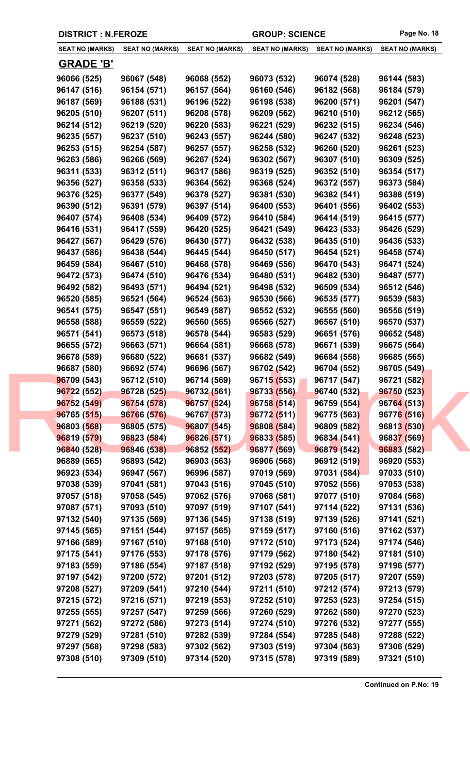|                        | <b>DISTRICT : N.FEROZE</b> |                        | <b>GROUP: SCIENCE</b>  |                        | Page No. 18            |
|------------------------|----------------------------|------------------------|------------------------|------------------------|------------------------|
| <b>SEAT NO (MARKS)</b> | <b>SEAT NO (MARKS)</b>     | <b>SEAT NO (MARKS)</b> | <b>SEAT NO (MARKS)</b> | <b>SEAT NO (MARKS)</b> | <b>SEAT NO (MARKS)</b> |
| <b>GRADE 'B'</b>       |                            |                        |                        |                        |                        |
| 96066 (525)            | 96067 (548)                | 96068 (552)            | 96073 (532)            | 96074 (528)            | 96144 (583)            |
| 96147 (516)            | 96154 (571)                | 96157 (564)            | 96160 (546)            | 96182 (568)            | 96184 (579)            |
| 96187 (569)            | 96188 (531)                | 96196 (522)            | 96198 (538)            | 96200 (571)            | 96201 (547)            |
| 96205 (510)            | 96207 (511)                | 96208 (578)            | 96209 (562)            | 96210 (510)            | 96212 (565)            |
| 96214 (512)            | 96219 (520)                | 96220 (583)            | 96221 (529)            | 96232 (515)            | 96234 (546)            |
| 96235 (557)            | 96237 (510)                | 96243 (557)            | 96244 (580)            | 96247 (532)            | 96248 (523)            |
| 96253 (515)            | 96254 (587)                | 96257 (557)            | 96258 (532)            | 96260 (520)            | 96261 (523)            |
| 96263 (586)            | 96266 (569)                | 96267 (524)            | 96302 (567)            | 96307 (510)            | 96309 (525)            |
| 96311 (533)            | 96312 (511)                | 96317 (586)            | 96319 (525)            | 96352 (510)            | 96354 (517)            |
| 96356 (527)            | 96358 (533)                | 96364 (562)            | 96368 (524)            | 96372 (557)            | 96373 (584)            |
| 96376 (525)            | 96377 (549)                | 96378 (527)            | 96381 (530)            | 96382 (541)            | 96388 (519)            |
| 96390 (512)            | 96391 (579)                | 96397 (514)            | 96400 (553)            | 96401 (556)            | 96402 (553)            |
| 96407 (574)            | 96408 (534)                | 96409 (572)            | 96410 (584)            | 96414 (519)            | 96415 (577)            |
| 96416 (531)            | 96417 (559)                | 96420 (525)            | 96421 (549)            | 96423 (533)            | 96426 (529)            |
| 96427 (567)            | 96429 (576)                | 96430 (577)            | 96432 (538)            | 96435 (510)            | 96436 (533)            |
| 96437 (586)            | 96438 (544)                | 96445 (544)            | 96450 (517)            | 96454 (521)            | 96458 (574)            |
| 96459 (584)            | 96467 (510)                | 96468 (578)            | 96469 (556)            | 96470 (543)            | 96471 (524)            |
| 96472 (573)            | 96474 (510)                | 96476 (534)            | 96480 (531)            | 96482 (530)            | 96487 (577)            |
| 96492 (582)            | 96493 (571)                | 96494 (521)            | 96498 (532)            | 96509 (534)            | 96512 (546)            |
| 96520 (585)            | 96521 (564)                | 96524 (563)            | 96530 (566)            | 96535 (577)            | 96539 (583)            |
| 96541 (575)            | 96547 (551)                | 96549 (587)            | 96552 (532)            | 96555 (560)            | 96556 (519)            |
| 96558 (588)            | 96559 (522)                | 96560 (565)            | 96566 (527)            | 96567 (510)            | 96570 (537)            |
| 96571 (541)            | 96573 (518)                | 96578 (544)            | 96583 (529)            | 96651 (576)            | 96652 (548)            |
| 96655 (572)            | 96663 (571)                | 96664 (581)            | 96668 (578)            | 96671 (539)            | 96675 (564)            |
| 96678 (589)            | 96680 (522)                | 96681 (537)            | 96682 (549)            | 96684 (558)            | 96685 (565)            |
| 96687 (580)            | 96692 (574)                | 96696 (567)            | 96702 (542)            | 96704 (552)            | 96705 (549)            |
| 96709 (543)            | 96712 (510)                | 96714 (569)            | 96715 (553)            | 96717 (547)            | 96721 (582)            |
| 96722 (552)            | 96728 (525)                | 96732 (561)            | 96733 (556)            | 96740 (532)            | 96750 (523)            |
| 96752 (549)            | 96754 (578)                | 96757 (524)            | 96758 (514)            | 96759 (554)            | 96764 (513)            |
| 96765 (515)            | 96766 (576)                | 96767 (573)            | 96772 (511)            | 96775 (563)            | 96776 (516)            |
| 96803 (568)            | 96805 (575)                | 96807 (545)            | 96808 (584)            | 96809 (582)            | 96813 (530)            |
| 96819 (579)            | 96823 (584)                | 96826 (571)            | 96833 (585)            | 96834 (541)            | 96837 (569)            |
| 96840 (528)            | 96846 (538)                | 96852 (552)            | 96877 (569)            | 96879 (542)            | 96883 (582)            |
| 96889 (565)            | 96893 (542)                | 96903 (563)            | 96906 (568)            | 96912 (519)            | 96920 (553)            |
| 96923 (534)            | 96947 (567)                | 96996 (587)            | 97019 (569)            | 97031 (584)            | 97033 (510)            |
| 97038 (539)            | 97041 (581)                | 97043 (516)            | 97045 (510)            | 97052 (556)            | 97053 (538)            |
| 97057 (518)            | 97058 (545)                | 97062 (576)            | 97068 (581)            | 97077 (510)            | 97084 (568)            |
| 97087 (571)            | 97093 (510)                | 97097 (519)            | 97107 (541)            | 97114 (522)            | 97131 (536)            |
| 97132 (540)            | 97135 (569)                | 97136 (545)            | 97138 (519)            | 97139 (526)            | 97141 (521)            |
| 97145 (565)            | 97151 (544)                | 97157 (565)            | 97159 (517)            | 97160 (516)            | 97162 (537)            |
| 97166 (589)            | 97167 (510)                | 97168 (510)            | 97172 (510)            | 97173 (524)            | 97174 (546)            |
| 97175 (541)            | 97176 (553)                | 97178 (576)            | 97179 (562)            | 97180 (542)            | 97181 (510)            |
| 97183 (559)            | 97186 (554)                | 97187 (518)            | 97192 (529)            | 97195 (578)            | 97196 (577)            |
| 97197 (542)            | 97200 (572)                | 97201 (512)            | 97203 (578)            | 97205 (517)            | 97207 (559)            |
| 97208 (527)            | 97209 (541)                | 97210 (544)            | 97211 (510)            | 97212 (574)            | 97213 (579)            |
| 97215 (572)            | 97216 (571)                | 97219 (553)            | 97252 (510)            | 97253 (523)            | 97254 (515)            |
| 97255 (555)            | 97257 (547)                | 97259 (566)            | 97260 (529)            | 97262 (580)            | 97270 (523)            |
| 97271 (562)            | 97272 (586)                | 97273 (514)            | 97274 (510)            | 97276 (532)            | 97277 (555)            |
| 97279 (529)            | 97281 (510)                | 97282 (539)            | 97284 (554)            | 97285 (548)            | 97288 (522)            |
| 97297 (568)            | 97298 (583)                | 97302 (562)            | 97303 (519)            | 97304 (563)            | 97306 (529)            |
| 97308 (510)            | 97309 (510)                | 97314 (520)            | 97315 (578)            | 97319 (589)            | 97321 (510)            |
|                        |                            |                        |                        |                        |                        |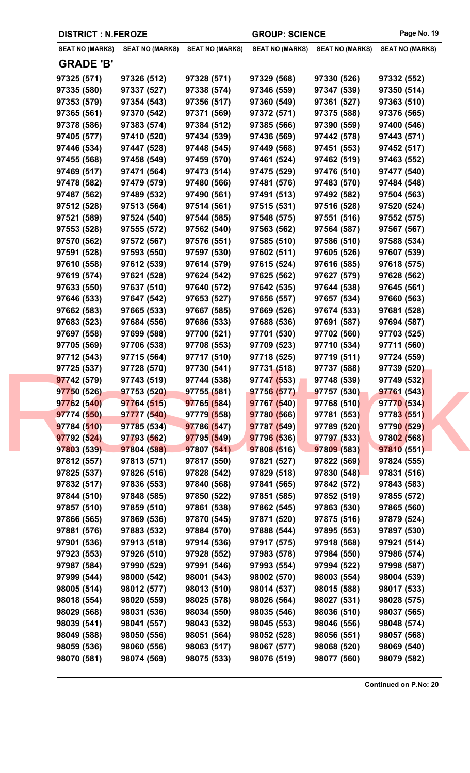|                        | <b>DISTRICT : N.FEROZE</b> |                        | <b>GROUP: SCIENCE</b>  |                        | Page No. 19            |
|------------------------|----------------------------|------------------------|------------------------|------------------------|------------------------|
| <b>SEAT NO (MARKS)</b> | <b>SEAT NO (MARKS)</b>     | <b>SEAT NO (MARKS)</b> | <b>SEAT NO (MARKS)</b> | <b>SEAT NO (MARKS)</b> | <b>SEAT NO (MARKS)</b> |
| <b>GRADE 'B'</b>       |                            |                        |                        |                        |                        |
| 97325 (571)            | 97326 (512)                | 97328 (571)            | 97329 (568)            | 97330 (526)            | 97332 (552)            |
| 97335 (580)            | 97337 (527)                | 97338 (574)            | 97346 (559)            | 97347 (539)            | 97350 (514)            |
| 97353 (579)            | 97354 (543)                | 97356 (517)            | 97360 (549)            | 97361 (527)            | 97363 (510)            |
| 97365 (561)            | 97370 (542)                | 97371 (569)            | 97372 (571)            | 97375 (588)            | 97376 (565)            |
| 97378 (586)            | 97383 (574)                | 97384 (512)            | 97385 (566)            | 97390 (559)            | 97400 (546)            |
| 97405 (577)            | 97410 (520)                | 97434 (539)            | 97436 (569)            | 97442 (578)            | 97443 (571)            |
| 97446 (534)            | 97447 (528)                | 97448 (545)            | 97449 (568)            | 97451 (553)            | 97452 (517)            |
| 97455 (568)            | 97458 (549)                | 97459 (570)            | 97461 (524)            | 97462 (519)            | 97463 (552)            |
| 97469 (517)            | 97471 (564)                | 97473 (514)            | 97475 (529)            | 97476 (510)            | 97477 (540)            |
| 97478 (582)            | 97479 (579)                | 97480 (566)            | 97481 (576)            | 97483 (570)            | 97484 (548)            |
| 97487 (562)            | 97489 (532)                | 97490 (561)            | 97491 (513)            | 97492 (582)            | 97504 (563)            |
| 97512 (528)            | 97513 (564)                | 97514 (561)            | 97515 (531)            | 97516 (528)            | 97520 (524)            |
| 97521 (589)            | 97524 (540)                | 97544 (585)            | 97548 (575)            | 97551 (516)            | 97552 (575)            |
| 97553 (528)            | 97555 (572)                | 97562 (540)            | 97563 (562)            | 97564 (587)            | 97567 (567)            |
| 97570 (562)            | 97572 (567)                | 97576 (551)            | 97585 (510)            | 97586 (510)            | 97588 (534)            |
| 97591 (528)            | 97593 (550)                | 97597 (530)            | 97602 (511)            | 97605 (526)            | 97607 (539)            |
| 97610 (558)            | 97612 (539)                | 97614 (579)            | 97615 (524)            | 97616 (585)            | 97618 (575)            |
| 97619 (574)            | 97621 (528)                | 97624 (542)            | 97625 (562)            | 97627 (579)            | 97628 (562)            |
| 97633 (550)            | 97637 (510)                | 97640 (572)            | 97642 (535)            | 97644 (538)            | 97645 (561)            |
| 97646 (533)            | 97647 (542)                | 97653 (527)            | 97656 (557)            | 97657 (534)            | 97660 (563)            |
| 97662 (583)            | 97665 (533)                | 97667 (585)            | 97669 (526)            | 97674 (533)            | 97681 (528)            |
| 97683 (523)            | 97684 (556)                | 97686 (533)            | 97688 (536)            | 97691 (587)            | 97694 (587)            |
| 97697 (558)            | 97699 (588)                | 97700 (521)            | 97701 (530)            | 97702 (560)            | 97703 (525)            |
| 97705 (569)            | 97706 (538)                | 97708 (553)            | 97709 (523)            | 97710 (534)            | 97711 (560)            |
| 97712 (543)            | 97715 (564)                | 97717 (510)            | 97718 (525)            | 97719 (511)            | 97724 (559)            |
| 97725 (537)            | 97728 (570)                | 97730 (541)            | 97731 (518)            | 97737 (588)            | 97739 (520)            |
| 97742 (579)            | 97743 (519)                | 97744 (538)            | 97747 (553)            | 97748 (539)            | 97749 (532)            |
| 97750 (526)            | 97753 (520)                | 97755 (581)            | 97756 (577)            | 97757 (530)            | 97761 (543)            |
| 97762 (540)            | 97764 (515)                | 97765 (584)            | 97767 (540)            | 97768 (510)            | 97770 (534)            |
| 97774 (550)            | 97777 (540)                | 97779 (558)            | 97780 (566)            | 97781 (553)            | 97783 (551)            |
| 97784 (510)            | 97785 (534)                | 97786 (547)            | 97787 (549)            | 97789 (520)            | 97790 (529)            |
| 97792 (524)            | 97793 (562)                | 97795 (549)            | 97796 (536)            | 97797 (533)            | 97802 (568)            |
| 97803 (539)            | 97804 (588)                | 97807 (541)            | 97808 (516)            | 97809 (583)            | 97810 (551)            |
| 97812 (557)            | 97813 (571)                | 97817 (550)            | 97821 (527)            | 97822 (569)            | 97824 (555)            |
| 97825 (537)            | 97826 (516)                | 97828 (542)            | 97829 (518)            | 97830 (548)            | 97831 (516)            |
| 97832 (517)            | 97836 (553)                | 97840 (568)            | 97841 (565)            | 97842 (572)            | 97843 (583)            |
| 97844 (510)            | 97848 (585)                | 97850 (522)            | 97851 (585)            | 97852 (519)            | 97855 (572)            |
| 97857 (510)            | 97859 (510)                | 97861 (538)            | 97862 (545)            | 97863 (530)            | 97865 (560)            |
| 97866 (565)            | 97869 (536)                | 97870 (545)            | 97871 (520)            | 97875 (516)            | 97879 (524)            |
| 97881 (576)            | 97883 (532)                | 97884 (570)            | 97888 (544)            | 97895 (553)            | 97897 (530)            |
| 97901 (536)            | 97913 (518)                | 97914 (536)            | 97917 (575)            | 97918 (568)            | 97921 (514)            |
| 97923 (553)            | 97926 (510)                | 97928 (552)            | 97983 (578)            | 97984 (550)            |                        |
| 97987 (584)            |                            | 97991 (546)            |                        |                        | 97986 (574)            |
|                        | 97990 (529)                |                        | 97993 (554)            | 97994 (522)            | 97998 (587)            |
| 97999 (544)            | 98000 (542)                | 98001 (543)            | 98002 (570)            | 98003 (554)            | 98004 (539)            |
| 98005 (514)            | 98012 (577)                | 98013 (510)            | 98014 (537)            | 98015 (588)            | 98017 (533)            |
| 98018 (554)            | 98020 (559)                | 98025 (578)            | 98026 (564)            | 98027 (531)            | 98028 (575)            |
| 98029 (568)            | 98031 (536)                | 98034 (550)            | 98035 (546)            | 98036 (510)            | 98037 (565)            |
| 98039 (541)            | 98041 (557)                | 98043 (532)            | 98045 (553)            | 98046 (556)            | 98048 (574)            |
| 98049 (588)            | 98050 (556)                | 98051 (564)            | 98052 (528)            | 98056 (551)            | 98057 (568)            |
| 98059 (536)            | 98060 (556)                | 98063 (517)            | 98067 (577)            | 98068 (520)            | 98069 (540)            |
| 98070 (581)            | 98074 (569)                | 98075 (533)            | 98076 (519)            | 98077 (560)            | 98079 (582)            |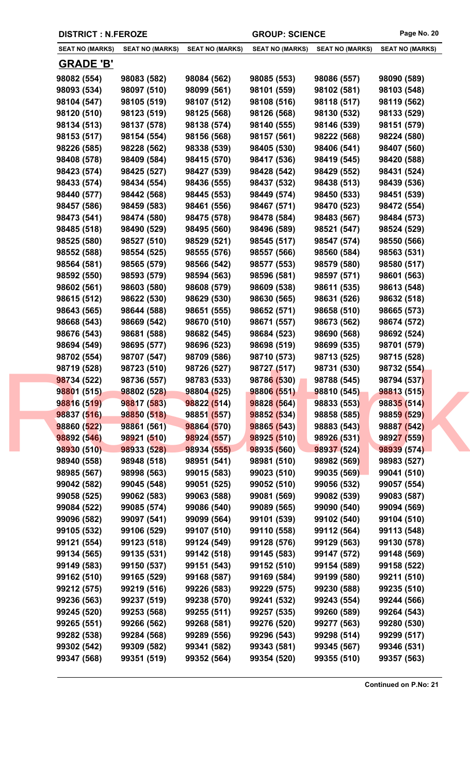|                        | <b>DISTRICT : N.FEROZE</b> |                        | <b>GROUP: SCIENCE</b>  |                        | Page No. 20            |
|------------------------|----------------------------|------------------------|------------------------|------------------------|------------------------|
| <b>SEAT NO (MARKS)</b> | <b>SEAT NO (MARKS)</b>     | <b>SEAT NO (MARKS)</b> | <b>SEAT NO (MARKS)</b> | <b>SEAT NO (MARKS)</b> | <b>SEAT NO (MARKS)</b> |
| <b>GRADE 'B'</b>       |                            |                        |                        |                        |                        |
| 98082 (554)            | 98083 (582)                | 98084 (562)            | 98085 (553)            | 98086 (557)            | 98090 (589)            |
| 98093 (534)            | 98097 (510)                | 98099 (561)            | 98101 (559)            | 98102 (581)            | 98103 (548)            |
| 98104 (547)            | 98105 (519)                | 98107 (512)            | 98108 (516)            | 98118 (517)            | 98119 (562)            |
| 98120 (510)            | 98123 (519)                | 98125 (568)            | 98126 (568)            | 98130 (532)            | 98133 (529)            |
| 98134 (513)            | 98137 (578)                | 98138 (574)            | 98140 (555)            | 98146 (539)            | 98151 (579)            |
| 98153 (517)            | 98154 (554)                | 98156 (568)            | 98157 (561)            | 98222 (568)            | 98224 (580)            |
| 98226 (585)            | 98228 (562)                | 98338 (539)            | 98405 (530)            | 98406 (541)            | 98407 (560)            |
| 98408 (578)            | 98409 (584)                | 98415 (570)            | 98417 (536)            | 98419 (545)            | 98420 (588)            |
| 98423 (574)            | 98425 (527)                | 98427 (539)            | 98428 (542)            | 98429 (552)            | 98431 (524)            |
| 98433 (574)            | 98434 (554)                | 98436 (555)            | 98437 (532)            | 98438 (513)            | 98439 (536)            |
| 98440 (577)            | 98442 (568)                | 98445 (553)            | 98449 (574)            | 98450 (533)            | 98451 (539)            |
| 98457 (586)            | 98459 (583)                | 98461 (556)            | 98467 (571)            | 98470 (523)            | 98472 (554)            |
| 98473 (541)            | 98474 (580)                | 98475 (578)            | 98478 (584)            | 98483 (567)            | 98484 (573)            |
| 98485 (518)            | 98490 (529)                | 98495 (560)            | 98496 (589)            | 98521 (547)            | 98524 (529)            |
| 98525 (580)            | 98527 (510)                | 98529 (521)            | 98545 (517)            | 98547 (574)            | 98550 (566)            |
| 98552 (588)            | 98554 (525)                | 98555 (576)            | 98557 (566)            | 98560 (584)            | 98563 (531)            |
| 98564 (581)            | 98565 (579)                | 98566 (542)            | 98577 (553)            | 98579 (580)            | 98580 (517)            |
| 98592 (550)            | 98593 (579)                | 98594 (563)            | 98596 (581)            | 98597 (571)            | 98601 (563)            |
| 98602 (561)            | 98603 (580)                | 98608 (579)            | 98609 (538)            | 98611 (535)            | 98613 (548)            |
| 98615 (512)            | 98622 (530)                | 98629 (530)            | 98630 (565)            | 98631 (526)            | 98632 (518)            |
| 98643 (565)            | 98644 (588)                | 98651 (555)            | 98652 (571)            | 98658 (510)            | 98665 (573)            |
| 98668 (543)            | 98669 (542)                | 98670 (510)            | 98671 (557)            | 98673 (562)            | 98674 (572)            |
| 98676 (543)            | 98681 (588)                | 98682 (545)            | 98684 (523)            | 98690 (568)            | 98692 (524)            |
| 98694 (549)            | 98695 (577)                | 98696 (523)            | 98698 (519)            | 98699 (535)            | 98701 (579)            |
| 98702 (554)            | 98707 (547)                | 98709 (586)            | 98710 (573)            | 98713 (525)            | 98715 (528)            |
| 98719 (528)            | 98723 (510)                | 98726 (527)            | 98727 (517)            | 98731 (530)            | 98732 (554)            |
| 98734 (522)            | 98736 (557)                | 98783 (533)            | 98786 (530)            | 98788 (545)            | 98794 (537)            |
| 98801 (515)            | 98802 (528)                | 98804 (525)            | 98806 (551)            | 98810 (545)            | 98813 (515)            |
| 98816 (519)            | 98817 (583)                | 98822 (514)            | 98828 (564)            | 98833 (553)            | 98835 (514)            |
| 98837 (516)            | 98850 (518)                | 98851 (557)            | 98852 (534)            | 98858 (585)            | 98859 (529)            |
| 98860 (522)            | 98861 (561)                | 98864 (570)            | 98865 (543)            | 98883 (543)            | 98887 (542)            |
| 98892 (546)            | 98921 (510)                | 98924 (557)            | 98925 (510)            | 98926 (531)            | 98927 (559)            |
| 98930 (510)            | 98933 (528)                | 98934 (555)            | 98935 (560)            | 98937 (524)            | 98939 (574)            |
| 98940 (558)            | 98948 (518)                | 98951 (541)            | 98981 (510)            | 98982 (569)            | 98983 (527)            |
| 98985 (567)            | 98998 (563)                | 99015 (583)            | 99023 (510)            | 99035 (569)            | 99041 (510)            |
| 99042 (582)            | 99045 (548)                | 99051 (525)            | 99052 (510)            | 99056 (532)            | 99057 (554)            |
| 99058 (525)            | 99062 (583)                | 99063 (588)            | 99081 (569)            | 99082 (539)            | 99083 (587)            |
| 99084 (522)            | 99085 (574)                | 99086 (540)            | 99089 (565)            | 99090 (540)            | 99094 (569)            |
| 99096 (582)            | 99097 (541)                | 99099 (564)            | 99101 (539)            | 99102 (540)            | 99104 (510)            |
| 99105 (532)            | 99106 (529)                | 99107 (510)            | 99110 (558)            | 99112 (564)            | 99113 (548)            |
| 99121 (554)            | 99123 (518)                | 99124 (549)            | 99128 (576)            | 99129 (563)            | 99130 (578)            |
| 99134 (565)            | 99135 (531)                | 99142 (518)            | 99145 (583)            | 99147 (572)            | 99148 (569)            |
| 99149 (583)            | 99150 (537)                | 99151 (543)            | 99152 (510)            | 99154 (589)            | 99158 (522)            |
| 99162 (510)            | 99165 (529)                | 99168 (587)            | 99169 (584)            | 99199 (580)            | 99211 (510)            |
| 99212 (575)            | 99219 (516)                | 99226 (583)            | 99229 (575)            | 99230 (588)            | 99235 (510)            |
| 99236 (563)            | 99237 (519)                | 99238 (570)            | 99241 (532)            | 99243 (554)            | 99244 (566)            |
| 99245 (520)            | 99253 (568)                | 99255 (511)            | 99257 (535)            | 99260 (589)            | 99264 (543)            |
| 99265 (551)            | 99266 (562)                | 99268 (581)            | 99276 (520)            | 99277 (563)            | 99280 (530)            |
| 99282 (538)            | 99284 (568)                | 99289 (556)            | 99296 (543)            | 99298 (514)            | 99299 (517)            |
| 99302 (542)            | 99309 (582)                | 99341 (582)            | 99343 (581)            | 99345 (567)            | 99346 (531)            |
| 99347 (568)            | 99351 (519)                | 99352 (564)            | 99354 (520)            | 99355 (510)            | 99357 (563)            |
|                        |                            |                        |                        |                        |                        |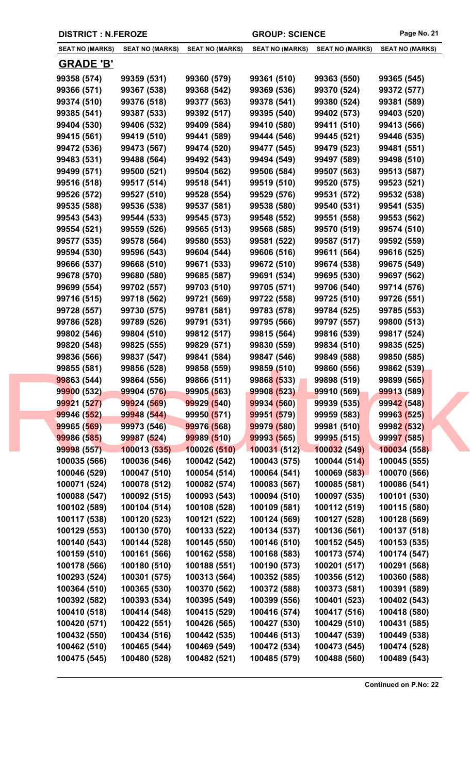|  | <b>DISTRICT : N.FEROZE</b>   |                              |                              | <b>GROUP: SCIENCE</b>        |                              | Page No. 21                  |
|--|------------------------------|------------------------------|------------------------------|------------------------------|------------------------------|------------------------------|
|  | <b>SEAT NO (MARKS)</b>       | <b>SEAT NO (MARKS)</b>       | <b>SEAT NO (MARKS)</b>       | <b>SEAT NO (MARKS)</b>       | <b>SEAT NO (MARKS)</b>       | <b>SEAT NO (MARKS)</b>       |
|  | <b>GRADE 'B'</b>             |                              |                              |                              |                              |                              |
|  | 99358 (574)                  | 99359 (531)                  | 99360 (579)                  | 99361 (510)                  | 99363 (550)                  | 99365 (545)                  |
|  | 99366 (571)                  | 99367 (538)                  | 99368 (542)                  | 99369 (536)                  | 99370 (524)                  | 99372 (577)                  |
|  | 99374 (510)                  | 99376 (518)                  | 99377 (563)                  | 99378 (541)                  | 99380 (524)                  | 99381 (589)                  |
|  | 99385 (541)                  | 99387 (533)                  | 99392 (517)                  | 99395 (540)                  | 99402 (573)                  | 99403 (520)                  |
|  | 99404 (530)                  | 99406 (532)                  | 99409 (584)                  | 99410 (580)                  | 99411 (510)                  | 99413 (566)                  |
|  | 99415 (561)                  | 99419 (510)                  | 99441 (589)                  | 99444 (546)                  | 99445 (521)                  | 99446 (535)                  |
|  | 99472 (536)                  | 99473 (567)                  | 99474 (520)                  | 99477 (545)                  | 99479 (523)                  | 99481 (551)                  |
|  | 99483 (531)                  | 99488 (564)                  | 99492 (543)                  | 99494 (549)                  | 99497 (589)                  | 99498 (510)                  |
|  | 99499 (571)                  | 99500 (521)                  | 99504 (562)                  | 99506 (584)                  | 99507 (563)                  | 99513 (587)                  |
|  | 99516 (518)                  | 99517 (514)                  | 99518 (541)                  | 99519 (510)                  | 99520 (575)                  | 99523 (521)                  |
|  | 99526 (572)                  | 99527 (510)                  | 99528 (554)                  | 99529 (576)                  | 99531 (572)                  | 99532 (538)                  |
|  | 99535 (588)                  | 99536 (538)                  | 99537 (581)                  | 99538 (580)                  | 99540 (531)                  | 99541 (535)                  |
|  | 99543 (543)                  | 99544 (533)                  | 99545 (573)                  | 99548 (552)                  | 99551 (558)                  | 99553 (562)                  |
|  | 99554 (521)                  | 99559 (526)                  | 99565 (513)                  | 99568 (585)                  | 99570 (519)                  | 99574 (510)                  |
|  | 99577 (535)                  | 99578 (564)                  | 99580 (553)                  | 99581 (522)                  | 99587 (517)                  | 99592 (559)                  |
|  | 99594 (530)                  | 99596 (543)                  | 99604 (544)                  | 99606 (516)                  | 99611 (564)                  | 99616 (525)                  |
|  | 99666 (537)                  | 99668 (510)                  | 99671 (533)                  | 99672 (510)                  | 99674 (538)                  | 99675 (549)                  |
|  | 99678 (570)                  | 99680 (580)                  | 99685 (587)                  | 99691 (534)                  | 99695 (530)                  | 99697 (562)                  |
|  | 99699 (554)                  | 99702 (557)                  | 99703 (510)                  | 99705 (571)                  | 99706 (540)                  | 99714 (576)                  |
|  | 99716 (515)                  | 99718 (562)                  | 99721 (569)                  | 99722 (558)                  | 99725 (510)                  | 99726 (551)                  |
|  | 99728 (557)                  | 99730 (575)                  | 99781 (581)                  | 99783 (578)                  | 99784 (525)                  | 99785 (553)                  |
|  | 99786 (528)                  | 99789 (526)                  | 99791 (531)                  | 99795 (566)                  | 99797 (557)                  | 99800 (513)                  |
|  | 99802 (546)                  | 99804 (510)                  | 99812 (517)                  | 99815 (564)                  | 99816 (539)                  | 99817 (524)                  |
|  | 99820 (548)                  | 99825 (555)                  | 99829 (571)                  | 99830 (559)                  | 99834 (510)                  | 99835 (525)                  |
|  | 99836 (566)                  | 99837 (547)                  | 99841 (584)                  | 99847 (546)                  | 99849 (588)                  | 99850 (585)                  |
|  | 99855 (581)                  | 99856 (528)                  | 99858 (559)                  | 99859 (510)                  | 99860 (556)                  | 99862 (539)                  |
|  | 99863 (544)                  | 99864 (556)                  | 99866 (511)                  | 99868 (533)                  | 99898 (519)                  | 99899 (565)                  |
|  | 99900 (532)                  | 99904 (576)                  | 99905 (563)                  | 99908 (523)                  | 99910 (569)                  | <b>99913 (589)</b>           |
|  | 99921 (527)                  | 99924 (569)                  | 99929 (540)                  | 99934 (560)                  | 99939 (535)                  | 99942 (548)                  |
|  | 99946 (552)                  | 99948 (544)                  | 99950 (571)                  | 99951 (579)                  | 99959 (583)                  | 99963 (525)                  |
|  | 99965 (569)                  | 99973 (546)                  | 99976 (568)                  | 99979 (580)                  | 99981 (510)                  | 99982 (532)                  |
|  | 99986 (585)                  | 99987 (524)                  | 99989 (510)                  | 99993 (565)                  | 99995 (515)                  | 99997 (585)                  |
|  | 99998 (557)                  | 100013 (535)                 | 100026 (510)                 | 100031(512)                  | 100032 (549)                 | 100034 (558)                 |
|  | 100035 (566)                 | 100036 (546)                 | 100042 (542)                 | 100043 (575)                 | 100044(514)                  | 100045 (555)                 |
|  | 100046 (529)                 | 100047 (510)                 | 100054 (514)                 | 100064 (541)                 | 100069 (583)                 | 100070 (566)                 |
|  | 100071 (524)                 | 100078 (512)                 | 100082 (574)                 | 100083 (567)                 | 100085 (581)                 | 100086 (541)                 |
|  | 100088 (547)                 | 100092 (515)                 | 100093 (543)                 | 100094 (510)                 | 100097 (535)                 | 100101 (530)                 |
|  | 100102 (589)                 | 100104 (514)                 | 100108 (528)                 | 100109 (581)                 | 100112 (519)                 | 100115 (580)                 |
|  | 100117 (538)                 | 100120 (523)<br>100130 (570) | 100121 (522)                 | 100124 (569)<br>100134 (537) | 100127 (528)<br>100136 (561) | 100128 (569)                 |
|  | 100129 (553)<br>100140 (543) | 100144 (528)                 | 100133 (522)<br>100145 (550) | 100146 (510)                 | 100152 (545)                 | 100137 (518)<br>100153 (535) |
|  | 100159 (510)                 | 100161 (566)                 | 100162 (558)                 | 100168 (583)                 | 100173 (574)                 | 100174 (547)                 |
|  | 100178 (566)                 | 100180 (510)                 | 100188 (551)                 | 100190 (573)                 | 100201 (517)                 | 100291 (568)                 |
|  | 100293 (524)                 | 100301 (575)                 | 100313 (564)                 | 100352 (585)                 | 100356 (512)                 | 100360 (588)                 |
|  | 100364 (510)                 | 100365 (530)                 | 100370 (562)                 | 100372 (588)                 | 100373 (581)                 | 100391 (589)                 |
|  | 100392 (582)                 | 100393 (534)                 | 100395 (549)                 | 100399 (556)                 | 100401 (523)                 | 100402 (543)                 |
|  | 100410 (518)                 | 100414 (548)                 | 100415 (529)                 | 100416 (574)                 | 100417 (516)                 | 100418 (580)                 |
|  | 100420 (571)                 | 100422 (551)                 | 100426 (565)                 | 100427 (530)                 | 100429 (510)                 | 100431 (585)                 |
|  | 100432 (550)                 | 100434 (516)                 | 100442 (535)                 | 100446 (513)                 | 100447 (539)                 | 100449 (538)                 |
|  | 100462 (510)                 | 100465 (544)                 | 100469 (549)                 | 100472 (534)                 | 100473 (545)                 | 100474 (528)                 |
|  | 100475 (545)                 | 100480 (528)                 | 100482 (521)                 | 100485 (579)                 | 100488 (560)                 | 100489 (543)                 |
|  |                              |                              |                              |                              |                              |                              |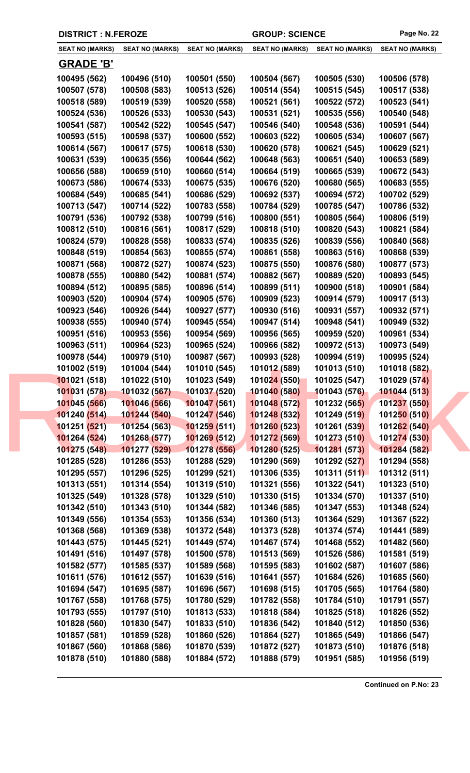|  | <b>DISTRICT : N.FEROZE</b> |                        |                             | <b>GROUP: SCIENCE</b>  |                        | Page No. 22            |
|--|----------------------------|------------------------|-----------------------------|------------------------|------------------------|------------------------|
|  | <b>SEAT NO (MARKS)</b>     | <b>SEAT NO (MARKS)</b> | <b>SEAT NO (MARKS)</b>      | <b>SEAT NO (MARKS)</b> | <b>SEAT NO (MARKS)</b> | <b>SEAT NO (MARKS)</b> |
|  | <b>GRADE 'B'</b>           |                        |                             |                        |                        |                        |
|  | 100495 (562)               | 100496 (510)           | 100501 (550)                | 100504 (567)           | 100505 (530)           | 100506 (578)           |
|  | 100507 (578)               | 100508 (583)           | 100513 (526)                | 100514 (554)           | 100515 (545)           | 100517 (538)           |
|  | 100518 (589)               | 100519 (539)           | 100520 (558)                | 100521 (561)           | 100522 (572)           | 100523 (541)           |
|  | 100524 (536)               | 100526 (533)           | 100530 (543)                | 100531 (521)           | 100535 (556)           | 100540 (548)           |
|  | 100541 (587)               | 100542 (522)           | 100545 (547)                | 100546 (540)           | 100548 (536)           | 100591 (544)           |
|  | 100593 (515)               | 100598 (537)           | 100600 (552)                | 100603 (522)           | 100605 (534)           | 100607 (567)           |
|  | 100614 (567)               | 100617 (575)           | 100618 (530)                | 100620 (578)           | 100621 (545)           | 100629 (521)           |
|  | 100631 (539)               | 100635 (556)           | 100644 (562)                | 100648 (563)           | 100651 (540)           | 100653 (589)           |
|  | 100656 (588)               | 100659 (510)           | 100660 (514)                | 100664 (519)           | 100665 (539)           | 100672 (543)           |
|  | 100673 (586)               | 100674 (533)           | 100675 (535)                | 100676 (520)           | 100680 (565)           | 100683 (555)           |
|  | 100684 (549)               | 100685 (541)           | 100686 (529)                | 100692 (537)           | 100694 (572)           | 100702 (529)           |
|  | 100713 (547)               | 100714 (522)           | 100783 (558)                | 100784 (529)           | 100785 (547)           | 100786 (532)           |
|  | 100791 (536)               | 100792 (538)           | 100799 (516)                | 100800 (551)           | 100805 (564)           | 100806 (519)           |
|  | 100812 (510)               | 100816 (561)           | 100817 (529)                | 100818 (510)           | 100820 (543)           | 100821 (584)           |
|  | 100824 (579)               | 100828 (558)           | 100833 (574)                | 100835 (526)           | 100839 (556)           | 100840 (568)           |
|  | 100848 (519)               | 100854 (563)           | 100855 (574)                | 100861 (558)           | 100863 (516)           | 100868 (539)           |
|  | 100871 (568)               | 100872 (527)           | 100874 (523)                | 100875 (550)           | 100876 (580)           | 100877 (573)           |
|  | 100878 (555)               | 100880 (542)           | 100881 (574)                | 100882 (567)           | 100889 (520)           | 100893 (545)           |
|  | 100894 (512)               | 100895 (585)           | 100896 (514)                | 100899 (511)           | 100900 (518)           | 100901 (584)           |
|  | 100903 (520)               | 100904 (574)           | 100905 (576)                | 100909 (523)           | 100914 (579)           | 100917 (513)           |
|  | 100923 (546)               | 100926 (544)           | 100927 (577)                | 100930 (516)           | 100931 (557)           | 100932 (571)           |
|  | 100938 (555)               | 100940 (574)           | 100945 (554)                | 100947 (514)           | 100948 (541)           | 100949 (532)           |
|  | 100951 (516)               | 100953 (556)           | 100954 (569)                | 100956 (565)           | 100959 (520)           | 100961 (534)           |
|  | 100963 (511)               | 100964 (523)           | 100965 (524)                | 100966 (582)           | 100972 (513)           | 100973 (549)           |
|  | 100978 (544)               | 100979 (510)           | 100987 (567)                | 100993 (528)           | 100994 (519)           | 100995 (524)           |
|  | 101002 (519)               | 101004 (544)           | 101010 (545)                | 101012 (589)           | 101013 (510)           | 101018 (582)           |
|  | 101021 (518)               | 101022 (510)           | 101023 (549)                | 101024 (550)           | 101025 (547)           | 101029 (574)           |
|  | 101031 (578)               | 101032 (567)           | 101037 (520)                | 101040 (580)           | 101043 (576)           | 101044 (513)           |
|  | 101045 (566)               | 101046 (566)           | 101047 (561)                | 101048 (572)           | 101232 (565)           | 101237 (550)           |
|  | 101240 (514)               | 101244 (540)           | 10124 <mark>7 (</mark> 546) | 101248 (532)           | 101249 (519)           | 101250 (510)           |
|  | 101251 (521)               | 101254 (563)           | 101259 (511)                | 101260 (523)           | 101261 (539)           | 101262 (540)           |
|  | 101264 (524)               | 101268 (577)           | 101269 (512)                | 101272 (569)           | 101273 (510)           | 101274 (530)           |
|  | 101275 (548)               | 101277 (529)           | 101278 (556)                | 101280 (525)           | 101281 (573)           | 101284 (582)           |
|  | 101285 (528)               | 101286 (553)           | 101288 (529)                | 101290 (569)           | 101292 (527)           | 101294 (558)           |
|  | 101295 (557)               | 101296 (525)           | 101299 (521)                | 101306 (535)           | 101311(511)            | 101312 (511)           |
|  | 101313 (551)               | 101314 (554)           | 101319 (510)                | 101321 (556)           | 101322 (541)           | 101323 (510)           |
|  | 101325 (549)               | 101328 (578)           | 101329 (510)                | 101330 (515)           | 101334 (570)           | 101337 (510)           |
|  | 101342 (510)               | 101343 (510)           | 101344 (582)                | 101346 (585)           | 101347 (553)           | 101348 (524)           |
|  | 101349 (556)               | 101354 (553)           | 101356 (534)                | 101360 (513)           | 101364 (529)           | 101367 (522)           |
|  | 101368 (568)               | 101369 (538)           | 101372 (548)                | 101373 (528)           | 101374 (574)           | 101441 (589)           |
|  | 101443 (575)               | 101445 (521)           | 101449 (574)                | 101467 (574)           | 101468 (552)           | 101482 (560)           |
|  | 101491 (516)               | 101497 (578)           | 101500 (578)                | 101513 (569)           | 101526 (586)           | 101581 (519)           |
|  | 101582 (577)               | 101585 (537)           | 101589 (568)                | 101595 (583)           | 101602 (587)           | 101607 (586)           |
|  | 101611 (576)               | 101612 (557)           | 101639 (516)                | 101641 (557)           | 101684 (526)           | 101685 (560)           |
|  | 101694 (547)               | 101695 (587)           | 101696 (567)                | 101698 (515)           | 101705 (565)           | 101764 (580)           |
|  | 101767 (558)               | 101768 (575)           | 101780 (529)                | 101782 (558)           | 101784 (510)           | 101791 (557)           |
|  | 101793 (555)               | 101797 (510)           | 101813 (533)                | 101818 (584)           | 101825 (518)           | 101826 (552)           |
|  | 101828 (560)               | 101830 (547)           | 101833 (510)                | 101836 (542)           | 101840 (512)           | 101850 (536)           |
|  | 101857 (581)               | 101859 (528)           | 101860 (526)                | 101864 (527)           | 101865 (549)           | 101866 (547)           |
|  | 101867 (560)               | 101868 (586)           | 101870 (539)                | 101872 (527)           | 101873 (510)           | 101876 (518)           |
|  | 101878 (510)               | 101880 (588)           | 101884 (572)                | 101888 (579)           | 101951 (585)           | 101956 (519)           |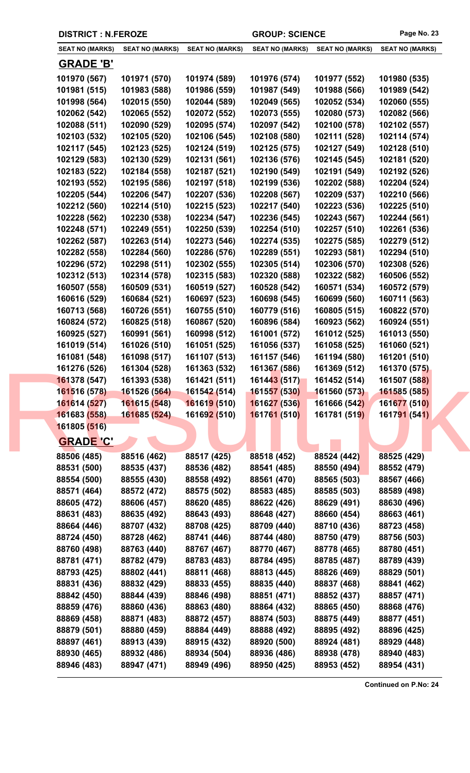| <b>DISTRICT : N.FEROZE</b> |                        |                             | <b>GROUP: SCIENCE</b>  |                        | Page No. 23            |
|----------------------------|------------------------|-----------------------------|------------------------|------------------------|------------------------|
| <b>SEAT NO (MARKS)</b>     | <b>SEAT NO (MARKS)</b> | <b>SEAT NO (MARKS)</b>      | <b>SEAT NO (MARKS)</b> | <b>SEAT NO (MARKS)</b> | <b>SEAT NO (MARKS)</b> |
| <b>GRADE 'B'</b>           |                        |                             |                        |                        |                        |
| 101970 (567)               | 101971 (570)           | 101974 (589)                | 101976 (574)           | 101977 (552)           | 101980 (535)           |
| 101981 (515)               | 101983 (588)           | 101986 (559)                | 101987 (549)           | 101988 (566)           | 101989 (542)           |
| 101998 (564)               | 102015 (550)           | 102044 (589)                | 102049 (565)           | 102052 (534)           | 102060 (555)           |
| 102062 (542)               | 102065 (552)           | 102072 (552)                | 102073 (555)           | 102080 (573)           | 102082 (566)           |
| 102088 (511)               | 102090 (529)           | 102095 (574)                | 102097 (542)           | 102100 (578)           | 102102 (557)           |
| 102103 (532)               | 102105 (520)           | 102106 (545)                | 102108 (580)           | 102111 (528)           | 102114 (574)           |
| 102117 (545)               | 102123 (525)           | 102124 (519)                | 102125 (575)           | 102127 (549)           | 102128 (510)           |
| 102129 (583)               | 102130 (529)           | 102131 (561)                | 102136 (576)           | 102145 (545)           | 102181 (520)           |
| 102183 (522)               | 102184 (558)           | 102187 (521)                | 102190 (549)           | 102191 (549)           | 102192 (526)           |
| 102193 (552)               | 102195 (586)           | 102197 (518)                | 102199 (536)           | 102202 (588)           | 102204 (524)           |
| 102205 (544)               | 102206 (547)           | 102207 (536)                | 102208 (567)           | 102209 (537)           | 102210 (566)           |
| 102212 (560)               | 102214 (510)           | 102215 (523)                | 102217 (540)           | 102223 (536)           | 102225 (510)           |
| 102228 (562)               | 102230 (538)           | 102234 (547)                | 102236 (545)           | 102243 (567)           | 102244 (561)           |
| 102248 (571)               | 102249 (551)           | 102250 (539)                | 102254 (510)           | 102257 (510)           | 102261 (536)           |
| 102262 (587)               | 102263 (514)           | 102273 (546)                | 102274 (535)           | 102275 (585)           | 102279 (512)           |
| 102282 (558)               | 102284 (560)           | 102286 (576)                | 102289 (551)           | 102293 (581)           | 102294 (510)           |
| 102296 (572)               | 102298 (511)           | 102302 (555)                | 102305 (514)           | 102306 (570)           | 102308 (526)           |
| 102312 (513)               | 102314 (578)           | 102315 (583)                | 102320 (588)           | 102322 (582)           | 160506 (552)           |
| 160507 (558)               | 160509 (531)           | 160519 (527)                | 160528 (542)           | 160571 (534)           | 160572 (579)           |
| 160616 (529)               | 160684 (521)           | 160697 (523)                | 160698 (545)           | 160699 (560)           | 160711 (563)           |
| 160713 (568)               | 160726 (551)           | 160755 (510)                | 160779 (516)           | 160805 (515)           | 160822 (570)           |
| 160824 (572)               | 160825 (518)           | 160867 (520)                | 160896 (584)           | 160923 (562)           | 160924 (551)           |
| 160925 (527)               | 160991 (561)           | 160998 (512)                | 161001 (572)           | 161012 (525)           | 161013 (550)           |
| 161019 (514)               | 161026 (510)           | 161051 (525)                | 161056 (537)           | 161058 (525)           | 161060 (521)           |
| 161081 (548)               | 161098 (517)           | 161107 (513)                | 161157 (546)           | 161194 (580)           | 161201 (510)           |
| 161276 (526)               | 161304 (528)           | 161363 (532)                | 161367 (586)           | 161369 (512)           | 161370 (575)           |
| 161378 (547)               | 161393 (538)           | 161421 (511)                | 161443 (517)           | 161452 (514)           | 161507 (588)           |
| 161516 (578)               | 161526 (564)           | 161542 (514)                | 161557 (530)           | 161560 (573)           | 161585 (585)           |
| 161614 (527)               | 161615 (548)           | 161619 (510)                | 161627 (536)           | 161666 (542)           | 161677 (510)           |
| 161683 (558)               | 161685 (524)           | 16169 <mark>2 (</mark> 510) | 161761 (510)           | 161781 (519)           | 161791 (541)           |
| 161805 (516)               |                        |                             |                        |                        |                        |
| <b>GRADE 'C'</b>           |                        |                             |                        |                        |                        |
| 88506 (485)                | 88516 (462)            | 88517 (425)                 | 88518 (452)            | 88524 (442)            | 88525 (429)            |
| 88531 (500)                | 88535 (437)            | 88536 (482)                 | 88541 (485)            | 88550 (494)            | 88552 (479)            |
| 88554 (500)                | 88555 (430)            | 88558 (492)                 | 88561 (470)            | 88565 (503)            | 88567 (466)            |
| 88571 (464)                | 88572 (472)            | 88575 (502)                 | 88583 (485)            | 88585 (503)            | 88589 (498)            |
| 88605 (472)                | 88606 (457)            | 88620 (485)                 | 88622 (426)            | 88629 (491)            | 88630 (496)            |
| 88631 (483)                | 88635 (492)            | 88643 (493)                 | 88648 (427)            | 88660 (454)            | 88663 (461)            |
| 88664 (446)                | 88707 (432)            | 88708 (425)                 | 88709 (440)            | 88710 (436)            | 88723 (458)            |
| 88724 (450)                | 88728 (462)            | 88741 (446)                 | 88744 (480)            | 88750 (479)            | 88756 (503)            |
| 88760 (498)                | 88763 (440)            | 88767 (467)                 | 88770 (467)            | 88778 (465)            | 88780 (451)            |
| 88781 (471)                | 88782 (479)            | 88783 (483)                 | 88784 (495)            | 88785 (487)            | 88789 (439)            |
| 88793 (425)                | 88802 (441)            | 88811 (468)                 | 88813 (445)            | 88826 (469)            | 88829 (501)            |
| 88831 (436)                | 88832 (429)            | 88833 (455)                 | 88835 (440)            | 88837 (468)            | 88841 (462)            |
| 88842 (450)                | 88844 (439)            | 88846 (498)                 | 88851 (471)            | 88852 (437)            | 88857 (471)            |
| 88859 (476)                | 88860 (436)            | 88863 (480)                 | 88864 (432)            | 88865 (450)            | 88868 (476)            |
| 88869 (458)                | 88871 (483)            | 88872 (457)                 | 88874 (503)            | 88875 (449)            | 88877 (451)            |
| 88879 (501)                | 88880 (459)            | 88884 (449)                 | 88888 (492)            | 88895 (492)            | 88896 (425)            |
| 88897 (461)                | 88913 (439)            | 88915 (432)                 | 88920 (500)            | 88924 (481)            | 88929 (448)            |
| 88930 (465)                | 88932 (486)            | 88934 (504)                 | 88936 (486)            | 88938 (478)            | 88940 (483)            |
| 88946 (483)                | 88947 (471)            | 88949 (496)                 | 88950 (425)            | 88953 (452)            | 88954 (431)            |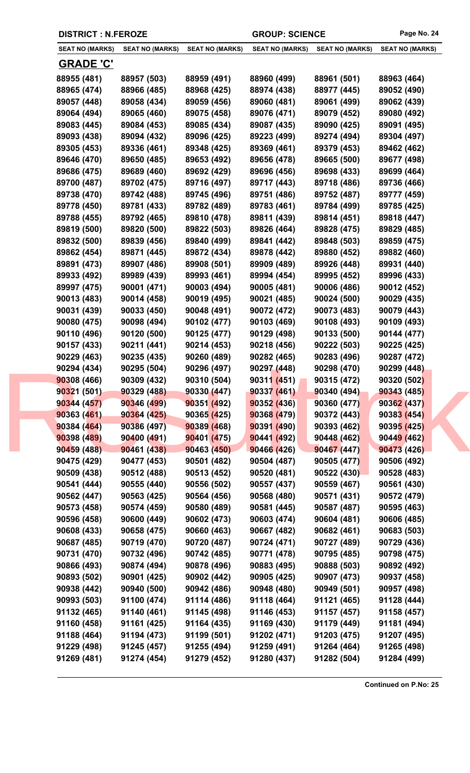| <b>DISTRICT : N.FEROZE</b> |                        |                        | <b>GROUP: SCIENCE</b>  |                        | Page No. 24            |
|----------------------------|------------------------|------------------------|------------------------|------------------------|------------------------|
| <b>SEAT NO (MARKS)</b>     | <b>SEAT NO (MARKS)</b> | <b>SEAT NO (MARKS)</b> | <b>SEAT NO (MARKS)</b> | <b>SEAT NO (MARKS)</b> | <b>SEAT NO (MARKS)</b> |
| <u>GRADE 'C'</u>           |                        |                        |                        |                        |                        |
| 88955 (481)                | 88957 (503)            | 88959 (491)            | 88960 (499)            | 88961 (501)            | 88963 (464)            |
| 88965 (474)                | 88966 (485)            | 88968 (425)            | 88974 (438)            | 88977 (445)            | 89052 (490)            |
| 89057 (448)                | 89058 (434)            | 89059 (456)            | 89060 (481)            | 89061 (499)            | 89062 (439)            |
| 89064 (494)                | 89065 (460)            | 89075 (458)            | 89076 (471)            | 89079 (452)            | 89080 (492)            |
| 89083 (445)                | 89084 (453)            | 89085 (434)            | 89087 (435)            | 89090 (425)            | 89091 (495)            |
| 89093 (438)                | 89094 (432)            | 89096 (425)            | 89223 (499)            | 89274 (494)            | 89304 (497)            |
| 89305 (453)                | 89336 (461)            | 89348 (425)            | 89369 (461)            | 89379 (453)            | 89462 (462)            |
| 89646 (470)                | 89650 (485)            | 89653 (492)            | 89656 (478)            | 89665 (500)            | 89677 (498)            |
| 89686 (475)                | 89689 (460)            | 89692 (429)            | 89696 (456)            | 89698 (433)            | 89699 (464)            |
| 89700 (487)                | 89702 (475)            | 89716 (497)            | 89717 (443)            | 89718 (486)            | 89736 (466)            |
| 89738 (470)                | 89742 (488)            | 89745 (496)            | 89751 (486)            | 89752 (487)            | 89777 (459)            |
| 89778 (450)                | 89781 (433)            | 89782 (489)            | 89783 (461)            | 89784 (499)            | 89785 (425)            |
| 89788 (455)                | 89792 (465)            | 89810 (478)            | 89811 (439)            | 89814 (451)            | 89818 (447)            |
| 89819 (500)                | 89820 (500)            | 89822 (503)            | 89826 (464)            | 89828 (475)            | 89829 (485)            |
| 89832 (500)                | 89839 (456)            | 89840 (499)            | 89841 (442)            | 89848 (503)            | 89859 (475)            |
| 89862 (454)                | 89871 (445)            | 89872 (434)            | 89878 (442)            | 89880 (452)            | 89882 (460)            |
| 89891 (473)                | 89907 (486)            | 89908 (501)            | 89909 (489)            | 89926 (448)            | 89931 (440)            |
| 89933 (492)                | 89989 (439)            | 89993 (461)            | 89994 (454)            | 89995 (452)            | 89996 (433)            |
| 89997 (475)                | 90001 (471)            | 90003 (494)            | 90005 (481)            | 90006 (486)            | 90012 (452)            |
| 90013 (483)                | 90014 (458)            | 90019 (495)            | 90021 (485)            | 90024 (500)            | 90029 (435)            |
| 90031 (439)                | 90033 (450)            | 90048 (491)            | 90072 (472)            | 90073 (483)            | 90079 (443)            |
| 90080 (475)                | 90098 (494)            | 90102 (477)            | 90103 (469)            | 90108 (493)            | 90109 (493)            |
| 90110 (496)                | 90120 (500)            | 90125 (477)            | 90129 (498)            | 90133 (500)            | 90144 (477)            |
| 90157 (433)                | 90211 (441)            | 90214 (453)            | 90218 (456)            | 90222 (503)            | 90225 (425)            |
| 90229 (463)                | 90235 (435)            | 90260 (489)            | 90282 (465)            | 90283 (496)            | 90287 (472)            |
| 90294 (434)                | 90295 (504)            | 90296 (497)            | 90297 (448)            | 90298 (470)            | 90299 (448)            |
| 90308 (466)                | 90309 (432)            | 90310 (504)            | 90311 (451)            | 90315 (472)            | 90320 (502)            |
| 90321 (501)                | 90329 (488)            | 90330 (447)            | 90337 (461)            | 90340 (494)            | 90343 (485)            |
| 90344 (457)                | 90346 (499)            | 90351(492)             | 90352 (436)            | 90360 (477)            | 90362 (437)            |
| 90363(461)                 | 90364 (425)            | 90365 (425)            | 90368 (479)            | 90372 (443)            | 90383 (454)            |
| 90384 (464)                | 90386 (497)            | 90389 (468)            | 90391(490)             | 90393 (462)            | 90395 (425)            |
| 90398 (489)                | 90400 (491)            | 90401 (475)            | 90441(492)             | 90448 (462)            | 90449 (462)            |
| 90459 (488)                | 90461 (438)            | 90463(450)             | 90466 (426)            | 90467(447)             | 90473 (426)            |
| 90475 (429)                | 90477 (453)            | 90501 (482)            | 90504 (487)            | 90505 (477)            | 90506 (492)            |
| 90509 (438)                | 90512 (488)            | 90513 (452)            | 90520 (481)            | 90522(430)             | 90528 (483)            |
| 90541 (444)                | 90555 (440)            | 90556 (502)            | 90557 (437)            | 90559 (467)            | 90561 (430)            |
| 90562 (447)                | 90563 (425)            | 90564 (456)            | 90568 (480)            | 90571 (431)            | 90572 (479)            |
| 90573 (458)                | 90574 (459)            | 90580 (489)            | 90581 (445)            | 90587 (487)            | 90595 (463)            |
| 90596 (458)                | 90600 (449)            | 90602 (473)            | 90603 (474)            | 90604 (481)            | 90606 (485)            |
| 90608 (433)                | 90658 (475)            | 90660 (463)            | 90667 (482)            | 90682 (461)            | 90683 (503)            |
| 90687 (485)                | 90719 (470)            | 90720 (487)            | 90724 (471)            | 90727 (489)            | 90729 (436)            |
| 90731 (470)                | 90732 (496)            | 90742 (485)            | 90771 (478)            | 90795 (485)            | 90798 (475)            |
| 90866 (493)                | 90874 (494)            | 90878 (496)            | 90883 (495)            | 90888 (503)            | 90892 (492)            |
| 90893 (502)                | 90901 (425)            | 90902 (442)            | 90905 (425)            | 90907 (473)            | 90937 (458)            |
| 90938 (442)                | 90940 (500)            | 90942 (486)            | 90948 (480)            | 90949 (501)            | 90957 (498)            |
| 90993 (503)                | 91100 (474)            | 91114 (486)            | 91118 (464)            | 91121 (465)            | 91128 (444)            |
| 91132 (465)                | 91140 (461)            | 91145 (498)            | 91146 (453)            | 91157 (457)            | 91158 (457)            |
| 91160 (458)                | 91161 (425)            | 91164 (435)            | 91169 (430)            | 91179 (449)            | 91181 (494)            |
| 91188 (464)                | 91194 (473)            | 91199 (501)            | 91202 (471)            | 91203 (475)            | 91207 (495)            |
| 91229 (498)                | 91245 (457)            | 91255 (494)            | 91259 (491)            | 91264 (464)            | 91265 (498)            |
| 91269 (481)                | 91274 (454)            | 91279 (452)            | 91280 (437)            | 91282 (504)            | 91284 (499)            |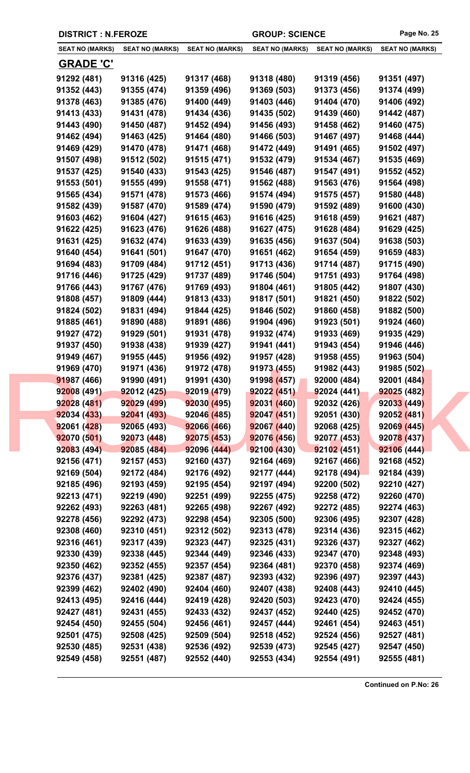| <b>DISTRICT : N.FEROZE</b> |                        |                        | <b>GROUP: SCIENCE</b>  |                        | Page No. 25            |
|----------------------------|------------------------|------------------------|------------------------|------------------------|------------------------|
| <b>SEAT NO (MARKS)</b>     | <b>SEAT NO (MARKS)</b> | <b>SEAT NO (MARKS)</b> | <b>SEAT NO (MARKS)</b> | <b>SEAT NO (MARKS)</b> | <b>SEAT NO (MARKS)</b> |
| <b>GRADE 'C'</b>           |                        |                        |                        |                        |                        |
| 91292 (481)                | 91316 (425)            | 91317 (468)            | 91318 (480)            | 91319 (456)            | 91351 (497)            |
| 91352 (443)                | 91355 (474)            | 91359 (496)            | 91369 (503)            | 91373 (456)            | 91374 (499)            |
| 91378 (463)                | 91385 (476)            | 91400 (449)            | 91403 (446)            | 91404 (470)            | 91406 (492)            |
| 91413 (433)                | 91431 (478)            | 91434 (436)            | 91435 (502)            | 91439 (460)            | 91442 (487)            |
| 91443 (490)                | 91450 (487)            | 91452 (494)            | 91456 (493)            | 91458 (462)            | 91460 (475)            |
| 91462 (494)                | 91463 (425)            | 91464 (480)            | 91466 (503)            | 91467 (497)            | 91468 (444)            |
| 91469 (429)                | 91470 (478)            | 91471 (468)            | 91472 (449)            | 91491 (465)            | 91502 (497)            |
| 91507 (498)                | 91512 (502)            | 91515 (471)            | 91532 (479)            | 91534 (467)            | 91535 (469)            |
| 91537 (425)                | 91540 (433)            | 91543 (425)            | 91546 (487)            | 91547 (491)            | 91552 (452)            |
| 91553 (501)                | 91555 (499)            | 91558 (471)            | 91562 (488)            | 91563 (476)            | 91564 (498)            |
| 91565 (434)                | 91571 (478)            | 91573 (466)            | 91574 (494)            | 91575 (457)            | 91580 (448)            |
| 91582 (439)                | 91587 (470)            | 91589 (474)            | 91590 (479)            | 91592 (489)            | 91600 (430)            |
| 91603 (462)                | 91604 (427)            | 91615 (463)            | 91616 (425)            | 91618 (459)            | 91621 (487)            |
| 91622 (425)                | 91623 (476)            | 91626 (488)            | 91627 (475)            | 91628 (484)            | 91629 (425)            |
| 91631 (425)                | 91632 (474)            | 91633 (439)            | 91635 (456)            | 91637 (504)            | 91638 (503)            |
| 91640 (454)                | 91641 (501)            | 91647 (470)            | 91651 (462)            | 91654 (459)            | 91659 (483)            |
| 91694 (483)                | 91709 (484)            | 91712 (451)            | 91713 (436)            | 91714 (487)            | 91715 (490)            |
| 91716 (446)                | 91725 (429)            | 91737 (489)            | 91746 (504)            | 91751 (493)            | 91764 (498)            |
| 91766 (443)                | 91767 (476)            | 91769 (493)            | 91804 (461)            | 91805 (442)            | 91807 (430)            |
| 91808 (457)                | 91809 (444)            | 91813 (433)            | 91817 (501)            | 91821 (450)            | 91822 (502)            |
| 91824 (502)                | 91831 (494)            | 91844 (425)            | 91846 (502)            | 91860 (458)            | 91882 (500)            |
| 91885 (461)                | 91890 (488)            | 91891 (486)            | 91904 (496)            | 91923 (501)            | 91924 (460)            |
| 91927 (472)                | 91929 (501)            | 91931 (478)            | 91932 (474)            | 91933 (469)            | 91935 (429)            |
| 91937 (450)                | 91938 (438)            | 91939 (427)            | 91941 (441)            | 91943 (454)            | 91946 (446)            |
| 91949 (467)                | 91955 (445)            | 91956 (492)            | 91957 (428)            | 91958 (455)            | 91963 (504)            |
| 91969 (470)                | 91971 (436)            | 91972 (478)            | 91973 (455)            | 91982 (443)            | 91985 (502)            |
| 91987 (466)                | 91990 (491)            | 91991 (430)            | 91998 (457)            | 92000 (484)            | 92001 (484)            |
| 92008 (491)                | 92012(425)             | 92019 (479)            | 92022 (451)            | 92024 (441)            | 92025 (482)            |
| 92028 (481)                | 92029 (499)            | 92030(495)             | 92031 (460)            | 92032 (426)            | 92033 (449)            |
| 92034 (433)                | 92041 (493)            | 92046 (485)            | 92047(451)             | 92051(430)             | 92052 (481)            |
| 92061 (428)                | 92065 (493)            | 92066 (466)            | 92067(440)             | 92068 (425)            | 92069 (445)            |
| 92070 (501)                | 92073 (448)            | 92075 (453)            | 92076 (456)            | 92077 (453)            | 92078 (437)            |
| 92083 (494)                | 92085 (484)            | 92096 (444)            | 92100 (430)            | 92102(451)             | 92106 (444)            |
| 92156 (471)                | 92157 (453)            | 92160 (437)            | 92164 (469)            | 92167 (466)            | 92168 (452)            |
| 92169 (504)                | 92172 (484)            | 92176 (492)            | 92177 (444)            | 92178(494)             | 92184 (439)            |
| 92185 (496)                | 92193 (459)            | 92195 (454)            | 92197 (494)            | 92200 (502)            | 92210 (427)            |
| 92213 (471)                | 92219 (490)            | 92251 (499)            | 92255 (475)            | 92258 (472)            | 92260 (470)            |
| 92262 (493)                | 92263 (481)            | 92265 (498)            | 92267 (492)            | 92272 (485)            | 92274 (463)            |
| 92278 (456)                | 92292 (473)            | 92298 (454)            | 92305 (500)            | 92306 (495)            | 92307 (428)            |
| 92308 (460)                | 92310 (451)            | 92312 (502)            | 92313 (478)            | 92314 (436)            | 92315 (462)            |
| 92316 (461)                | 92317 (439)            | 92323 (447)            | 92325 (431)            | 92326 (437)            | 92327 (462)            |
| 92330 (439)                | 92338 (445)            | 92344 (449)            | 92346 (433)            | 92347 (470)            | 92348 (493)            |
| 92350 (462)                | 92352 (455)            | 92357 (454)            | 92364 (481)            | 92370 (458)            | 92374 (469)            |
| 92376 (437)                | 92381 (425)            | 92387 (487)            | 92393 (432)            | 92396 (497)            | 92397 (443)            |
| 92399 (462)                | 92402 (490)            | 92404 (460)            | 92407 (438)            | 92408 (443)            | 92410 (445)            |
| 92413 (495)                | 92416 (444)            | 92419 (428)            | 92420 (503)            | 92423 (470)            | 92424 (455)            |
| 92427 (481)                | 92431 (455)            | 92433 (432)            | 92437 (452)            | 92440 (425)            | 92452 (470)            |
| 92454 (450)                | 92455 (504)            | 92456 (461)            | 92457 (444)            | 92461 (454)            | 92463 (451)            |
| 92501 (475)                | 92508 (425)            | 92509 (504)            | 92518 (452)            | 92524 (456)            | 92527 (481)            |
| 92530 (485)                | 92531 (438)            | 92536 (492)            | 92539 (473)            | 92545 (427)            | 92547 (450)            |
| 92549 (458)                | 92551 (487)            | 92552 (440)            | 92553 (434)            | 92554 (491)            | 92555 (481)            |
|                            |                        |                        |                        |                        |                        |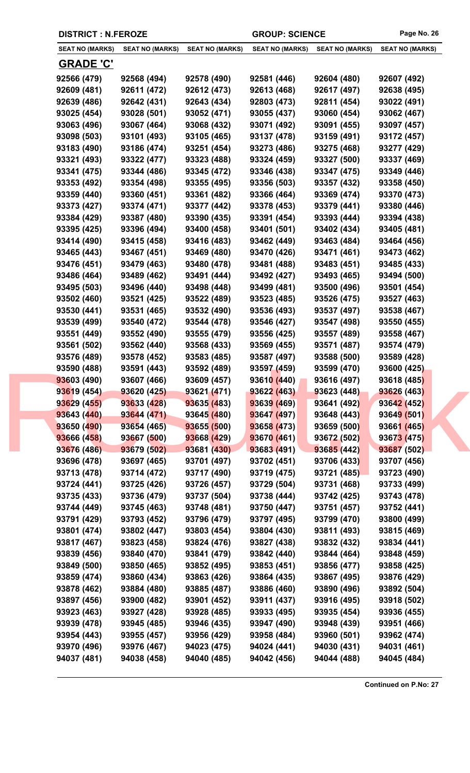| <b>DISTRICT : N.FEROZE</b> |                        |                        | <b>GROUP: SCIENCE</b>  |                        | Page No. 26            |
|----------------------------|------------------------|------------------------|------------------------|------------------------|------------------------|
| <b>SEAT NO (MARKS)</b>     | <b>SEAT NO (MARKS)</b> | <b>SEAT NO (MARKS)</b> | <b>SEAT NO (MARKS)</b> | <b>SEAT NO (MARKS)</b> | <b>SEAT NO (MARKS)</b> |
| <b>GRADE 'C'</b>           |                        |                        |                        |                        |                        |
| 92566 (479)                | 92568 (494)            | 92578 (490)            | 92581 (446)            | 92604 (480)            | 92607 (492)            |
| 92609 (481)                | 92611 (472)            | 92612 (473)            | 92613 (468)            | 92617 (497)            | 92638 (495)            |
| 92639 (486)                | 92642 (431)            | 92643 (434)            | 92803 (473)            | 92811 (454)            | 93022 (491)            |
| 93025 (454)                | 93028 (501)            | 93052 (471)            | 93055 (437)            | 93060 (454)            | 93062 (467)            |
| 93063 (496)                | 93067 (464)            | 93068 (432)            | 93071 (492)            | 93091 (455)            | 93097 (457)            |
| 93098 (503)                | 93101 (493)            | 93105 (465)            | 93137 (478)            | 93159 (491)            | 93172 (457)            |
| 93183 (490)                | 93186 (474)            | 93251 (454)            | 93273 (486)            | 93275 (468)            | 93277 (429)            |
| 93321 (493)                | 93322 (477)            | 93323 (488)            | 93324 (459)            | 93327 (500)            | 93337 (469)            |
| 93341 (475)                | 93344 (486)            | 93345 (472)            | 93346 (438)            | 93347 (475)            | 93349 (446)            |
| 93353 (492)                | 93354 (498)            | 93355 (495)            | 93356 (503)            | 93357 (432)            | 93358 (450)            |
| 93359 (440)                | 93360 (451)            | 93361 (482)            | 93366 (464)            | 93369 (474)            | 93370 (473)            |
| 93373 (427)                | 93374 (471)            | 93377 (442)            | 93378 (453)            | 93379 (441)            | 93380 (446)            |
| 93384 (429)                | 93387 (480)            | 93390 (435)            | 93391 (454)            | 93393 (444)            | 93394 (438)            |
| 93395 (425)                | 93396 (494)            | 93400 (458)            | 93401 (501)            | 93402 (434)            | 93405 (481)            |
| 93414 (490)                | 93415 (458)            | 93416 (483)            | 93462 (449)            | 93463 (484)            | 93464 (456)            |
| 93465 (443)                | 93467 (451)            | 93469 (480)            | 93470 (426)            | 93471 (461)            | 93473 (462)            |
| 93476 (451)                | 93479 (463)            | 93480 (478)            | 93481 (488)            | 93483 (451)            | 93485 (433)            |
| 93486 (464)                | 93489 (462)            | 93491 (444)            | 93492 (427)            | 93493 (465)            | 93494 (500)            |
| 93495 (503)                | 93496 (440)            | 93498 (448)            | 93499 (481)            | 93500 (496)            | 93501 (454)            |
| 93502 (460)                | 93521 (425)            | 93522 (489)            | 93523 (485)            | 93526 (475)            | 93527 (463)            |
| 93530 (441)                | 93531 (465)            | 93532 (490)            | 93536 (493)            | 93537 (497)            | 93538 (467)            |
| 93539 (499)                | 93540 (472)            | 93544 (478)            | 93546 (427)            | 93547 (498)            | 93550 (455)            |
| 93551 (449)                | 93552 (490)            | 93555 (479)            | 93556 (425)            | 93557 (489)            | 93558 (467)            |
| 93561 (502)                | 93562 (440)            | 93568 (433)            | 93569 (455)            | 93571 (487)            | 93574 (479)            |
| 93576 (489)                | 93578 (452)            | 93583 (485)            | 93587 (497)            | 93588 (500)            | 93589 (428)            |
| 93590 (488)                | 93591 (443)            | 93592 (489)            | 93597 (459)            | 93599 (470)            | 93600 (425)            |
| 93603 (490)                | 93607 (466)            | 93609 (457)            | 93610 (440)            | 93616 (497)            | 93618 (485)            |
| 93619 (454)                | 93620 (425)            | 93621 (471)            | 93622 (463)            | 93623 (448)            | 93626 (463)            |
| 93629(455)                 | 93633 (428)            | 93635 (483)            | 93639 (469)            | 93641 (492)            | 93642 (452)            |
| 93643 (440)                | 93644 (471)            | 93645 (480)            | 93647 (497)            | 93648 (443)            | 93649 (501)            |
| 93650 (490)                | 93654 (465)            | 93655(500)             | 93658 (473)            | 93659(500)             | 93661 (465)            |
| 93666 (458)                | 93667 (500)            | 93668 (429)            | 93670 (461)            | 93672 (502)            | 93673 (475)            |
| 93676 (486)                | 93679 (502)            | 93681 (430)            | 93683 (491)            | 93685 (442)            | 93687 (502)            |
| 93696 (478)                | 93697 (465)            | 93701 (497)            | 93702 (451)            | 93706 (433)            | 93707 (456)            |
| 93713 (478)                | 93714 (472)            | 93717 (490)            | 93719 (475)            | 93721 (485)            | 93723 (490)            |
| 93724 (441)                | 93725 (426)            | 93726 (457)            | 93729 (504)            | 93731 (468)            | 93733 (499)            |
| 93735 (433)                | 93736 (479)            | 93737 (504)            | 93738 (444)            | 93742 (425)            | 93743 (478)            |
| 93744 (449)                | 93745 (463)            | 93748 (481)            | 93750 (447)            | 93751 (457)            | 93752 (441)            |
| 93791 (429)                | 93793 (452)            | 93796 (479)            | 93797 (495)            | 93799 (470)            | 93800 (499)            |
| 93801 (474)                | 93802 (447)            | 93803 (454)            | 93804 (430)            | 93811 (493)            | 93815 (469)            |
| 93817 (467)                | 93823 (458)            | 93824 (476)            | 93827 (438)            | 93832 (432)            | 93834 (441)            |
| 93839 (456)                | 93840 (470)            | 93841 (479)            | 93842 (440)            | 93844 (464)            | 93848 (459)            |
| 93849 (500)                | 93850 (465)            | 93852 (495)            | 93853 (451)            | 93856 (477)            | 93858 (425)            |
| 93859 (474)                | 93860 (434)            | 93863 (426)            | 93864 (435)            | 93867 (495)            | 93876 (429)            |
| 93878 (462)                | 93884 (480)            | 93885 (487)            | 93886 (460)            | 93890 (496)            | 93892 (504)            |
| 93897 (456)                | 93900 (482)            | 93901 (452)            | 93911 (437)            | 93916 (495)            | 93918 (502)            |
| 93923 (463)                | 93927 (428)            | 93928 (485)            | 93933 (495)            | 93935 (454)            | 93936 (455)            |
| 93939 (478)                | 93945 (485)            | 93946 (435)            | 93947 (490)            | 93948 (439)            | 93951 (466)            |
| 93954 (443)                | 93955 (457)            | 93956 (429)            | 93958 (484)            | 93960 (501)            | 93962 (474)            |
| 93970 (496)                | 93976 (467)            | 94023 (475)            | 94024 (441)            | 94030 (431)            | 94031 (461)            |
| 94037 (481)                | 94038 (458)            | 94040 (485)            | 94042 (456)            | 94044 (488)            | 94045 (484)            |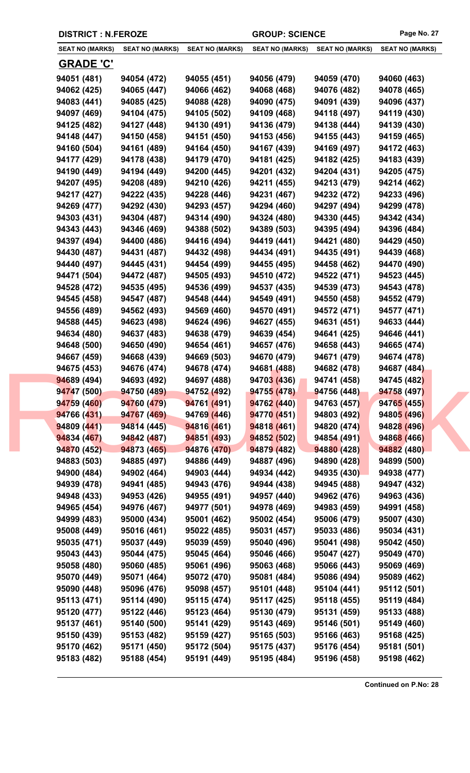|  | <b>DISTRICT : N.FEROZE</b> |                        |                        | <b>GROUP: SCIENCE</b>  |                        | Page No. 27            |
|--|----------------------------|------------------------|------------------------|------------------------|------------------------|------------------------|
|  | <b>SEAT NO (MARKS)</b>     | <b>SEAT NO (MARKS)</b> | <b>SEAT NO (MARKS)</b> | <b>SEAT NO (MARKS)</b> | <b>SEAT NO (MARKS)</b> | <b>SEAT NO (MARKS)</b> |
|  | <b>GRADE 'C'</b>           |                        |                        |                        |                        |                        |
|  | 94051 (481)                | 94054 (472)            | 94055 (451)            | 94056 (479)            | 94059 (470)            | 94060 (463)            |
|  | 94062 (425)                | 94065 (447)            | 94066 (462)            | 94068 (468)            | 94076 (482)            | 94078 (465)            |
|  | 94083 (441)                | 94085 (425)            | 94088 (428)            | 94090 (475)            | 94091 (439)            | 94096 (437)            |
|  | 94097 (469)                | 94104 (475)            | 94105 (502)            | 94109 (468)            | 94118 (497)            | 94119 (430)            |
|  | 94125 (482)                | 94127 (448)            | 94130 (491)            | 94136 (479)            | 94138 (444)            | 94139 (430)            |
|  | 94148 (447)                | 94150 (458)            | 94151 (450)            | 94153 (456)            | 94155 (443)            | 94159 (465)            |
|  | 94160 (504)                | 94161 (489)            | 94164 (450)            | 94167 (439)            | 94169 (497)            | 94172 (463)            |
|  | 94177 (429)                | 94178 (438)            | 94179 (470)            | 94181 (425)            | 94182 (425)            | 94183 (439)            |
|  | 94190 (449)                | 94194 (449)            | 94200 (445)            | 94201 (432)            | 94204 (431)            | 94205 (475)            |
|  | 94207 (495)                | 94208 (489)            | 94210 (426)            | 94211 (455)            | 94213 (479)            | 94214 (462)            |
|  | 94217 (427)                | 94222 (435)            | 94228 (446)            | 94231 (467)            | 94232 (472)            | 94233 (496)            |
|  | 94269 (477)                | 94292 (430)            | 94293 (457)            | 94294 (460)            | 94297 (494)            | 94299 (478)            |
|  | 94303 (431)                | 94304 (487)            | 94314 (490)            | 94324 (480)            | 94330 (445)            | 94342 (434)            |
|  | 94343 (443)                | 94346 (469)            | 94388 (502)            | 94389 (503)            | 94395 (494)            | 94396 (484)            |
|  | 94397 (494)                | 94400 (486)            | 94416 (494)            | 94419 (441)            | 94421 (480)            | 94429 (450)            |
|  | 94430 (487)                | 94431 (487)            | 94432 (498)            | 94434 (491)            | 94435 (491)            | 94439 (468)            |
|  | 94440 (497)                | 94445 (431)            | 94454 (499)            | 94455 (495)            | 94458 (462)            | 94470 (490)            |
|  | 94471 (504)                | 94472 (487)            | 94505 (493)            | 94510 (472)            | 94522 (471)            | 94523 (445)            |
|  | 94528 (472)                | 94535 (495)            | 94536 (499)            | 94537 (435)            | 94539 (473)            | 94543 (478)            |
|  | 94545 (458)                | 94547 (487)            | 94548 (444)            | 94549 (491)            | 94550 (458)            | 94552 (479)            |
|  | 94556 (489)                | 94562 (493)            | 94569 (460)            | 94570 (491)            | 94572 (471)            | 94577 (471)            |
|  | 94588 (445)                | 94623 (498)            | 94624 (496)            | 94627 (455)            | 94631 (451)            | 94633 (444)            |
|  | 94634 (480)                | 94637 (483)            | 94638 (479)            | 94639 (454)            | 94641 (425)            | 94646 (441)            |
|  | 94648 (500)                | 94650 (490)            | 94654 (461)            | 94657 (476)            | 94658 (443)            | 94665 (474)            |
|  | 94667 (459)                | 94668 (439)            | 94669 (503)            | 94670 (479)            | 94671 (479)            | 94674 (478)            |
|  | 94675 (453)                | 94676 (474)            | 94678 (474)            | 94681 (488)            | 94682 (478)            | 94687 (484)            |
|  | 94689 (494)                | 94693 (492)            | 94697 (488)            | 94703 (436)            | 94741 (458)            | 94745 (482)            |
|  | 94747 (500)                | 94750 (489)            | 94752 (492)            | 94755 (478)            | 94756 (448)            | 94758 (497)            |
|  | 94759 (460)                | 94760 (479)            | 94761 (491)            | 94762 (440)            | 94763 (457)            | 94765 (455)            |
|  | 94766 (431)                | 94767 (469)            | 94769 (446)            | 94770 (451)            | 94803 (492)            | 94805 (496)            |
|  | 94809 (441)                | 94814 (445)            | 94816 (461)            | 94818 (461)            | 94820 (474)            | 94828 (496)            |
|  | 94834 (467)                | 94842 (487)            | 94851 (493)            | 94852 (502)            | 94854 (491)            | 94868 (466)            |
|  | 94870 (452)                | 94873 (465)            | 94876 (470)            | 94879 (482)            | 94880 (428)            | 94882 (480)            |
|  | 94883 (503)                | 94885 (497)            | 94886 (449)            | 94887 (496)            | 94890 (428)            | 94899 (500)            |
|  | 94900 (484)                | 94902 (464)            | 94903 (444)            | 94934 (442)            | 94935 (430)            | 94938 (477)            |
|  | 94939 (478)                | 94941 (485)            | 94943 (476)            | 94944 (438)            | 94945 (488)            | 94947 (432)            |
|  | 94948 (433)                | 94953 (426)            | 94955 (491)            | 94957 (440)            | 94962 (476)            | 94963 (436)            |
|  | 94965 (454)                | 94976 (467)            | 94977 (501)            | 94978 (469)            | 94983 (459)            | 94991 (458)            |
|  | 94999 (483)                | 95000 (434)            | 95001 (462)            | 95002 (454)            | 95006 (479)            | 95007 (430)            |
|  | 95008 (449)                | 95016 (461)            | 95022 (485)            | 95031 (457)            | 95033 (486)            | 95034 (431)            |
|  | 95035 (471)                | 95037 (449)            | 95039 (459)            | 95040 (496)            | 95041 (498)            | 95042 (450)            |
|  | 95043 (443)                | 95044 (475)            | 95045 (464)            | 95046 (466)            | 95047 (427)            | 95049 (470)            |
|  | 95058 (480)                | 95060 (485)            | 95061 (496)            | 95063 (468)            | 95066 (443)            | 95069 (469)            |
|  | 95070 (449)                | 95071 (464)            | 95072 (470)            | 95081 (484)            | 95086 (494)            | 95089 (462)            |
|  | 95090 (448)                | 95096 (476)            | 95098 (457)            | 95101 (448)            | 95104 (441)            | 95112 (501)            |
|  | 95113 (471)                | 95114 (490)            | 95115 (474)            | 95117 (425)            | 95118 (455)            | 95119 (484)            |
|  | 95120 (477)                | 95122 (446)            | 95123 (464)            | 95130 (479)            | 95131 (459)            | 95133 (488)            |
|  | 95137 (461)                | 95140 (500)            | 95141 (429)            | 95143 (469)            | 95146 (501)            | 95149 (460)            |
|  | 95150 (439)                | 95153 (482)            | 95159 (427)            | 95165 (503)            | 95166 (463)            | 95168 (425)            |
|  | 95170 (462)                | 95171 (450)            | 95172 (504)            | 95175 (437)            | 95176 (454)            | 95181 (501)            |
|  | 95183 (482)                | 95188 (454)            | 95191 (449)            | 95195 (484)            | 95196 (458)            | 95198 (462)            |
|  |                            |                        |                        |                        |                        |                        |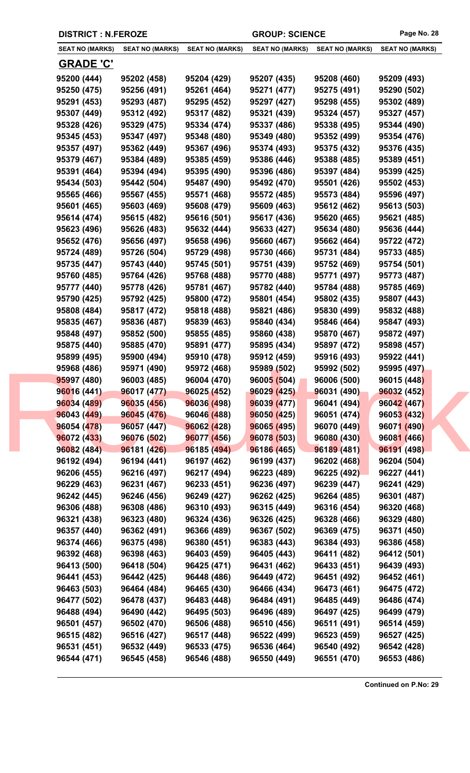|                        | <b>DISTRICT : N.FEROZE</b> |                        | <b>GROUP: SCIENCE</b>  |                        | Page No. 28            |
|------------------------|----------------------------|------------------------|------------------------|------------------------|------------------------|
| <b>SEAT NO (MARKS)</b> | <b>SEAT NO (MARKS)</b>     | <b>SEAT NO (MARKS)</b> | <b>SEAT NO (MARKS)</b> | <b>SEAT NO (MARKS)</b> | <b>SEAT NO (MARKS)</b> |
| <b>GRADE 'C'</b>       |                            |                        |                        |                        |                        |
| 95200 (444)            | 95202 (458)                | 95204 (429)            | 95207 (435)            | 95208 (460)            | 95209 (493)            |
| 95250 (475)            | 95256 (491)                | 95261 (464)            | 95271 (477)            | 95275 (491)            | 95290 (502)            |
| 95291 (453)            | 95293 (487)                | 95295 (452)            | 95297 (427)            | 95298 (455)            | 95302 (489)            |
| 95307 (449)            | 95312 (492)                | 95317 (482)            | 95321 (439)            | 95324 (457)            | 95327 (457)            |
| 95328 (426)            | 95329 (475)                | 95334 (474)            | 95337 (486)            | 95338 (495)            | 95344 (490)            |
| 95345 (453)            | 95347 (497)                | 95348 (480)            | 95349 (480)            | 95352 (499)            | 95354 (476)            |
| 95357 (497)            | 95362 (449)                | 95367 (496)            | 95374 (493)            | 95375 (432)            | 95376 (435)            |
| 95379 (467)            | 95384 (489)                | 95385 (459)            | 95386 (446)            | 95388 (485)            | 95389 (451)            |
| 95391 (464)            | 95394 (494)                | 95395 (490)            | 95396 (486)            | 95397 (484)            | 95399 (425)            |
| 95434 (503)            | 95442 (504)                | 95487 (490)            | 95492 (470)            | 95501 (426)            | 95502 (453)            |
| 95565 (466)            | 95567 (455)                | 95571 (468)            | 95572 (485)            | 95573 (484)            | 95596 (497)            |
| 95601 (465)            | 95603 (469)                | 95608 (479)            | 95609 (463)            | 95612 (462)            | 95613 (503)            |
| 95614 (474)            | 95615 (482)                | 95616 (501)            | 95617 (436)            | 95620 (465)            | 95621 (485)            |
| 95623 (496)            | 95626 (483)                | 95632 (444)            | 95633 (427)            | 95634 (480)            | 95636 (444)            |
| 95652 (476)            | 95656 (497)                | 95658 (496)            | 95660 (467)            | 95662 (464)            | 95722 (472)            |
| 95724 (489)            | 95726 (504)                | 95729 (498)            | 95730 (466)            | 95731 (484)            | 95733 (485)            |
| 95735 (447)            | 95743 (440)                | 95745 (501)            | 95751 (439)            | 95752 (469)            | 95754 (501)            |
| 95760 (485)            | 95764 (426)                | 95768 (488)            | 95770 (488)            | 95771 (497)            | 95773 (487)            |
| 95777 (440)            | 95778 (426)                | 95781 (467)            | 95782 (440)            | 95784 (488)            | 95785 (469)            |
| 95790 (425)            | 95792 (425)                | 95800 (472)            | 95801 (454)            | 95802 (435)            | 95807 (443)            |
| 95808 (484)            | 95817 (472)                | 95818 (488)            | 95821 (486)            | 95830 (499)            | 95832 (488)            |
| 95835 (467)            | 95836 (487)                | 95839 (463)            | 95840 (434)            | 95846 (464)            | 95847 (493)            |
| 95848 (497)            | 95852 (500)                | 95855 (485)            | 95860 (438)            | 95870 (467)            | 95872 (497)            |
| 95875 (440)            | 95885 (470)                | 95891 (477)            | 95895 (434)            | 95897 (472)            | 95898 (457)            |
| 95899 (495)            | 95900 (494)                | 95910 (478)            | 95912 (459)            | 95916 (493)            | 95922 (441)            |
| 95968 (486)            | 95971 (490)                | 95972 (468)            | 95989 (502)            | 95992 (502)            | 95995 (497)            |
| 95997 (480)            | 96003 (485)                | 96004 (470)            | 96005 (504)            | 96006 (500)            | 96015 (448)            |
| 96016 (441)            | 96017 (477)                | 96025 (452)            | 96029 (425)            | 96031 (490)            | 96032 (452)            |
| 96034 (489)            | 96035 (456)                | 96036 (498)            | 96039 (477)            | 96041 (494)            | 96042 (467)            |
| 96043 (449)            | 96045 (476)                | 96046 (488)            | 96050(425)             | 96051 (474)            | 96053 (432)            |
| 96054 (478)            | 96057 (447)                | 96062 (428)            | 96065 (495)            | 96070 (449)            | 96071 (490)            |
| 96072 (433)            | 96076 (502)                | 96077 (456)            | 96078 (503)            | 96080 (430)            | 96081 (466)            |
| 96082 (484)            | 96181 (426)                | 96185 (494)            | 96186 (465)            | 96189 (481)            | 96191 (498)            |
| 96192 (494)            | 96194 (441)                | 96197 (462)            | 96199 (437)            | 96202 (468)            | 96204 (504)            |
| 96206 (455)            | 96216 (497)                | 96217 (494)            | 96223 (489)            | 96225 (492)            | 96227 (441)            |
| 96229 (463)            | 96231 (467)                | 96233 (451)            | 96236 (497)            | 96239 (447)            | 96241 (429)            |
| 96242 (445)            | 96246 (456)                | 96249 (427)            | 96262 (425)            | 96264 (485)            | 96301 (487)            |
| 96306 (488)            | 96308 (486)                | 96310 (493)            | 96315 (449)            | 96316 (454)            | 96320 (468)            |
| 96321 (438)            | 96323 (480)                | 96324 (436)            | 96326 (425)            | 96328 (466)            | 96329 (480)            |
| 96357 (440)            | 96362 (491)                | 96366 (489)            | 96367 (502)            | 96369 (475)            | 96371 (450)            |
| 96374 (466)            | 96375 (498)                | 96380 (451)            | 96383 (443)            | 96384 (493)            | 96386 (458)            |
| 96392 (468)            | 96398 (463)                | 96403 (459)            | 96405 (443)            | 96411 (482)            | 96412 (501)            |
| 96413 (500)            | 96418 (504)                | 96425 (471)            | 96431 (462)            | 96433 (451)            | 96439 (493)            |
| 96441 (453)            | 96442 (425)                | 96448 (486)            | 96449 (472)            | 96451 (492)            | 96452 (461)            |
| 96463 (503)            | 96464 (484)                | 96465 (430)            | 96466 (434)            | 96473 (461)            | 96475 (472)            |
| 96477 (502)            | 96478 (437)                | 96483 (448)            | 96484 (491)            | 96485 (449)            | 96486 (474)            |
| 96488 (494)            | 96490 (442)                | 96495 (503)            | 96496 (489)            | 96497 (425)            | 96499 (479)            |
| 96501 (457)            | 96502 (470)                | 96506 (488)            | 96510 (456)            | 96511 (491)            | 96514 (459)            |
| 96515 (482)            | 96516 (427)                | 96517 (448)            | 96522 (499)            | 96523 (459)            | 96527 (425)            |
| 96531 (451)            | 96532 (449)                | 96533 (475)            | 96536 (464)            | 96540 (492)            | 96542 (428)            |
| 96544 (471)            | 96545 (458)                | 96546 (488)            | 96550 (449)            | 96551 (470)            | 96553 (486)            |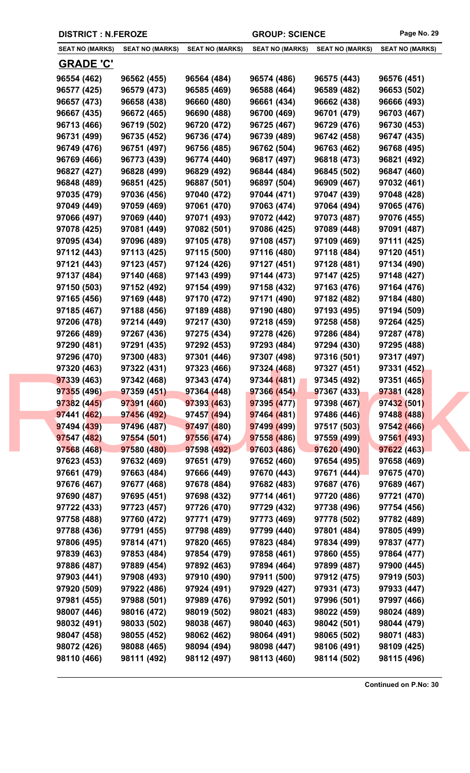| <b>DISTRICT : N.FEROZE</b> |                        |                        | <b>GROUP: SCIENCE</b>  |                        | Page No. 29            |
|----------------------------|------------------------|------------------------|------------------------|------------------------|------------------------|
| <b>SEAT NO (MARKS)</b>     | <b>SEAT NO (MARKS)</b> | <b>SEAT NO (MARKS)</b> | <b>SEAT NO (MARKS)</b> | <b>SEAT NO (MARKS)</b> | <b>SEAT NO (MARKS)</b> |
| <b>GRADE 'C'</b>           |                        |                        |                        |                        |                        |
| 96554 (462)                | 96562 (455)            | 96564 (484)            | 96574 (486)            | 96575 (443)            | 96576 (451)            |
| 96577 (425)                | 96579 (473)            | 96585 (469)            | 96588 (464)            | 96589 (482)            | 96653 (502)            |
| 96657 (473)                | 96658 (438)            | 96660 (480)            | 96661 (434)            | 96662 (438)            | 96666 (493)            |
| 96667 (435)                | 96672 (465)            | 96690 (488)            | 96700 (469)            | 96701 (479)            | 96703 (467)            |
| 96713 (466)                | 96719 (502)            | 96720 (472)            | 96725 (467)            | 96729 (476)            | 96730 (453)            |
| 96731 (499)                | 96735 (452)            | 96736 (474)            | 96739 (489)            | 96742 (458)            | 96747 (435)            |
| 96749 (476)                | 96751 (497)            | 96756 (485)            | 96762 (504)            | 96763 (462)            | 96768 (495)            |
| 96769 (466)                | 96773 (439)            | 96774 (440)            | 96817 (497)            | 96818 (473)            | 96821 (492)            |
| 96827 (427)                | 96828 (499)            | 96829 (492)            | 96844 (484)            | 96845 (502)            | 96847 (460)            |
| 96848 (489)                | 96851 (425)            | 96887 (501)            | 96897 (504)            | 96909 (467)            | 97032 (461)            |
| 97035 (479)                | 97036 (456)            | 97040 (472)            | 97044 (471)            | 97047 (439)            | 97048 (428)            |
| 97049 (449)                | 97059 (469)            | 97061 (470)            | 97063 (474)            | 97064 (494)            | 97065 (476)            |
| 97066 (497)                | 97069 (440)            | 97071 (493)            | 97072 (442)            | 97073 (487)            | 97076 (455)            |
| 97078 (425)                | 97081 (449)            | 97082 (501)            | 97086 (425)            | 97089 (448)            | 97091 (487)            |
| 97095 (434)                | 97096 (489)            | 97105 (478)            | 97108 (457)            | 97109 (469)            | 97111 (425)            |
| 97112 (443)                | 97113 (425)            | 97115 (500)            | 97116 (480)            | 97118 (484)            | 97120 (451)            |
| 97121 (443)                | 97123 (457)            | 97124 (426)            | 97127 (451)            | 97128 (481)            | 97134 (490)            |
| 97137 (484)                | 97140 (468)            | 97143 (499)            | 97144 (473)            | 97147 (425)            | 97148 (427)            |
| 97150 (503)                | 97152 (492)            | 97154 (499)            | 97158 (432)            | 97163 (476)            | 97164 (476)            |
| 97165 (456)                | 97169 (448)            | 97170 (472)            | 97171 (490)            | 97182 (482)            | 97184 (480)            |
| 97185 (467)                | 97188 (456)            | 97189 (488)            | 97190 (480)            | 97193 (495)            | 97194 (509)            |
| 97206 (478)                | 97214 (449)            | 97217 (430)            | 97218 (459)            | 97258 (458)            | 97264 (425)            |
| 97266 (489)                | 97267 (436)            | 97275 (434)            | 97278 (426)            | 97286 (484)            | 97287 (478)            |
| 97290 (481)                | 97291 (435)            | 97292 (453)            | 97293 (484)            | 97294 (430)            | 97295 (488)            |
| 97296 (470)                | 97300 (483)            | 97301 (446)            | 97307 (498)            | 97316 (501)            | 97317 (497)            |
| 97320 (463)                | 97322 (431)            | 97323 (466)            | 97324 (468)            | 97327 (451)            | 97331 (452)            |
| 97339 (463)                | 97342 (468)            | 97343 (474)            | 97344 (481)            | 97345 (492)            | 97351 (465)            |
| 97355 (496)                | 97359 (451)            | 97364 (448)            | 97366 (454)            | 97367 (433)            | 97381 (428)            |
| 97382 (445)                | 97391 (460)            | 97393 (463)            | 97395 (477)            | 97398 (467)            | 97432 (501)            |
| 97441 (462)                | 97456 (492)            | 97457 (494)            | 97464 (481)            | 97486 (446)            | 97488 (488)            |
| 97494 (439)                | 97496 (487)            | 97497 (480)            | 97499 (499)            | 97517 (503)            | 97542 (466)            |
| 97547 (482)                | 97554 (501)            | 97556 (474)            | 97558 (486)            | 97559 (499)            | 97561 (493)            |
| 97568 (468)                | 97580 (480)            | 97598 (492)            | 97603 (486)            | 97620 (490)            | 97622 (463)            |
| 97623 (453)                | 97632 (469)            | 97651 (479)            | 97652 (460)            | 97654 (495)            | 97658 (469)            |
| 97661 (479)                | 97663 (484)            | 97666 (449)            | 97670 (443)            | 97671 (444)            | 97675 (470)            |
| 97676 (467)                | 97677 (468)            | 97678 (484)            | 97682 (483)            | 97687 (476)            | 97689 (467)            |
| 97690 (487)                | 97695 (451)            | 97698 (432)            | 97714 (461)            | 97720 (486)            | 97721 (470)            |
| 97722 (433)                | 97723 (457)            | 97726 (470)            | 97729 (432)            | 97738 (496)            | 97754 (456)            |
| 97758 (488)                | 97760 (472)            | 97771 (479)            | 97773 (469)            | 97778 (502)            | 97782 (489)            |
| 97788 (436)                | 97791 (455)            | 97798 (489)            | 97799 (440)            | 97801 (484)            | 97805 (499)            |
| 97806 (495)                | 97814 (471)            | 97820 (465)            | 97823 (484)            | 97834 (499)            | 97837 (477)            |
| 97839 (463)                | 97853 (484)            | 97854 (479)            | 97858 (461)            | 97860 (455)            | 97864 (477)            |
| 97886 (487)                | 97889 (454)            | 97892 (463)            | 97894 (464)            | 97899 (487)            | 97900 (445)            |
| 97903 (441)                | 97908 (493)            | 97910 (490)            | 97911 (500)            | 97912 (475)            | 97919 (503)            |
| 97920 (509)                | 97922 (486)            | 97924 (491)            | 97929 (427)            | 97931 (473)            | 97933 (447)            |
| 97981 (455)                | 97988 (501)            | 97989 (476)            | 97992 (501)            | 97996 (501)            | 97997 (466)            |
| 98007 (446)                | 98016 (472)            | 98019 (502)            | 98021 (483)            | 98022 (459)            | 98024 (489)            |
| 98032 (491)                | 98033 (502)            | 98038 (467)            | 98040 (463)            | 98042 (501)            | 98044 (479)            |
| 98047 (458)                | 98055 (452)            | 98062 (462)            | 98064 (491)            | 98065 (502)            | 98071 (483)            |
| 98072 (426)                | 98088 (465)            | 98094 (494)            | 98098 (447)            | 98106 (491)            | 98109 (425)            |
| 98110 (466)                | 98111 (492)            | 98112 (497)            | 98113 (460)            | 98114 (502)            | 98115 (496)            |
|                            |                        |                        |                        |                        |                        |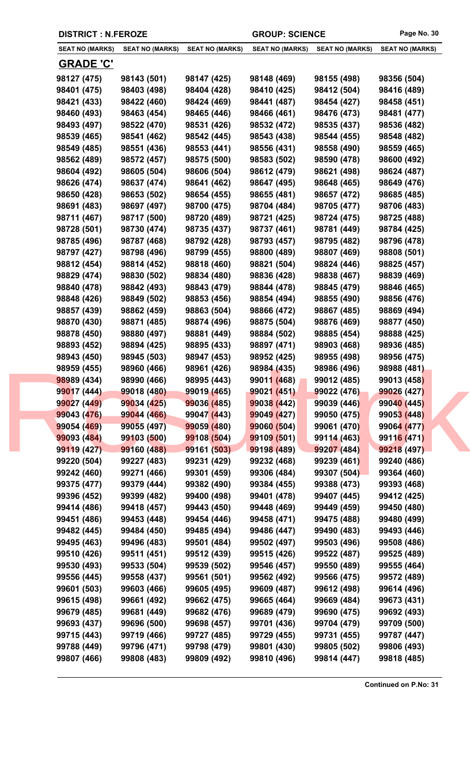| <b>DISTRICT : N.FEROZE</b> |                        |                        | <b>GROUP: SCIENCE</b>  |                        | Page No. 30            |
|----------------------------|------------------------|------------------------|------------------------|------------------------|------------------------|
| <b>SEAT NO (MARKS)</b>     | <b>SEAT NO (MARKS)</b> | <b>SEAT NO (MARKS)</b> | <b>SEAT NO (MARKS)</b> | <b>SEAT NO (MARKS)</b> | <b>SEAT NO (MARKS)</b> |
| <b>GRADE 'C'</b>           |                        |                        |                        |                        |                        |
| 98127 (475)                | 98143 (501)            | 98147 (425)            | 98148 (469)            | 98155 (498)            | 98356 (504)            |
| 98401 (475)                | 98403 (498)            | 98404 (428)            | 98410 (425)            | 98412 (504)            | 98416 (489)            |
| 98421 (433)                | 98422 (460)            | 98424 (469)            | 98441 (487)            | 98454 (427)            | 98458 (451)            |
| 98460 (493)                | 98463 (454)            | 98465 (446)            | 98466 (461)            | 98476 (473)            | 98481 (477)            |
| 98493 (497)                | 98522 (470)            | 98531 (426)            | 98532 (472)            | 98535 (437)            | 98536 (482)            |
| 98539 (465)                | 98541 (462)            | 98542 (445)            | 98543 (438)            | 98544 (455)            | 98548 (482)            |
| 98549 (485)                | 98551 (436)            | 98553 (441)            | 98556 (431)            | 98558 (490)            | 98559 (465)            |
| 98562 (489)                | 98572 (457)            | 98575 (500)            | 98583 (502)            | 98590 (478)            | 98600 (492)            |
| 98604 (492)                | 98605 (504)            | 98606 (504)            | 98612 (479)            | 98621 (498)            | 98624 (487)            |
| 98626 (474)                | 98637 (474)            | 98641 (462)            | 98647 (495)            | 98648 (465)            | 98649 (476)            |
| 98650 (428)                | 98653 (502)            | 98654 (455)            | 98655 (481)            | 98657 (472)            | 98685 (485)            |
| 98691 (483)                | 98697 (497)            | 98700 (475)            | 98704 (484)            | 98705 (477)            | 98706 (483)            |
| 98711 (467)                | 98717 (500)            | 98720 (489)            | 98721 (425)            | 98724 (475)            | 98725 (488)            |
| 98728 (501)                | 98730 (474)            | 98735 (437)            | 98737 (461)            | 98781 (449)            | 98784 (425)            |
| 98785 (496)                | 98787 (468)            | 98792 (428)            | 98793 (457)            | 98795 (482)            | 98796 (478)            |
| 98797 (427)                | 98798 (496)            | 98799 (455)            | 98800 (489)            | 98807 (469)            | 98808 (501)            |
| 98812 (454)                | 98814 (452)            | 98818 (460)            | 98821 (504)            | 98824 (446)            | 98825 (457)            |
| 98829 (474)                | 98830 (502)            | 98834 (480)            | 98836 (428)            | 98838 (467)            | 98839 (469)            |
| 98840 (478)                | 98842 (493)            | 98843 (479)            | 98844 (478)            | 98845 (479)            | 98846 (465)            |
| 98848 (426)                | 98849 (502)            | 98853 (456)            | 98854 (494)            | 98855 (490)            | 98856 (476)            |
| 98857 (439)                | 98862 (459)            | 98863 (504)            | 98866 (472)            | 98867 (485)            | 98869 (494)            |
| 98870 (430)                | 98871 (485)            | 98874 (496)            | 98875 (504)            | 98876 (469)            | 98877 (450)            |
| 98878 (450)                | 98880 (497)            | 98881 (449)            | 98884 (502)            | 98885 (454)            | 98888 (425)            |
| 98893 (452)                | 98894 (425)            | 98895 (433)            | 98897 (471)            | 98903 (468)            | 98936 (485)            |
| 98943 (450)                | 98945 (503)            | 98947 (453)            | 98952 (425)            | 98955 (498)            | 98956 (475)            |
| 98959 (455)                | 98960 (466)            | 98961 (426)            | 98984 (435)            | 98986 (496)            | 98988 (481)            |
| 98989 (434)                | 98990 (466)            | 98995 (443)            | 99011 (468)            | 99012 (485)            | 99013 (458)            |
| 99017 (444)                | 99018 (480)            | 99019 (465)            | 99021 (451)            | 99022 (476)            | 99026 (427)            |
| 99027 (449)                | 99034 (425)            | 99036 (485)            | 99038 (442)            | 99039 (446)            | 99040 (445)            |
| 99043 (476)                | 99044 (466)            | 99047 (443)            | 99049 (427)            | 99050 (475)            | 99053 (448)            |
| 99054 (469)                | 99055 (497)            | 99059 (480)            | 99060 (504)            | 99061 (470)            | 99064 (477)            |
| 99093 (484)                | 99103 (500)            | 99108 (504)            | 99109 (501)            | 99114 (463)            | 99116 (471)            |
| 99119 (427)                | 99160 (488)            | 99161 (503)            | 99198 (489)            | 99207 (484)            | 99218 (497)            |
| 99220 (504)                | 99227 (483)            | 99231 (429)            | 99232 (468)            | 99239 (461)            | 99240 (486)            |
| 99242 (460)                | 99271 (466)            | 99301 (459)            | 99306 (484)            | 99307 (504)            | 99364 (460)            |
| 99375 (477)                | 99379 (444)            | 99382 (490)            | 99384 (455)            | 99388 (473)            | 99393 (468)            |
| 99396 (452)                | 99399 (482)            | 99400 (498)            | 99401 (478)            | 99407 (445)            | 99412 (425)            |
| 99414 (486)                | 99418 (457)            | 99443 (450)            | 99448 (469)            | 99449 (459)            | 99450 (480)            |
| 99451 (486)                | 99453 (448)            | 99454 (446)            | 99458 (471)            | 99475 (488)            | 99480 (499)            |
| 99482 (445)                | 99484 (450)            | 99485 (494)            | 99486 (447)            | 99490 (483)            | 99493 (446)            |
| 99495 (463)                | 99496 (483)            | 99501 (484)            | 99502 (497)            | 99503 (496)            | 99508 (486)            |
| 99510 (426)                | 99511 (451)            | 99512 (439)            | 99515 (426)            | 99522 (487)            | 99525 (489)            |
| 99530 (493)                | 99533 (504)            | 99539 (502)            | 99546 (457)            | 99550 (489)            | 99555 (464)            |
| 99556 (445)                | 99558 (437)            | 99561 (501)            | 99562 (492)            | 99566 (475)            | 99572 (489)            |
| 99601 (503)                | 99603 (466)            | 99605 (495)            | 99609 (487)            | 99612 (498)            | 99614 (496)            |
| 99615 (498)                | 99661 (492)            | 99662 (475)            | 99665 (464)            | 99669 (484)            | 99673 (431)            |
| 99679 (485)                | 99681 (449)            | 99682 (476)            | 99689 (479)            | 99690 (475)            | 99692 (493)            |
| 99693 (437)                | 99696 (500)            | 99698 (457)            | 99701 (436)            | 99704 (479)            | 99709 (500)            |
| 99715 (443)                | 99719 (466)            | 99727 (485)            | 99729 (455)            | 99731 (455)            | 99787 (447)            |
| 99788 (449)                | 99796 (471)            | 99798 (479)            | 99801 (430)            | 99805 (502)            | 99806 (493)            |
| 99807 (466)                | 99808 (483)            | 99809 (492)            | 99810 (496)            | 99814 (447)            | 99818 (485)            |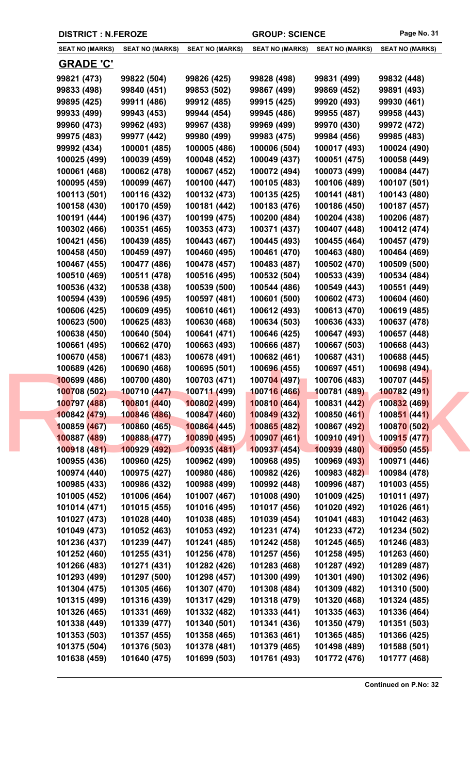| <b>DISTRICT : N.FEROZE</b>   |                              |                              | <b>GROUP: SCIENCE</b>        |                              | Page No. 31                  |
|------------------------------|------------------------------|------------------------------|------------------------------|------------------------------|------------------------------|
| <b>SEAT NO (MARKS)</b>       | <b>SEAT NO (MARKS)</b>       | <b>SEAT NO (MARKS)</b>       | <b>SEAT NO (MARKS)</b>       | <b>SEAT NO (MARKS)</b>       | <b>SEAT NO (MARKS)</b>       |
| <b>GRADE 'C'</b>             |                              |                              |                              |                              |                              |
| 99821 (473)                  | 99822 (504)                  | 99826 (425)                  | 99828 (498)                  | 99831 (499)                  | 99832 (448)                  |
| 99833 (498)                  | 99840 (451)                  | 99853 (502)                  | 99867 (499)                  | 99869 (452)                  | 99891 (493)                  |
| 99895 (425)                  | 99911 (486)                  | 99912 (485)                  | 99915 (425)                  | 99920 (493)                  | 99930 (461)                  |
| 99933 (499)                  | 99943 (453)                  | 99944 (454)                  | 99945 (486)                  | 99955 (487)                  | 99958 (443)                  |
| 99960 (473)                  | 99962 (493)                  | 99967 (438)                  | 99969 (499)                  | 99970 (430)                  | 99972 (472)                  |
| 99975 (483)                  | 99977 (442)                  | 99980 (499)                  | 99983 (475)                  | 99984 (456)                  | 99985 (483)                  |
| 99992 (434)                  | 100001 (485)                 | 100005 (486)                 | 100006 (504)                 | 100017 (493)                 | 100024 (490)                 |
| 100025 (499)                 | 100039 (459)                 | 100048 (452)                 | 100049 (437)                 | 100051 (475)                 | 100058 (449)                 |
| 100061 (468)                 | 100062 (478)                 | 100067 (452)                 | 100072 (494)                 | 100073 (499)                 | 100084 (447)                 |
| 100095 (459)                 | 100099 (467)                 | 100100 (447)                 | 100105 (483)                 | 100106 (489)                 | 100107 (501)                 |
| 100113 (501)                 | 100116 (432)                 | 100132 (473)                 | 100135 (425)                 | 100141 (481)                 | 100143 (480)                 |
| 100158 (430)                 | 100170 (459)                 | 100181 (442)                 | 100183 (476)                 | 100186 (450)                 | 100187 (457)                 |
| 100191 (444)                 | 100196 (437)                 | 100199 (475)                 | 100200 (484)                 | 100204 (438)                 | 100206 (487)                 |
| 100302 (466)                 | 100351 (465)                 | 100353 (473)                 | 100371 (437)                 | 100407 (448)                 | 100412 (474)                 |
| 100421 (456)                 | 100439 (485)                 | 100443 (467)                 | 100445 (493)                 | 100455 (464)                 | 100457 (479)                 |
| 100458 (450)                 | 100459 (497)                 | 100460 (495)                 | 100461 (470)                 | 100463 (480)                 | 100464 (469)                 |
| 100467 (455)                 | 100477 (486)                 | 100478 (457)                 | 100483 (487)                 | 100502 (470)                 | 100509 (500)                 |
| 100510 (469)                 | 100511 (478)                 | 100516 (495)                 | 100532 (504)                 | 100533 (439)                 | 100534 (484)                 |
| 100536 (432)                 | 100538 (438)                 | 100539 (500)                 | 100544 (486)                 | 100549 (443)                 | 100551 (449)                 |
| 100594 (439)                 | 100596 (495)                 | 100597 (481)                 | 100601 (500)                 | 100602 (473)                 | 100604 (460)                 |
| 100606 (425)                 | 100609 (495)                 | 100610 (461)                 | 100612 (493)                 | 100613 (470)                 | 100619 (485)                 |
| 100623 (500)                 | 100625 (483)                 | 100630 (468)                 | 100634 (503)                 | 100636 (433)                 | 100637 (478)                 |
| 100638 (450)                 | 100640 (504)                 | 100641 (471)                 | 100646 (425)                 | 100647 (493)                 | 100657 (448)                 |
| 100661 (495)                 | 100662 (470)                 | 100663 (493)                 | 100666 (487)                 | 100667 (503)                 | 100668 (443)                 |
| 100670 (458)                 | 100671 (483)                 | 100678 (491)                 | 100682 (461)                 | 100687 (431)                 | 100688 (445)                 |
| 100689 (426)                 | 100690 (468)                 | 100695 (501)                 | 100696 (455)                 | 100697 (451)                 | 100698 (494)                 |
| 100699 (486)                 | 100700 (480)                 | 100703 (471)                 | 100704 (497)                 | 100706 (483)                 | 100707 (445)                 |
| 100708 (502)                 | 100710 (447)                 | 100711 (499)                 | 100716 (466)                 | 100781 (489)                 | 100782 (491)                 |
| 100797 (488)                 | 100801 (440)                 | 100802 (499)                 | 100810 (464)                 | 100831 (442)                 | 100832 (469)                 |
| 100842 (479)                 | 100846 (486)                 | 10084 <mark>7 (</mark> 460)  | 100849 (432)                 | 100850 (461)                 | 100851 (441)                 |
| 100859 (467)                 | 100860 (465)                 | 100864 (445)                 | 100865 (482)                 | 100867 (492)                 | 100870 (502)                 |
| 100887 (489)                 | 100888 (477)                 | 100890 (495)                 | 100907(461)                  | 100910 (491)                 | 100915 (477)                 |
| 100918 (481)                 | 100929 (492)                 | 100935 (481)                 | 100937 (454)                 | 100939 (480)                 | 100950 (455)                 |
| 100955 (436)                 | 100960 (425)                 | 100962 (499)                 | 100968 (495)                 | 100969 (493)                 | 100971 (446)                 |
| 100974 (440)                 | 100975 (427)                 | 100980 (486)                 | 100982 (426)                 | 100983 (482)                 | 100984 (478)                 |
| 100985 (433)                 | 100986 (432)                 | 100988 (499)                 | 100992 (448)                 | 100996 (487)                 | 101003 (455)                 |
| 101005 (452)                 | 101006 (464)                 | 101007 (467)                 | 101008 (490)                 | 101009 (425)                 | 101011 (497)                 |
| 101014 (471)                 | 101015 (455)                 | 101016 (495)                 | 101017 (456)                 | 101020 (492)                 | 101026 (461)                 |
| 101027 (473)                 | 101028 (440)                 | 101038 (485)                 | 101039 (454)                 | 101041 (483)                 | 101042 (463)                 |
| 101049 (473)                 | 101052 (463)                 | 101053 (492)                 | 101231 (474)                 | 101233 (472)                 | 101234 (502)                 |
| 101236 (437)                 | 101239 (447)                 | 101241 (485)                 | 101242 (458)                 | 101245 (465)                 | 101246 (483)                 |
| 101252 (460)                 | 101255 (431)                 | 101256 (478)                 | 101257 (456)                 | 101258 (495)                 | 101263 (460)                 |
| 101266 (483)                 | 101271 (431)                 | 101282 (426)                 | 101283 (468)                 | 101287 (492)                 | 101289 (487)                 |
| 101293 (499)<br>101304 (475) | 101297 (500)<br>101305 (466) | 101298 (457)<br>101307 (470) | 101300 (499)<br>101308 (484) | 101301 (490)<br>101309 (482) | 101302 (496)<br>101310 (500) |
| 101315 (499)                 | 101316 (439)                 | 101317 (429)                 | 101318 (479)                 | 101320 (468)                 | 101324 (485)                 |
| 101326 (465)                 | 101331 (469)                 | 101332 (482)                 | 101333 (441)                 | 101335 (463)                 | 101336 (464)                 |
| 101338 (449)                 | 101339 (477)                 | 101340 (501)                 | 101341 (436)                 | 101350 (479)                 | 101351 (503)                 |
| 101353 (503)                 | 101357 (455)                 | 101358 (465)                 | 101363 (461)                 | 101365 (485)                 | 101366 (425)                 |
| 101375 (504)                 | 101376 (503)                 | 101378 (481)                 | 101379 (465)                 | 101498 (489)                 | 101588 (501)                 |
| 101638 (459)                 | 101640 (475)                 | 101699 (503)                 | 101761 (493)                 | 101772 (476)                 | 101777 (468)                 |
|                              |                              |                              |                              |                              |                              |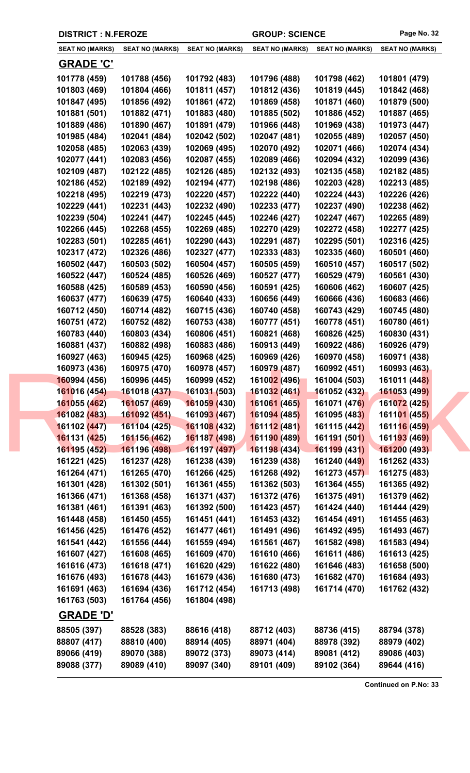|  | <b>DISTRICT : N.FEROZE</b>   |                              |                              | <b>GROUP: SCIENCE</b>        |                              | Page No. 32                  |
|--|------------------------------|------------------------------|------------------------------|------------------------------|------------------------------|------------------------------|
|  | <b>SEAT NO (MARKS)</b>       | <b>SEAT NO (MARKS)</b>       | <b>SEAT NO (MARKS)</b>       | <b>SEAT NO (MARKS)</b>       | <b>SEAT NO (MARKS)</b>       | <b>SEAT NO (MARKS)</b>       |
|  | <b>GRADE 'C'</b>             |                              |                              |                              |                              |                              |
|  | 101778 (459)                 | 101788 (456)                 | 101792 (483)                 | 101796 (488)                 | 101798 (462)                 | 101801 (479)                 |
|  | 101803 (469)                 | 101804 (466)                 | 101811 (457)                 | 101812 (436)                 | 101819 (445)                 | 101842 (468)                 |
|  | 101847 (495)                 | 101856 (492)                 | 101861 (472)                 | 101869 (458)                 | 101871 (460)                 | 101879 (500)                 |
|  | 101881 (501)                 | 101882 (471)                 | 101883 (480)                 | 101885 (502)                 | 101886 (452)                 | 101887 (465)                 |
|  | 101889 (486)                 | 101890 (467)                 | 101891 (479)                 | 101966 (448)                 | 101969 (438)                 | 101973 (447)                 |
|  | 101985 (484)                 | 102041 (484)                 | 102042 (502)                 | 102047 (481)                 | 102055 (489)                 | 102057 (450)                 |
|  | 102058 (485)                 | 102063 (439)                 | 102069 (495)                 | 102070 (492)                 | 102071 (466)                 | 102074 (434)                 |
|  | 102077 (441)                 | 102083 (456)                 | 102087 (455)                 | 102089 (466)                 | 102094 (432)                 | 102099 (436)                 |
|  | 102109 (487)                 | 102122 (485)                 | 102126 (485)                 | 102132 (493)                 | 102135 (458)                 | 102182 (485)                 |
|  | 102186 (452)                 | 102189 (492)                 | 102194 (477)                 | 102198 (486)                 | 102203 (428)                 | 102213 (485)                 |
|  | 102218 (495)                 | 102219 (473)                 | 102220 (457)                 | 102222 (440)                 | 102224 (443)                 | 102226 (426)                 |
|  | 102229 (441)                 | 102231 (443)                 | 102232 (490)                 | 102233 (477)                 | 102237 (490)                 | 102238 (462)                 |
|  | 102239 (504)                 | 102241 (447)                 | 102245 (445)                 | 102246 (427)                 | 102247 (467)                 | 102265 (489)                 |
|  | 102266 (445)                 | 102268 (455)                 | 102269 (485)                 | 102270 (429)                 | 102272 (458)                 | 102277 (425)                 |
|  | 102283 (501)                 | 102285 (461)                 | 102290 (443)                 | 102291 (487)                 | 102295 (501)                 | 102316 (425)                 |
|  | 102317 (472)                 | 102326 (486)                 | 102327 (477)                 | 102333 (483)                 | 102335 (460)                 | 160501 (460)                 |
|  | 160502 (447)                 | 160503 (502)                 | 160504 (457)                 | 160505 (459)                 | 160510 (457)                 | 160517 (502)                 |
|  | 160522 (447)                 | 160524 (485)                 | 160526 (469)                 | 160527 (477)                 | 160529 (479)                 | 160561 (430)                 |
|  | 160588 (425)                 | 160589 (453)                 | 160590 (456)                 | 160591 (425)                 | 160606 (462)                 | 160607 (425)                 |
|  | 160637 (477)                 | 160639 (475)                 | 160640 (433)                 | 160656 (449)                 | 160666 (436)                 | 160683 (466)                 |
|  | 160712 (450)                 | 160714 (482)                 | 160715 (436)                 | 160740 (458)                 | 160743 (429)                 | 160745 (480)                 |
|  | 160751 (472)                 | 160752 (482)                 | 160753 (438)                 | 160777 (451)                 | 160778 (451)                 | 160780 (461)                 |
|  | 160783 (440)                 | 160803 (434)                 | 160806 (451)                 | 160821 (468)                 | 160826 (425)                 | 160830 (431)                 |
|  | 160881 (437)                 | 160882 (498)                 | 160883 (486)                 | 160913 (449)                 | 160922 (486)                 | 160926 (479)                 |
|  | 160927 (463)                 | 160945 (425)                 | 160968 (425)                 | 160969 (426)                 | 160970 (458)                 | 160971 (438)                 |
|  | 160973 (436)                 | 160975 (470)                 | 160978 (457)                 | 160979 (487)                 | 160992 (451)                 | 160993 (463)                 |
|  | 160994 (456)                 | 160996 (445)                 | 160999 (452)                 | 161002 (496)                 | 161004 (503)                 | 161011 (448)                 |
|  | 161016 (454)                 | 161018 (437)                 | 161031 (503)                 | 161032 (461)                 | 161052 (432)                 | 161053 (499)                 |
|  | 161055 (462)                 | 161057 (469)                 | 161059 (430)                 | 161061 (465)                 | 161071 (476)                 | 161072 (425)                 |
|  | 161082 (483)                 | 161092 (451)                 | 16109 <mark>3 (</mark> 467)  | 161094 (485)                 | 161095 (483)                 | 161101 (455)                 |
|  | 161102 (447)                 | 161104 (425)                 | 161108 (432)                 | 161112 (481)                 | 161115 (442)                 | 161116 (459)                 |
|  | 161131 (425)                 | 161156 (462)                 | 161187 (498)                 | 161190 (489)                 | 161191 (501)                 | 161193 (469)                 |
|  | 161195 (452)                 | 161196 (498)                 | 161197 (497)                 | 161198 (434)                 | 161199 (431)                 | 161200 (493)                 |
|  | 161221 (425)                 | 161237 (428)                 | 161238 (439)                 | 161239 (438)                 | 161240 (449)                 | 161262 (433)                 |
|  | 161264 (471)                 | 161265 (470)                 | 161266 (425)                 | 161268 (492)                 | 161273 (457)                 | 161275 (483)                 |
|  | 161301 (428)                 | 161302 (501)<br>161368 (458) | 161361 (455)<br>161371 (437) | 161362 (503)<br>161372 (476) | 161364 (455)<br>161375 (491) | 161365 (492)<br>161379 (462) |
|  | 161366 (471)<br>161381 (461) | 161391 (463)                 | 161392 (500)                 | 161423 (457)                 | 161424 (440)                 | 161444 (429)                 |
|  | 161448 (458)                 | 161450 (455)                 | 161451 (441)                 | 161453 (432)                 | 161454 (491)                 | 161455 (463)                 |
|  | 161456 (425)                 | 161476 (452)                 | 161477 (461)                 | 161491 (496)                 | 161492 (495)                 | 161493 (467)                 |
|  | 161541 (442)                 | 161556 (444)                 | 161559 (494)                 | 161561 (467)                 | 161582 (498)                 | 161583 (494)                 |
|  | 161607 (427)                 | 161608 (465)                 | 161609 (470)                 | 161610 (466)                 | 161611 (486)                 | 161613 (425)                 |
|  | 161616 (473)                 | 161618 (471)                 | 161620 (429)                 | 161622 (480)                 | 161646 (483)                 | 161658 (500)                 |
|  | 161676 (493)                 | 161678 (443)                 | 161679 (436)                 | 161680 (473)                 | 161682 (470)                 | 161684 (493)                 |
|  | 161691 (463)                 | 161694 (436)                 | 161712 (454)                 | 161713 (498)                 | 161714 (470)                 | 161762 (432)                 |
|  | 161763 (503)                 | 161764 (456)                 | 161804 (498)                 |                              |                              |                              |
|  | <b>GRADE 'D'</b>             |                              |                              |                              |                              |                              |
|  | 88505 (397)                  | 88528 (383)                  | 88616 (418)                  | 88712 (403)                  | 88736 (415)                  | 88794 (378)                  |
|  | 88807 (417)                  | 88810 (400)                  | 88914 (405)                  | 88971 (404)                  | 88978 (392)                  | 88979 (402)                  |
|  | 89066 (419)                  | 89070 (388)                  | 89072 (373)                  | 89073 (414)                  | 89081 (412)                  | 89086 (403)                  |
|  | 89088 (377)                  | 89089 (410)                  | 89097 (340)                  | 89101 (409)                  | 89102 (364)                  | 89644 (416)                  |
|  |                              |                              |                              |                              |                              |                              |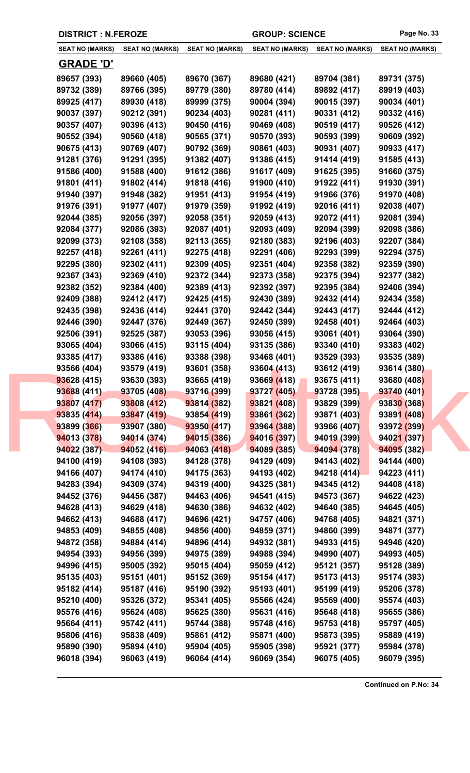| <b>DISTRICT : N.FEROZE</b> |                            |                            | <b>GROUP: SCIENCE</b>      |                            | Page No. 33                |
|----------------------------|----------------------------|----------------------------|----------------------------|----------------------------|----------------------------|
| <b>SEAT NO (MARKS)</b>     | <b>SEAT NO (MARKS)</b>     | <b>SEAT NO (MARKS)</b>     | <b>SEAT NO (MARKS)</b>     | <b>SEAT NO (MARKS)</b>     | <b>SEAT NO (MARKS)</b>     |
| <u>GRADE 'D'</u>           |                            |                            |                            |                            |                            |
| 89657 (393)                | 89660 (405)                | 89670 (367)                | 89680 (421)                | 89704 (381)                | 89731 (375)                |
| 89732 (389)                | 89766 (395)                | 89779 (380)                | 89780 (414)                | 89892 (417)                | 89919 (403)                |
| 89925 (417)                | 89930 (418)                | 89999 (375)                | 90004 (394)                | 90015 (397)                | 90034 (401)                |
| 90037 (397)                | 90212 (391)                | 90234 (403)                | 90281 (411)                | 90331 (412)                | 90332 (416)                |
| 90357 (407)                | 90396 (413)                | 90450 (416)                | 90469 (408)                | 90519 (417)                | 90526 (412)                |
| 90552 (394)                | 90560 (418)                | 90565 (371)                | 90570 (393)                | 90593 (399)                | 90609 (392)                |
| 90675 (413)                | 90769 (407)                | 90792 (369)                | 90861 (403)                | 90931 (407)                | 90933 (417)                |
| 91281 (376)                | 91291 (395)                | 91382 (407)                | 91386 (415)                | 91414 (419)                | 91585 (413)                |
| 91586 (400)                | 91588 (400)                | 91612 (386)                | 91617 (409)                | 91625 (395)                | 91660 (375)                |
| 91801 (411)                | 91802 (414)                | 91818 (416)                | 91900 (410)                | 91922 (411)                | 91930 (391)                |
| 91940 (397)                | 91948 (382)                | 91951 (413)                | 91954 (419)                | 91966 (376)                | 91970 (408)                |
| 91976 (391)                | 91977 (407)                | 91979 (359)                | 91992 (419)                | 92016 (411)                | 92038 (407)                |
| 92044 (385)                | 92056 (397)                | 92058 (351)                | 92059 (413)                | 92072 (411)                | 92081 (394)                |
| 92084 (377)                | 92086 (393)                | 92087 (401)                | 92093 (409)                | 92094 (399)                | 92098 (386)                |
| 92099 (373)                | 92108 (358)                | 92113 (365)                | 92180 (383)                | 92196 (403)                | 92207 (384)                |
| 92257 (418)                | 92261 (411)                | 92275 (418)                | 92291 (406)                | 92293 (399)                | 92294 (375)                |
| 92295 (380)                | 92302 (411)                | 92309 (405)                | 92351 (404)                | 92358 (382)                | 92359 (390)                |
| 92367 (343)                | 92369 (410)                | 92372 (344)                | 92373 (358)                | 92375 (394)                | 92377 (382)                |
| 92382 (352)                | 92384 (400)                | 92389 (413)                | 92392 (397)                | 92395 (384)                | 92406 (394)                |
| 92409 (388)                | 92412 (417)                | 92425 (415)                | 92430 (389)                | 92432 (414)                | 92434 (358)                |
| 92435 (398)                | 92436 (414)                | 92441 (370)                | 92442 (344)                | 92443 (417)                | 92444 (412)                |
| 92446 (390)                | 92447 (376)                | 92449 (367)                | 92450 (399)                | 92458 (401)                | 92464 (403)                |
| 92506 (391)                | 92525 (387)                | 93053 (396)                | 93056 (415)                | 93061 (401)                | 93064 (390)                |
| 93065 (404)                | 93066 (415)                | 93115 (404)                | 93135 (386)                | 93340 (410)                | 93383 (402)                |
| 93385 (417)                | 93386 (416)                | 93388 (398)                | 93468 (401)                | 93529 (393)                | 93535 (389)                |
| 93566 (404)                | 93579 (419)                | 93601 (358)                | 93604 (413)                | 93612 (419)                | 93614 (380)                |
| 93628 (415)                | 93630 (393)                | 93665 (419)                | 93669 (418)                | 93675 (411)                | 93680 (408)                |
| 93688 (411)                | 93705 (408)                | 93716 (399)                | 93727 (405)                | 93728 (395)                | 93740 (401)                |
| 93807 (417)                | 93808 (412)                | 93814 (382)                | 93821 (408)                | 93829 (399)                | 93830 (368)                |
| 93835 (414)                | 93847 (419)                | 93854 (419)                | 93861 (362)                | 93871 (403)                | 93891 (408)                |
| 93899 (366)                | 93907 (380)                | 93950 (417)                | 93964 (388)                | 93966 (407)                | 93972 (399)                |
| 94013 (378)                | 94014 (374)                | 94015 (386)                | 94016 (397)                | 94019 (399)                | 94021 (397)                |
| 94022 (387)                | 94052 (416)                | 94063 (418)                | 94089 (385)                | 94094 (378)                | 94095 (382)                |
| 94100 (419)                | 94108 (393)                | 94128 (378)                | 94129 (409)                | 94143 (402)                | 94144 (400)                |
| 94166 (407)                | 94174 (410)                | 94175 (363)                | 94193 (402)                | 94218 (414)                | 94223 (411)                |
| 94283 (394)                | 94309 (374)                | 94319 (400)                | 94325 (381)                | 94345 (412)                | 94408 (418)                |
| 94452 (376)                | 94456 (387)                | 94463 (406)                | 94541 (415)                | 94573 (367)                | 94622 (423)                |
| 94628 (413)                | 94629 (418)                | 94630 (386)                | 94632 (402)                | 94640 (385)                | 94645 (405)                |
| 94662 (413)                | 94688 (417)                | 94696 (421)                | 94757 (406)                | 94768 (405)                | 94821 (371)                |
| 94853 (409)                | 94855 (408)                | 94856 (400)                | 94859 (371)                | 94860 (399)                | 94871 (377)                |
| 94872 (358)<br>94954 (393) | 94884 (414)<br>94956 (399) | 94896 (414)<br>94975 (389) | 94932 (381)<br>94988 (394) | 94933 (415)<br>94990 (407) | 94946 (420)<br>94993 (405) |
| 94996 (415)                | 95005 (392)                | 95015 (404)                | 95059 (412)                | 95121 (357)                | 95128 (389)                |
| 95135 (403)                | 95151 (401)                | 95152 (369)                | 95154 (417)                | 95173 (413)                | 95174 (393)                |
| 95182 (414)                | 95187 (416)                | 95190 (392)                | 95193 (401)                | 95199 (419)                | 95206 (378)                |
| 95210 (400)                | 95326 (372)                | 95341 (405)                | 95566 (424)                | 95569 (400)                | 95574 (403)                |
| 95576 (416)                | 95624 (408)                | 95625 (380)                | 95631 (416)                | 95648 (418)                | 95655 (386)                |
| 95664 (411)                | 95742 (411)                | 95744 (388)                | 95748 (416)                | 95753 (418)                | 95797 (405)                |
| 95806 (416)                | 95838 (409)                | 95861 (412)                | 95871 (400)                | 95873 (395)                | 95889 (419)                |
| 95890 (390)                | 95894 (410)                | 95904 (405)                | 95905 (398)                | 95921 (377)                | 95984 (378)                |
| 96018 (394)                | 96063 (419)                | 96064 (414)                | 96069 (354)                | 96075 (405)                | 96079 (395)                |
|                            |                            |                            |                            |                            |                            |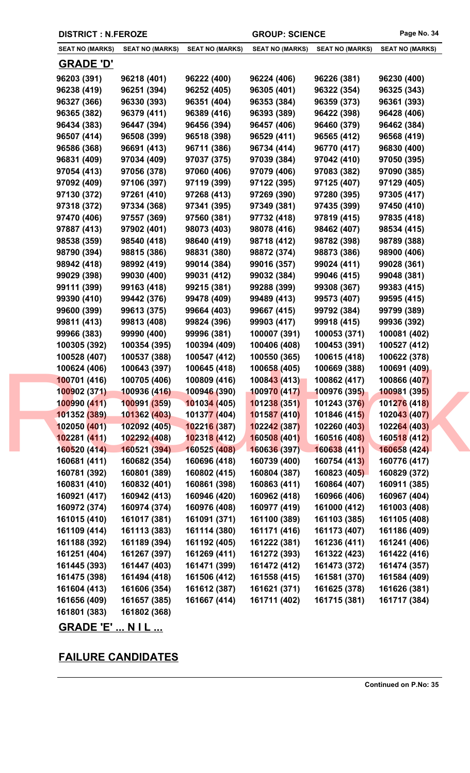## **FAILURE CANDIDATES**

| <b>GRADE 'E'  N I L</b> |  | --- |
|-------------------------|--|-----|
|                         |  |     |

| 160921 (417) | 160942 (413) | 160946 (420) | 160962 (41 |
|--------------|--------------|--------------|------------|
| 160972 (374) | 160974 (374) | 160976 (408) | 160977 (41 |
| 161015 (410) | 161017 (381) | 161091 (371) | 161100 (38 |
| 161109 (414) | 161113 (383) | 161114 (380) | 161171 (41 |
| 161188 (392) | 161189 (394) | 161192 (405) | 161222 (38 |
| 161251 (404) | 161267 (397) | 161269 (411) | 161272 (39 |
| 161445 (393) | 161447 (403) | 161471 (399) | 161472 (41 |
| 161475 (398) | 161494 (418) | 161506 (412) | 161558 (41 |
| 161604 (413) | 161606 (354) | 161612 (387) | 161621 (37 |
| 161656 (409) | 161657 (385) | 161667 (414) | 161711 (40 |
| 161801 (383) | 161802 (368) |              |            |
|              |              |              |            |

| 99111 (399)  | 99163 (418)  | 99215 (381)  | 99288 (399)  | 99308 (367)  | 99383 (415)  |  |
|--------------|--------------|--------------|--------------|--------------|--------------|--|
| 99390 (410)  | 99442 (376)  | 99478 (409)  | 99489 (413)  | 99573 (407)  | 99595 (415)  |  |
| 99600 (399)  | 99613 (375)  | 99664 (403)  | 99667 (415)  | 99792 (384)  | 99799 (389)  |  |
| 99811 (413)  | 99813 (408)  | 99824 (396)  | 99903 (417)  | 99918 (415)  | 99936 (392)  |  |
| 99966 (383)  | 99990 (400)  | 99996 (381)  | 100007 (391) | 100053 (371) | 100081 (402) |  |
| 100305 (392) | 100354 (395) | 100394 (409) | 100406 (408) | 100453 (391) | 100527 (412) |  |
| 100528 (407) | 100537 (388) | 100547 (412) | 100550 (365) | 100615 (418) | 100622 (378) |  |
| 100624 (406) | 100643 (397) | 100645 (418) | 100658 (405) | 100669 (388) | 100691 (409) |  |
| 100701 (416) | 100705 (406) | 100809 (416) | 100843 (413) | 100862 (417) | 100866 (407) |  |
| 100902 (371) | 100936 (416) | 100946 (390) | 100970 (417) | 100976 (395) | 100981 (395) |  |
| 100990 (411) | 100991 (359) | 101034 (405) | 101238 (351) | 101243 (376) | 101276 (418) |  |
| 101352 (389) | 101362 (403) | 101377 (404) | 101587 (410) | 101846 (415) | 102043 (407) |  |
| 102050 (401) | 102092 (405) | 102216 (387) | 102242 (387) | 102260 (403) | 102264 (403) |  |
| 102281 (411) | 102292 (408) | 102318 (412) | 160508 (401) | 160516 (408) | 160518 (412) |  |
| 160520 (414) | 160521 (394) | 160525 (408) | 160636 (397) | 160638 (411) | 160658 (424) |  |
| 160681 (411) | 160682 (354) | 160696 (418) | 160739 (400) | 160754 (413) | 160776 (417) |  |
| 160781 (392) | 160801 (389) | 160802 (415) | 160804 (387) | 160823 (405) | 160829 (372) |  |
| 160831 (410) | 160832 (401) | 160861 (398) | 160863 (411) | 160864 (407) | 160911 (385) |  |
| 160921 (417) | 160942 (413) | 160946 (420) | 160962 (418) | 160966 (406) | 160967 (404) |  |
| 160972 (374) | 160974 (374) | 160976 (408) | 160977 (419) | 161000 (412) | 161003 (408) |  |
| 161015 (410) | 161017 (381) | 161091 (371) | 161100 (389) | 161103 (385) | 161105 (408) |  |
| 161109 (414) | 161113 (383) | 161114 (380) | 161171 (416) | 161173 (407) | 161186 (409) |  |
| 161188 (392) | 161189 (394) | 161192 (405) | 161222 (381) | 161236 (411) | 161241 (406) |  |
| 161251 (404) | 161267 (397) | 161269 (411) | 161272 (393) | 161322 (423) | 161422 (416) |  |
| 161445 (393) | 161447 (403) | 161471 (399) | 161472 (412) | 161473 (372) | 161474 (357) |  |
| 161475 (398) | 161494 (418) | 161506 (412) | 161558 (415) | 161581 (370) | 161584 (409) |  |
| 161604 (413) | 161606 (354) | 161612 (387) | 161621 (371) | 161625 (378) | 161626 (381) |  |
| 161656 (409) | 161657 (385) | 161667 (414) | 161711 (402) | 161715 (381) | 161717 (384) |  |
| 161801 (383) | 161802 (368) |              |              |              |              |  |
|              |              |              |              |              |              |  |

**DISTRICT : N.FEROZE GROUP: SCIENCE Page No. 34**

**SEAT NO (MARKS)**

**GRADE 'D'**

**SEAT NO (MARKS) SEAT NO (MARKS) SEAT NO (MARKS) SEAT NO (MARKS) SEAT NO (MARKS)**

**96203 (391) 96218 (401) 96222 (400) 96224 (406) 96226 (381) 96230 (400) 96238 (419) 96251 (394) 96252 (405) 96305 (401) 96322 (354) 96325 (343) 96327 (366) 96330 (393) 96351 (404) 96353 (384) 96359 (373) 96361 (393) 96365 (382) 96379 (411) 96389 (416) 96393 (389) 96422 (398) 96428 (406) 96434 (383) 96447 (394) 96456 (394) 96457 (406) 96460 (379) 96462 (384) 96507 (414) 96508 (399) 96518 (398) 96529 (411) 96565 (412) 96568 (419) 96586 (368) 96691 (413) 96711 (386) 96734 (414) 96770 (417) 96830 (400) 96831 (409) 97034 (409) 97037 (375) 97039 (384) 97042 (410) 97050 (395) 97054 (413) 97056 (378) 97060 (406) 97079 (406) 97083 (382) 97090 (385) 97092 (409) 97106 (397) 97119 (399) 97122 (395) 97125 (407) 97129 (405) 97130 (372) 97261 (410) 97268 (413) 97269 (390) 97280 (395) 97305 (417) 97318 (372) 97334 (368) 97341 (395) 97349 (381) 97435 (399) 97450 (410) 97470 (406) 97557 (369) 97560 (381) 97732 (418) 97819 (415) 97835 (418) 97887 (413) 97902 (401) 98073 (403) 98078 (416) 98462 (407) 98534 (415) 98538 (359) 98540 (418) 98640 (419) 98718 (412) 98782 (398) 98789 (388) 98790 (394) 98815 (386) 98831 (380) 98872 (374) 98873 (386) 98900 (406) 98942 (418) 98992 (419) 99014 (384) 99016 (357) 99024 (411) 99028 (361) 99029 (398) 99030 (400) 99031 (412) 99032 (384) 99046 (415) 99048 (381)**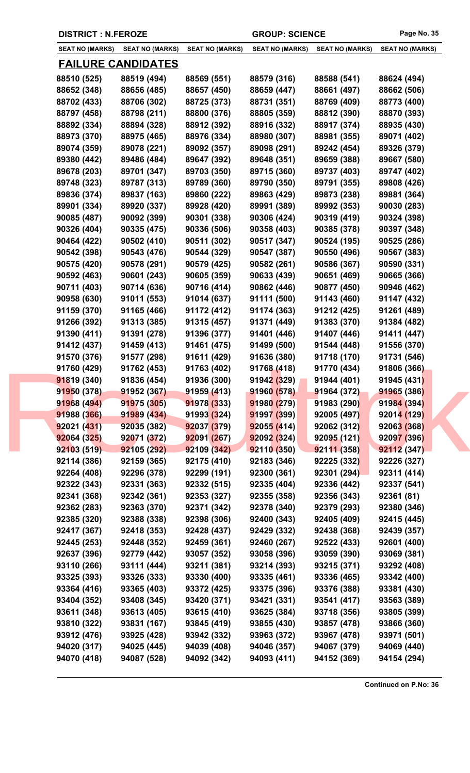|                            | <b>DISTRICT : N.FEROZE</b> |                            |                            | <b>GROUP: SCIENCE</b>      |                            |
|----------------------------|----------------------------|----------------------------|----------------------------|----------------------------|----------------------------|
| SEAT NO (MARKS)            | <b>SEAT NO (MARKS)</b>     | <b>SEAT NO (MARKS)</b>     | <b>SEAT NO (MARKS)</b>     | <b>SEAT NO (MARKS)</b>     | <b>SEAT NO (MARKS)</b>     |
| <u>FAILURE CANDIDATES</u>  |                            |                            |                            |                            |                            |
| 88510 (525)                | 88519 (494)                | 88569 (551)                | 88579 (316)                | 88588 (541)                | 88624 (494)                |
| 88652 (348)                | 88656 (485)                | 88657 (450)                | 88659 (447)                | 88661 (497)                | 88662 (506)                |
| 88702 (433)                | 88706 (302)                | 88725 (373)                | 88731 (351)                | 88769 (409)                | 88773 (400)                |
| 88797 (458)                | 88798 (211)                | 88800 (376)                | 88805 (359)                | 88812 (390)                | 88870 (393)                |
| 88892 (334)                | 88894 (328)                | 88912 (392)                | 88916 (332)                | 88917 (374)                | 88935 (430)                |
| 88973 (370)                | 88975 (465)                | 88976 (334)                | 88980 (307)                | 88981 (355)                | 89071 (402)                |
| 89074 (359)                | 89078 (221)                | 89092 (357)                | 89098 (291)                | 89242 (454)                | 89326 (379)                |
| 89380 (442)                | 89486 (484)                | 89647 (392)                | 89648 (351)                | 89659 (388)                | 89667 (580)                |
| 89678 (203)                | 89701 (347)                | 89703 (350)                | 89715 (360)                | 89737 (403)                | 89747 (402)                |
| 89748 (323)                | 89787 (313)                | 89789 (360)                | 89790 (350)                | 89791 (355)                | 89808 (426)                |
| 89836 (374)                | 89837 (163)                | 89860 (222)                | 89863 (429)                | 89873 (238)                | 89881 (364)                |
| 89901 (334)                | 89920 (337)                | 89928 (420)                | 89991 (389)                | 89992 (353)                | 90030 (283)                |
| 90085 (487)                | 90092 (399)                | 90301 (338)                | 90306 (424)                | 90319 (419)                | 90324 (398)                |
| 90326 (404)                | 90335 (475)                | 90336 (506)                | 90358 (403)                | 90385 (378)                | 90397 (348)                |
| 90464 (422)                | 90502 (410)                | 90511 (302)                | 90517 (347)                | 90524 (195)                | 90525 (286)                |
|                            |                            |                            |                            |                            |                            |
| 90542 (398)                | 90543 (476)                | 90544 (329)                | 90547 (387)                | 90550 (496)                | 90567 (383)                |
| 90575 (420)                | 90578 (291)                | 90579 (425)                | 90582 (261)                | 90586 (367)                | 90590 (331)                |
| 90592 (463)                | 90601 (243)                | 90605 (359)                | 90633 (439)                | 90651 (469)                | 90665 (366)                |
| 90711 (403)                | 90714 (636)                | 90716 (414)                | 90862 (446)                | 90877 (450)                | 90946 (462)                |
| 90958 (630)                | 91011 (553)                | 91014 (637)                | 91111 (500)                | 91143 (460)                | 91147 (432)                |
| 91159 (370)                | 91165 (466)                | 91172 (412)                | 91174 (363)                | 91212 (425)                | 91261 (489)                |
| 91266 (392)                | 91313 (385)                | 91315 (457)                | 91371 (449)                | 91383 (370)                | 91384 (482)                |
| 91390 (411)                | 91391 (278)                | 91396 (377)                | 91401 (446)                | 91407 (446)                | 91411 (447)                |
| 91412 (437)                | 91459 (413)                | 91461 (475)                | 91499 (500)                | 91544 (448)                | 91556 (370)                |
| 91570 (376)                | 91577 (298)                | 91611 (429)                | 91636 (380)                | 91718 (170)                | 91731 (546)                |
| 91760 (429)                | 91762 (453)                | 91763 (402)                | 91768 (418)                | 91770 (434)                | 91806 (366)                |
| 91819 (340)                | 91836 (454)                | 91936 (300)                | 91942 (329)                | 91944 (401)                | 91945 (431)                |
| 91950 (378)                | 91952 (367)                | 91959 (413)                | 91960 (578)                | 91964 (372)                | 91965 (386)                |
| 91968 (494)                | 91975 (305)                | 91978 (333)                | 91980 (279)                | 91983 (290)                | 91984 (394)                |
| 91988 (366)                | 91989 (434)                | 91993 (324)                | 91997 (399)                | 92005 (497)                | 92014 (129)                |
| 92021 (431)                | 92035 (382)                | 92037 (379)                | 92055(414)                 | 92062 (312)                | 92063 (368)                |
| 92064 (325)                | 92071 (372)                | 92091 (267)                | 92092 (324)                | 92095 (121)                | 92097 (396)                |
| 92103 (519)                | 92105 (292)                | 92109 (342)                | 92110 (350)                | 92111(358)                 | 92112 (347)                |
| 92114 (386)                | 92159 (365)                | 92175 (410)                | 92183 (346)                | 92225(332)                 | 92226 (327)                |
| 92264 (408)                | 92296 (378)                | 92299 (191)                | 92300 (361)                | 92301 (294)                | 92311 (414)                |
| 92322 (343)                | 92331 (363)                | 92332 (515)                | 92335 (404)                | 92336 (442)                | 92337 (541)                |
| 92341 (368)                | 92342 (361)                | 92353 (327)                | 92355 (358)                | 92356 (343)                | 92361 (81)                 |
| 92362 (283)                | 92363 (370)                | 92371 (342)                | 92378 (340)                | 92379 (293)                | 92380 (346)                |
| 92385 (320)                | 92388 (338)                | 92398 (306)                | 92400 (343)                | 92405 (409)                | 92415 (445)                |
| 92417 (367)                | 92418 (353)                | 92428 (437)                | 92429 (332)                | 92438 (368)                | 92439 (357)                |
| 92445 (253)                | 92448 (352)                | 92459 (361)                | 92460 (267)                | 92522 (433)                | 92601 (400)                |
| 92637 (396)                | 92779 (442)                | 93057 (352)                | 93058 (396)                | 93059 (390)                | 93069 (381)                |
| 93110 (266)                | 93111 (444)                | 93211 (381)                | 93214 (393)                | 93215 (371)                | 93292 (408)                |
| 93325 (393)                | 93326 (333)                | 93330 (400)                | 93335 (461)                | 93336 (465)                | 93342 (400)                |
| 93364 (416)                | 93365 (403)                | 93372 (425)                | 93375 (396)                | 93376 (388)                | 93381 (430)                |
|                            |                            | 93420 (371)                | 93421 (331)                | 93541 (417)                | 93563 (389)                |
|                            |                            |                            |                            |                            |                            |
| 93404 (352)                | 93408 (345)                |                            |                            |                            |                            |
| 93611 (348)                | 93613 (405)                | 93615 (410)                | 93625 (384)                | 93718 (356)                | 93805 (399)                |
| 93810 (322)                | 93831 (167)                | 93845 (419)                | 93855 (430)                | 93857 (478)                | 93866 (360)                |
| 93912 (476)<br>94020 (317) | 93925 (428)<br>94025 (445) | 93942 (332)<br>94039 (408) | 93963 (372)<br>94046 (357) | 93967 (478)<br>94067 (379) | 93971 (501)<br>94069 (440) |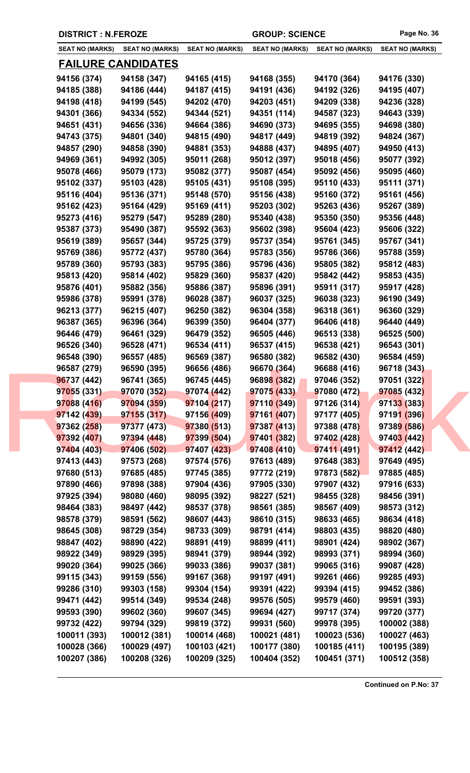|                           | <b>DISTRICT : N.FEROZE</b>   |                              | <b>GROUP: SCIENCE</b>  |                        | Page No. 36                  |
|---------------------------|------------------------------|------------------------------|------------------------|------------------------|------------------------------|
| <b>SEAT NO (MARKS)</b>    | <b>SEAT NO (MARKS)</b>       | <b>SEAT NO (MARKS)</b>       | <b>SEAT NO (MARKS)</b> | <b>SEAT NO (MARKS)</b> | <b>SEAT NO (MARKS)</b>       |
| <u>FAILURE CANDIDATES</u> |                              |                              |                        |                        |                              |
| 94156 (374)               | 94158 (347)                  | 94165 (415)                  | 94168 (355)            | 94170 (364)            | 94176 (330)                  |
| 94185 (388)               | 94186 (444)                  | 94187 (415)                  | 94191 (436)            | 94192 (326)            | 94195 (407)                  |
| 94198 (418)               | 94199 (545)                  | 94202 (470)                  | 94203 (451)            | 94209 (338)            | 94236 (328)                  |
| 94301 (366)               | 94334 (552)                  | 94344 (521)                  | 94351 (114)            | 94587 (323)            | 94643 (339)                  |
| 94651 (431)               | 94656 (336)                  | 94664 (386)                  | 94690 (373)            | 94695 (355)            | 94698 (380)                  |
| 94743 (375)               | 94801 (340)                  | 94815 (490)                  | 94817 (449)            | 94819 (392)            | 94824 (367)                  |
| 94857 (290)               | 94858 (390)                  | 94881 (353)                  | 94888 (437)            | 94895 (407)            | 94950 (413)                  |
| 94969 (361)               | 94992 (305)                  | 95011 (268)                  | 95012 (397)            | 95018 (456)            | 95077 (392)                  |
| 95078 (466)               | 95079 (173)                  | 95082 (377)                  | 95087 (454)            | 95092 (456)            | 95095 (460)                  |
| 95102 (337)               | 95103 (428)                  | 95105 (431)                  | 95108 (395)            | 95110 (433)            | 95111 (371)                  |
| 95116 (404)               | 95136 (371)                  | 95148 (570)                  | 95156 (438)            | 95160 (372)            | 95161 (456)                  |
| 95162 (423)               | 95164 (429)                  | 95169 (411)                  | 95203 (302)            | 95263 (436)            | 95267 (389)                  |
| 95273 (416)               | 95279 (547)                  | 95289 (280)                  | 95340 (438)            | 95350 (350)            | 95356 (448)                  |
| 95387 (373)               | 95490 (387)                  | 95592 (363)                  | 95602 (398)            | 95604 (423)            | 95606 (322)                  |
| 95619 (389)               | 95657 (344)                  | 95725 (379)                  | 95737 (354)            | 95761 (345)            | 95767 (341)                  |
| 95769 (386)               | 95772 (437)                  | 95780 (364)                  | 95783 (356)            | 95786 (366)            | 95788 (359)                  |
| 95789 (360)               | 95793 (383)                  | 95795 (386)                  | 95796 (436)            | 95805 (382)            | 95812 (483)                  |
| 95813 (420)               | 95814 (402)                  | 95829 (360)                  | 95837 (420)            | 95842 (442)            | 95853 (435)                  |
| 95876 (401)               | 95882 (356)                  | 95886 (387)                  | 95896 (391)            | 95911 (317)            | 95917 (428)                  |
| 95986 (378)               | 95991 (378)                  | 96028 (387)                  | 96037 (325)            | 96038 (323)            | 96190 (349)                  |
| 96213 (377)               | 96215 (407)                  | 96250 (382)                  | 96304 (358)            | 96318 (361)            | 96360 (329)                  |
| 96387 (365)               | 96396 (364)                  | 96399 (350)                  | 96404 (377)            | 96406 (418)            | 96440 (449)                  |
| 96446 (479)               | 96461 (329)                  | 96479 (352)                  | 96505 (446)            | 96513 (338)            | 96525 (500)                  |
| 96526 (340)               | 96528 (471)                  | 96534 (411)                  | 96537 (415)            | 96538 (421)            | 96543 (301)                  |
| 96548 (390)               | 96557 (485)                  | 96569 (387)                  | 96580 (382)            | 96582 (430)            | 96584 (459)                  |
| 96587 (279)               | 96590 (395)                  | 96656 (486)                  | 96670 (364)            | 96688 (416)            | 96718 (343)                  |
| 96737 (442)               | 96741 (365)                  | 96745 (445)                  | 96898 (382)            | 97046 (352)            | 97051 (322)                  |
| 97055 (331)               | 97070 (352)                  | 97074 (442)                  | 97075 (433)            | 97080 (472)            | 97085 (432)                  |
| 97088 (416)               | 97094 (359)                  | 97104 (217)                  | 97110 (349)            | 97126 (314)            | 97133 (383)                  |
| 97142 (439)               | 97155 (317)                  | 97156 (409)                  | 97161 (407)            | 97177 (405)            | 97191 (396)                  |
| 97362 (258)               | 97377 (473)                  | 97380 (513)                  | 97387 (413)            | 97388 (478)            | 97389 (586)                  |
| 97392 (407)               | 97394 (448)                  | 97399 (504)                  | 97401 (382)            | 97402 (428)            | 97403 (442)                  |
| 97404 (403)               | 97406 (502)                  | 97407 (423)                  | 97408 (410)            | 97411 (491)            | 97412 (442)                  |
| 97413 (443)               | 97573 (268)                  | 97574 (576)                  | 97613 (489)            | 97648 (383)            | 97649 (495)                  |
| 97680 (513)               | 97685 (485)                  | 97745 (385)                  | 97772 (219)            | 97873 (582)            | 97885 (485)                  |
| 97890 (466)               | 97898 (388)                  | 97904 (436)                  | 97905 (330)            | 97907 (432)            | 97916 (633)                  |
| 97925 (394)               | 98080 (460)                  | 98095 (392)                  | 98227 (521)            | 98455 (328)            | 98456 (391)                  |
| 98464 (383)               | 98497 (442)                  | 98537 (378)                  | 98561 (385)            | 98567 (409)            | 98573 (312)                  |
| 98578 (379)               | 98591 (562)                  | 98607 (443)                  | 98610 (315)            | 98633 (465)            | 98634 (418)                  |
| 98645 (308)               | 98729 (354)                  | 98733 (309)                  | 98791 (414)            | 98803 (435)            | 98820 (480)                  |
| 98847 (402)               | 98890 (422)                  | 98891 (419)                  | 98899 (411)            | 98901 (424)            | 98902 (367)                  |
| 98922 (349)               | 98929 (395)                  | 98941 (379)                  | 98944 (392)            | 98993 (371)            | 98994 (360)                  |
| 99020 (364)               | 99025 (366)                  | 99033 (386)                  | 99037 (381)            | 99065 (316)            | 99087 (428)                  |
| 99115 (343)               | 99159 (556)                  | 99167 (368)                  | 99197 (491)            | 99261 (466)            | 99285 (493)                  |
| 99286 (310)               | 99303 (158)                  | 99304 (154)                  | 99391 (422)            | 99394 (415)            | 99452 (386)                  |
| 99471 (442)               | 99514 (349)                  | 99534 (248)                  | 99576 (505)            | 99579 (460)            | 99591 (393)                  |
| 99593 (390)               | 99602 (360)                  | 99607 (345)                  | 99694 (427)            | 99717 (374)            | 99720 (377)                  |
|                           |                              | 99819 (372)                  | 99931 (560)            | 99978 (395)            | 100002 (388)                 |
| 99732 (422)               |                              |                              |                        |                        |                              |
| 100011 (393)              | 99794 (329)                  |                              | 100021 (481)           | 100023 (536)           |                              |
| 100028 (366)              | 100012 (381)<br>100029 (497) | 100014 (468)<br>100103 (421) | 100177 (380)           | 100185 (411)           | 100027 (463)<br>100195 (389) |